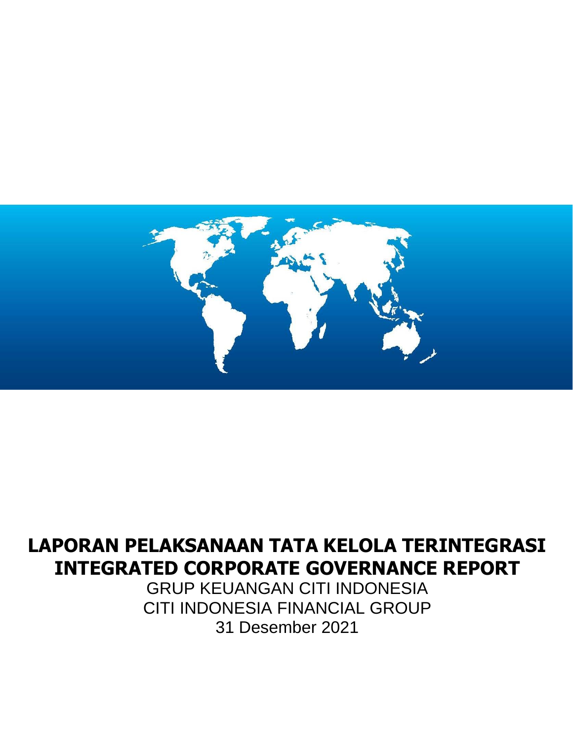

# **LAPORAN PELAKSANAAN TATA KELOLA TERINTEGRASI INTEGRATED CORPORATE GOVERNANCE REPORT**

GRUP KEUANGAN CITI INDONESIA CITI INDONESIA FINANCIAL GROUP 31 Desember 2021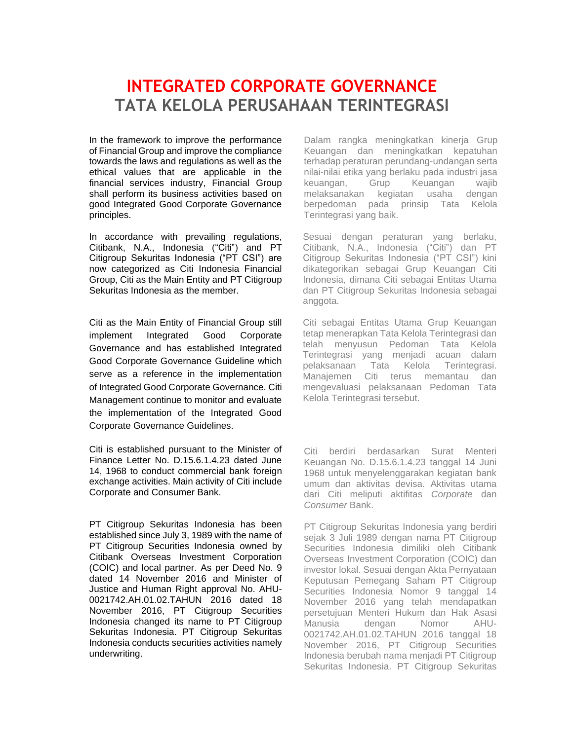# **INTEGRATED CORPORATE GOVERNANCE TATA KELOLA PERUSAHAAN TERINTEGRASI**

In the framework to improve the performance of Financial Group and improve the compliance towards the laws and regulations as well as the ethical values that are applicable in the financial services industry, Financial Group shall perform its business activities based on good Integrated Good Corporate Governance principles.

In accordance with prevailing regulations, Citibank, N.A., Indonesia ("Citi") and PT Citigroup Sekuritas Indonesia ("PT CSI") are now categorized as Citi Indonesia Financial Group, Citi as the Main Entity and PT Citigroup Sekuritas Indonesia as the member.

Citi as the Main Entity of Financial Group still implement Integrated Good Corporate Governance and has established Integrated Good Corporate Governance Guideline which serve as a reference in the implementation of Integrated Good Corporate Governance. Citi Management continue to monitor and evaluate the implementation of the Integrated Good Corporate Governance Guidelines.

Citi is established pursuant to the Minister of Finance Letter No. D.15.6.1.4.23 dated June 14, 1968 to conduct commercial bank foreign exchange activities. Main activity of Citi include Corporate and Consumer Bank.

PT Citigroup Sekuritas Indonesia has been established since July 3, 1989 with the name of PT Citigroup Securities Indonesia owned by Citibank Overseas Investment Corporation (COIC) and local partner. As per Deed No. 9 dated 14 November 2016 and Minister of Justice and Human Right approval No. AHU-0021742.AH.01.02.TAHUN 2016 dated 18 November 2016, PT Citigroup Securities Indonesia changed its name to PT Citigroup Sekuritas Indonesia. PT Citigroup Sekuritas Indonesia conducts securities activities namely underwriting.

Dalam rangka meningkatkan kinerja Grup Keuangan dan meningkatkan kepatuhan terhadap peraturan perundang-undangan serta nilai-nilai etika yang berlaku pada industri jasa keuangan, Grup Keuangan wajib melaksanakan kegiatan usaha dengan berpedoman pada prinsip Tata Kelola Terintegrasi yang baik.

Sesuai dengan peraturan yang berlaku, Citibank, N.A., Indonesia ("Citi") dan PT Citigroup Sekuritas Indonesia ("PT CSI") kini dikategorikan sebagai Grup Keuangan Citi Indonesia, dimana Citi sebagai Entitas Utama dan PT Citigroup Sekuritas Indonesia sebagai anggota.

Citi sebagai Entitas Utama Grup Keuangan tetap menerapkan Tata Kelola Terintegrasi dan telah menyusun Pedoman Tata Kelola Terintegrasi yang menjadi acuan dalam pelaksanaan Tata Kelola Terintegrasi. Manajemen Citi terus memantau dan mengevaluasi pelaksanaan Pedoman Tata Kelola Terintegrasi tersebut.

Citi berdiri berdasarkan Surat Menteri Keuangan No. D.15.6.1.4.23 tanggal 14 Juni 1968 untuk menyelenggarakan kegiatan bank umum dan aktivitas devisa. Aktivitas utama dari Citi meliputi aktifitas *Corporate* dan *Consumer* Bank.

PT Citigroup Sekuritas Indonesia yang berdiri sejak 3 Juli 1989 dengan nama PT Citigroup Securities Indonesia dimiliki oleh Citibank Overseas Investment Corporation (COIC) dan investor lokal. Sesuai dengan Akta Pernyataan Keputusan Pemegang Saham PT Citigroup Securities Indonesia Nomor 9 tanggal 14 November 2016 yang telah mendapatkan persetujuan Menteri Hukum dan Hak Asasi Manusia dengan Nomor AHU-0021742.AH.01.02.TAHUN 2016 tanggal 18 November 2016, PT Citigroup Securities Indonesia berubah nama menjadi PT Citigroup Sekuritas Indonesia. PT Citigroup Sekuritas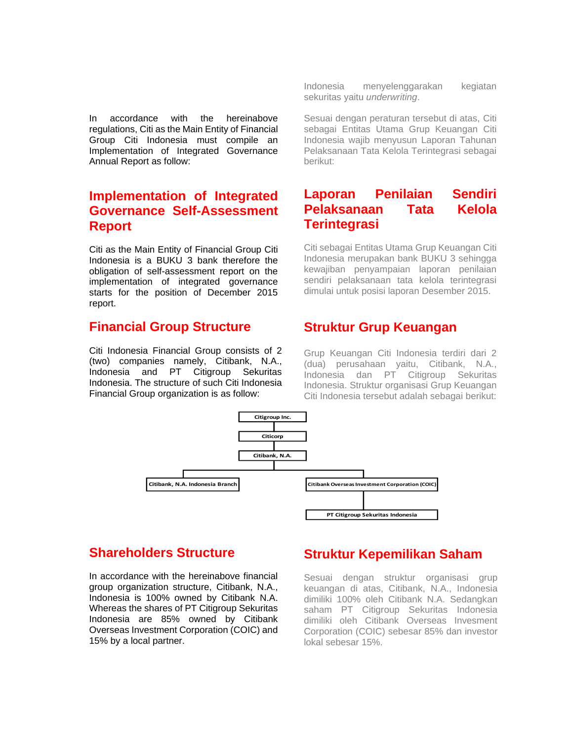In accordance with the hereinabove regulations, Citi as the Main Entity of Financial Group Citi Indonesia must compile an Implementation of Integrated Governance Annual Report as follow:

# **Implementation of Integrated Governance Self-Assessment Report**

Citi as the Main Entity of Financial Group Citi Indonesia is a BUKU 3 bank therefore the obligation of self-assessment report on the implementation of integrated governance starts for the position of December 2015 report.

# **Financial Group Structure**

Citi Indonesia Financial Group consists of 2 (two) companies namely, Citibank, N.A., Indonesia and PT Citigroup Sekuritas Indonesia. The structure of such Citi Indonesia Financial Group organization is as follow:

Indonesia menyelenggarakan kegiatan sekuritas yaitu *underwriting*.

Sesuai dengan peraturan tersebut di atas, Citi sebagai Entitas Utama Grup Keuangan Citi Indonesia wajib menyusun Laporan Tahunan Pelaksanaan Tata Kelola Terintegrasi sebagai berikut:

# **Laporan Penilaian Sendiri Pelaksanaan Tata Kelola Terintegrasi**

Citi sebagai Entitas Utama Grup Keuangan Citi Indonesia merupakan bank BUKU 3 sehingga kewajiban penyampaian laporan penilaian sendiri pelaksanaan tata kelola terintegrasi dimulai untuk posisi laporan Desember 2015.

# **Struktur Grup Keuangan**

Grup Keuangan Citi Indonesia terdiri dari 2 (dua) perusahaan yaitu, Citibank, N.A., Indonesia dan PT Citigroup Sekuritas Indonesia. Struktur organisasi Grup Keuangan Citi Indonesia tersebut adalah sebagai berikut:



# **Shareholders Structure**

In accordance with the hereinabove financial group organization structure, Citibank, N.A., Indonesia is 100% owned by Citibank N.A. Whereas the shares of PT Citigroup Sekuritas Indonesia are 85% owned by Citibank Overseas Investment Corporation (COIC) and 15% by a local partner.

# **Struktur Kepemilikan Saham**

Sesuai dengan struktur organisasi grup keuangan di atas, Citibank, N.A., Indonesia dimiliki 100% oleh Citibank N.A. Sedangkan saham PT Citigroup Sekuritas Indonesia dimiliki oleh Citibank Overseas Invesment Corporation (COIC) sebesar 85% dan investor lokal sebesar 15%.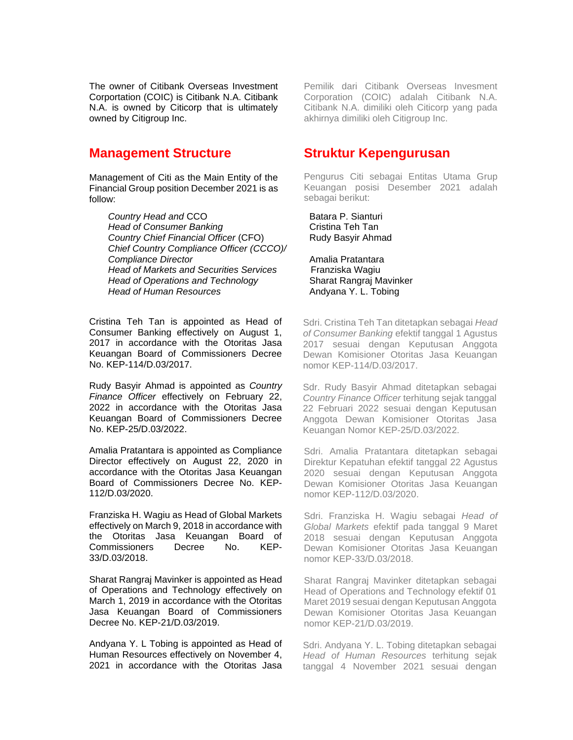The owner of Citibank Overseas Investment Corportation (COIC) is Citibank N.A. Citibank N.A. is owned by Citicorp that is ultimately owned by Citigroup Inc.

# **Management Structure**

Management of Citi as the Main Entity of the Financial Group position December 2021 is as follow:

> **Country Head and CCO** Batara P. Sianturi *Head of Consumer Banking* Cristina Teh Tan **Country Chief Financial Officer (CFO)** Rudy Basyir Ahmad *Chief Country Compliance Officer (CCCO)/ Compliance Director* Amalia Pratantara *Head of Markets and Securities Services* Franziska Wagiu *Head of Operations and Technology* Sharat Rangraj Mavinker *Head of Human Resources* Andyana Y. L. Tobing

Cristina Teh Tan is appointed as Head of Consumer Banking effectively on August 1, 2017 in accordance with the Otoritas Jasa Keuangan Board of Commissioners Decree No. KEP-114/D.03/2017.

Rudy Basyir Ahmad is appointed as *Country Finance Officer* effectively on February 22, 2022 in accordance with the Otoritas Jasa Keuangan Board of Commissioners Decree No. KEP-25/D.03/2022.

Amalia Pratantara is appointed as Compliance Director effectively on August 22, 2020 in accordance with the Otoritas Jasa Keuangan Board of Commissioners Decree No. KEP-112/D.03/2020.

Franziska H. Wagiu as Head of Global Markets effectively on March 9, 2018 in accordance with the Otoritas Jasa Keuangan Board of Commissioners Decree No. KEP-33/D.03/2018.

Sharat Rangraj Mavinker is appointed as Head of Operations and Technology effectively on March 1, 2019 in accordance with the Otoritas Jasa Keuangan Board of Commissioners Decree No. KEP-21/D.03/2019.

Andyana Y. L Tobing is appointed as Head of Human Resources effectively on November 4, 2021 in accordance with the Otoritas Jasa Pemilik dari Citibank Overseas Invesment Corporation (COIC) adalah Citibank N.A. Citibank N.A. dimiliki oleh Citicorp yang pada akhirnya dimiliki oleh Citigroup Inc.

# **Struktur Kepengurusan**

Pengurus Citi sebagai Entitas Utama Grup Keuangan posisi Desember 2021 adalah sebagai berikut:

Sdri. Cristina Teh Tan ditetapkan sebagai *Head of Consumer Banking* efektif tanggal 1 Agustus 2017 sesuai dengan Keputusan Anggota Dewan Komisioner Otoritas Jasa Keuangan nomor KEP-114/D.03/2017.

Sdr. Rudy Basyir Ahmad ditetapkan sebagai *Country Finance Officer* terhitung sejak tanggal 22 Februari 2022 sesuai dengan Keputusan Anggota Dewan Komisioner Otoritas Jasa Keuangan Nomor KEP-25/D.03/2022.

Sdri. Amalia Pratantara ditetapkan sebagai Direktur Kepatuhan efektif tanggal 22 Agustus 2020 sesuai dengan Keputusan Anggota Dewan Komisioner Otoritas Jasa Keuangan nomor KEP-112/D.03/2020.

Sdri. Franziska H. Wagiu sebagai *Head of Global Markets* efektif pada tanggal 9 Maret 2018 sesuai dengan Keputusan Anggota Dewan Komisioner Otoritas Jasa Keuangan nomor KEP-33/D.03/2018.

Sharat Rangraj Mavinker ditetapkan sebagai Head of Operations and Technology efektif 01 Maret 2019 sesuai dengan Keputusan Anggota Dewan Komisioner Otoritas Jasa Keuangan nomor KEP-21/D.03/2019.

Sdri. Andyana Y. L. Tobing ditetapkan sebagai *Head of Human Resources* terhitung sejak tanggal 4 November 2021 sesuai dengan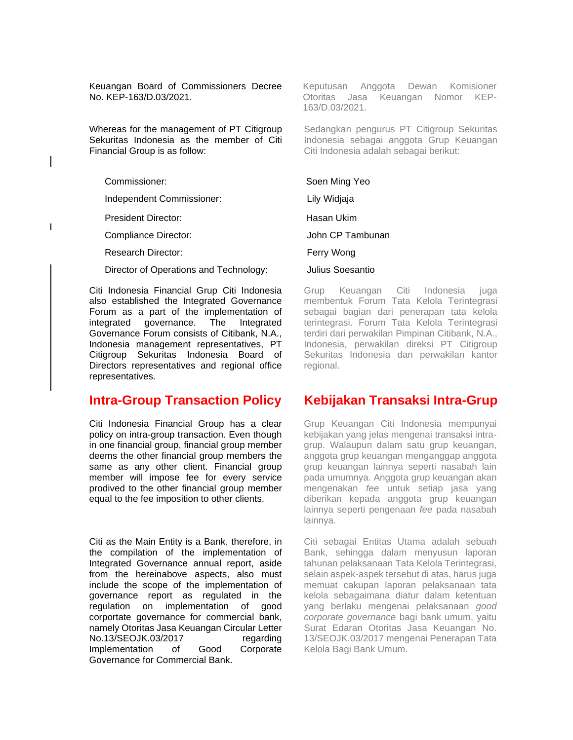Keuangan Board of Commissioners Decree No. KEP-163/D.03/2021.

Whereas for the management of PT Citigroup Sekuritas Indonesia as the member of Citi Financial Group is as follow:

Independent Commissioner: Lily Widjaja

President Director: Nassau Ukim

Compliance Director: **Access 12 Compliance Director:** Access 10 John CP Tambunan

Research Director: Ferry Wong

Director of Operations and Technology: Julius Soesantio

Citi Indonesia Financial Grup Citi Indonesia also established the Integrated Governance Forum as a part of the implementation of integrated governance. The Integrated Governance Forum consists of Citibank, N.A., terdiri dari perwakilan Indonesia management representatives, PT meeneera management representances, in the meeneera, permannial<br>Citigroup Sekuritas Indonesia Board of Sekuritas Indonesia Directors representatives and regional office regional. representatives. Director: Ferry Wong

# **Intra-Group Transaction Policy Kebijakan Tra**

Citi Indonesia Financial Group has a clear policy on intra-group transaction. Even though in one financial group, financial group member deems the other financial group members the same as any other client. Financial group member will impose fee for every service prodived to the other financial group member equal to the fee imposition to other clients.

Citi as the Main Entity is a Bank, therefore, in the compilation of the implementation of Integrated Governance annual report, aside from the hereinabove aspects, also must include the scope of the implementation of governance report as regulated in the regulation on implementation of good corportate governance for commercial bank, namely Otoritas Jasa Keuangan Circular Letter No.13/SEOJK.03/2017 regarding Implementation of Good Corporate Governance for Commercial Bank.

Keputusan Anggota Dewan Komisioner Otoritas Jasa Keuangan Nomor KEP-163/D.03/2021.

Sedangkan pengurus PT Citigroup Sekuritas Indonesia sebagai anggota Grup Keuangan Citi Indonesia adalah sebagai berikut:

#### Commissioner: Soen Ming Yeo

Grup Keuangan Citi Indonesia juga membentuk Forum Tata Kelola Terintegrasi **art of the implementation of** sebagai bagian dari penerapan tata kelola terintegrasi. Forum Tata Kelola Terintegrasi terdiri dari perwakilan Pimpinan Citibank, N.A., Indonesia, perwakilan direksi PT Citigroup Sekuritas Indonesia dan perwakilan kantor regional.

# **Kebijakan Transaksi Intra-Grup**

Grup Keuangan Citi Indonesia mempunyai kebijakan yang jelas mengenai transaksi intragrup. Walaupun dalam satu grup keuangan, anggota grup keuangan menganggap anggota grup keuangan lainnya seperti nasabah lain pada umumnya. Anggota grup keuangan akan mengenakan *fee* untuk setiap jasa yang diberikan kepada anggota grup keuangan lainnya seperti pengenaan *fee* pada nasabah lainnya.

Citi sebagai Entitas Utama adalah sebuah Bank, sehingga dalam menyusun laporan tahunan pelaksanaan Tata Kelola Terintegrasi, selain aspek-aspek tersebut di atas, harus juga memuat cakupan laporan pelaksanaan tata kelola sebagaimana diatur dalam ketentuan yang berlaku mengenai pelaksanaan *good corporate governance* bagi bank umum, yaitu Surat Edaran Otoritas Jasa Keuangan No. 13/SEOJK.03/2017 mengenai Penerapan Tata Kelola Bagi Bank Umum.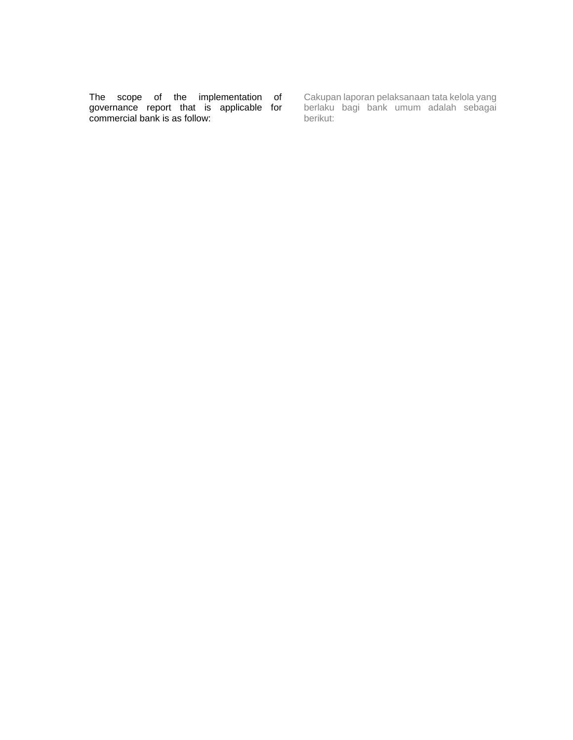The scope of the implementation of governance report that is applicable for commercial bank is as follow:

Cakupan laporan pelaksanaan tata kelola yang berlaku bagi bank umum adalah sebagai berikut: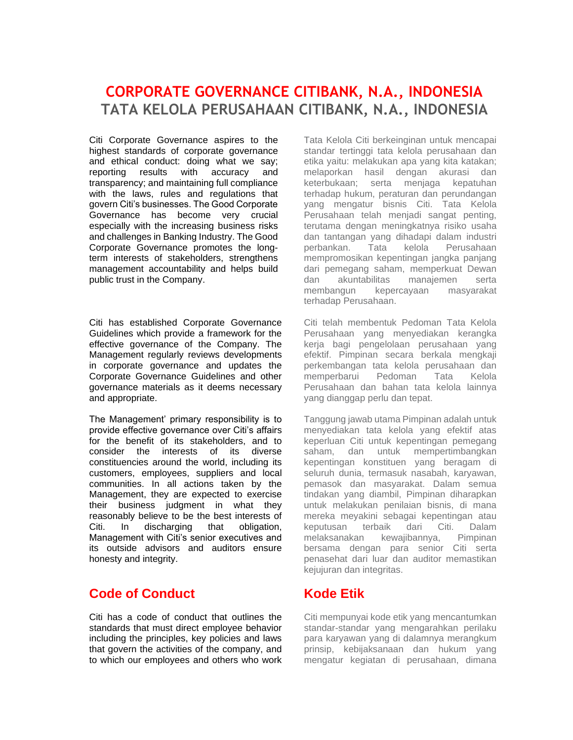# **CORPORATE GOVERNANCE CITIBANK, N.A., INDONESIA TATA KELOLA PERUSAHAAN CITIBANK, N.A., INDONESIA**

Citi Corporate Governance aspires to the highest standards of corporate governance and ethical conduct: doing what we say; reporting results with accuracy and transparency; and maintaining full compliance with the laws, rules and regulations that govern Citi's businesses. The Good Corporate Governance has become very crucial especially with the increasing business risks and challenges in Banking Industry. The Good Corporate Governance promotes the longterm interests of stakeholders, strengthens management accountability and helps build public trust in the Company.

Citi has established Corporate Governance Guidelines which provide a framework for the effective governance of the Company. The Management regularly reviews developments in corporate governance and updates the Corporate Governance Guidelines and other governance materials as it deems necessary and appropriate.

The Management' primary responsibility is to provide effective governance over Citi's affairs for the benefit of its stakeholders, and to consider the interests of its diverse constituencies around the world, including its customers, employees, suppliers and local communities. In all actions taken by the Management, they are expected to exercise their business judgment in what they reasonably believe to be the best interests of Citi. In discharging that obligation, Management with Citi's senior executives and its outside advisors and auditors ensure honesty and integrity.

# **Code of Conduct**

Citi has a code of conduct that outlines the standards that must direct employee behavior including the principles, key policies and laws that govern the activities of the company, and to which our employees and others who work Tata Kelola Citi berkeinginan untuk mencapai standar tertinggi tata kelola perusahaan dan etika yaitu: melakukan apa yang kita katakan; melaporkan hasil dengan akurasi dan keterbukaan; serta menjaga kepatuhan terhadap hukum, peraturan dan perundangan yang mengatur bisnis Citi. Tata Kelola Perusahaan telah menjadi sangat penting, terutama dengan meningkatnya risiko usaha dan tantangan yang dihadapi dalam industri perbankan. Tata kelola Perusahaan mempromosikan kepentingan jangka panjang dari pemegang saham, memperkuat Dewan dan akuntabilitas manajemen serta membangun kepercayaan masyarakat terhadap Perusahaan.

Citi telah membentuk Pedoman Tata Kelola Perusahaan yang menyediakan kerangka kerja bagi pengelolaan perusahaan yang efektif. Pimpinan secara berkala mengkaji perkembangan tata kelola perusahaan dan memperbarui Pedoman Tata Kelola Perusahaan dan bahan tata kelola lainnya yang dianggap perlu dan tepat.

Tanggung jawab utama Pimpinan adalah untuk menyediakan tata kelola yang efektif atas keperluan Citi untuk kepentingan pemegang saham, dan untuk mempertimbangkan kepentingan konstituen yang beragam di seluruh dunia, termasuk nasabah, karyawan, pemasok dan masyarakat. Dalam semua tindakan yang diambil, Pimpinan diharapkan untuk melakukan penilaian bisnis, di mana mereka meyakini sebagai kepentingan atau keputusan terbaik dari Citi. Dalam melaksanakan kewajibannya, Pimpinan bersama dengan para senior Citi serta penasehat dari luar dan auditor memastikan kejujuran dan integritas.

# **Kode Etik**

Citi mempunyai kode etik yang mencantumkan standar-standar yang mengarahkan perilaku para karyawan yang di dalamnya merangkum prinsip, kebijaksanaan dan hukum yang mengatur kegiatan di perusahaan, dimana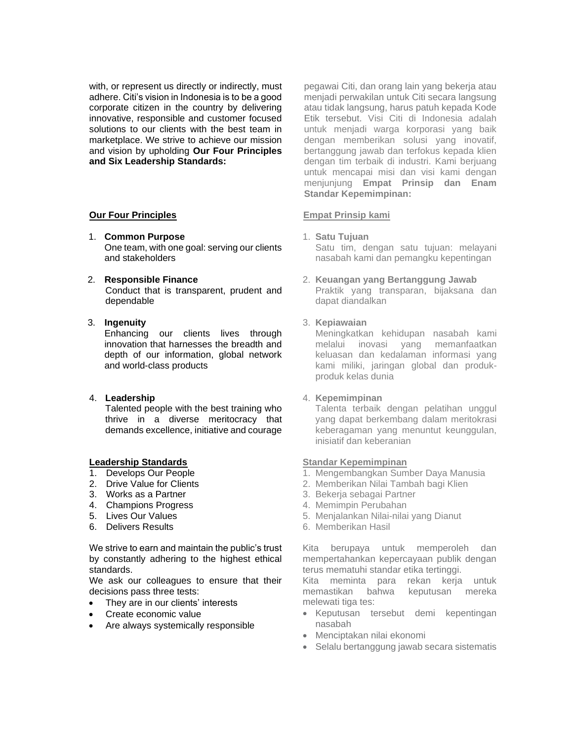with, or represent us directly or indirectly, must adhere. Citi's vision in Indonesia is to be a good corporate citizen in the country by delivering innovative, responsible and customer focused solutions to our clients with the best team in marketplace. We strive to achieve our mission and vision by upholding **Our Four Principles and Six Leadership Standards:**

### **Our Four Principles**

- 1. **Common Purpose**  One team, with one goal: serving our clients and stakeholders
- 2. **Responsible Finance** Conduct that is transparent, prudent and dependable

#### 3. **Ingenuity**

Enhancing our clients lives through innovation that harnesses the breadth and depth of our information, global network and world-class products

#### 4. **Leadership**

Talented people with the best training who thrive in a diverse meritocracy that demands excellence, initiative and courage

#### **Leadership Standards**

- 1. Develops Our People
- 2. Drive Value for Clients
- 3. Works as a Partner
- 4. Champions Progress
- 5. Lives Our Values
- 6. Delivers Results

We strive to earn and maintain the public's trust by constantly adhering to the highest ethical standards.

We ask our colleagues to ensure that their decisions pass three tests:

- They are in our clients' interests
- Create economic value
- Are always systemically responsible

pegawai Citi, dan orang lain yang bekerja atau menjadi perwakilan untuk Citi secara langsung atau tidak langsung, harus patuh kepada Kode Etik tersebut. Visi Citi di Indonesia adalah untuk menjadi warga korporasi yang baik dengan memberikan solusi yang inovatif, bertanggung jawab dan terfokus kepada klien dengan tim terbaik di industri. Kami berjuang untuk mencapai misi dan visi kami dengan menjunjung **Empat Prinsip dan Enam Standar Kepemimpinan:**

#### **Empat Prinsip kami**

- 1. **Satu Tujuan** Satu tim, dengan satu tujuan: melayani nasabah kami dan pemangku kepentingan
- 2. **Keuangan yang Bertanggung Jawab** Praktik yang transparan, bijaksana dan dapat diandalkan

#### 3. **Kepiawaian**

Meningkatkan kehidupan nasabah kami melalui inovasi yang memanfaatkan keluasan dan kedalaman informasi yang kami miliki, jaringan global dan produkproduk kelas dunia

#### 4. **Kepemimpinan**

Talenta terbaik dengan pelatihan unggul yang dapat berkembang dalam meritokrasi keberagaman yang menuntut keunggulan, inisiatif dan keberanian

#### **Standar Kepemimpinan**

- 1. Mengembangkan Sumber Daya Manusia
- 2. Memberikan Nilai Tambah bagi Klien
- 3. Bekerja sebagai Partner
- 4. Memimpin Perubahan
- 5. Menjalankan Nilai-nilai yang Dianut
- 6. Memberikan Hasil

Kita berupaya untuk memperoleh dan mempertahankan kepercayaan publik dengan terus mematuhi standar etika tertinggi. Kita meminta para rekan kerja untuk

- memastikan bahwa keputusan mereka melewati tiga tes:
- Keputusan tersebut demi kepentingan nasabah
- Menciptakan nilai ekonomi
- Selalu bertanggung jawab secara sistematis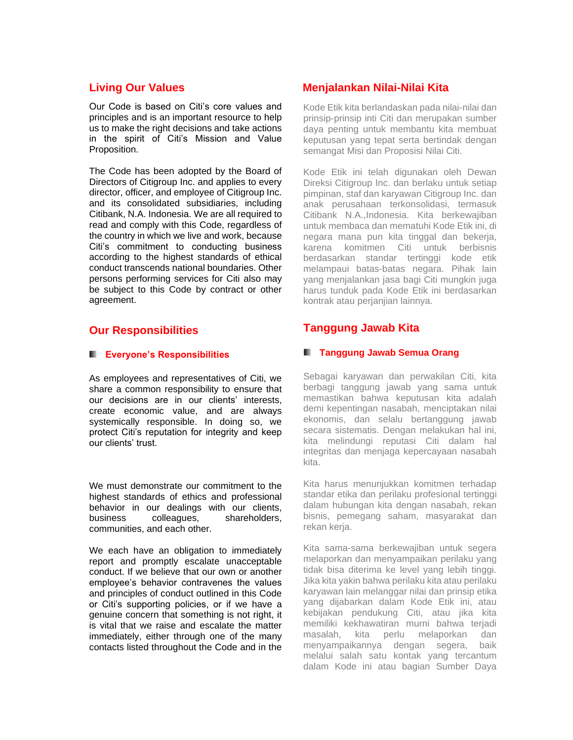# **Living Our Values**

Our Code is based on Citi's core values and principles and is an important resource to help us to make the right decisions and take actions in the spirit of Citi's Mission and Value Proposition.

The Code has been adopted by the Board of Directors of Citigroup Inc. and applies to every director, officer, and employee of Citigroup Inc. and its consolidated subsidiaries, including Citibank, N.A. Indonesia. We are all required to read and comply with this Code, regardless of the country in which we live and work, because Citi's commitment to conducting business according to the highest standards of ethical conduct transcends national boundaries. Other persons performing services for Citi also may be subject to this Code by contract or other agreement.

# **Our Responsibilities**

#### **Everyone's Responsibilities**

As employees and representatives of Citi, we share a common responsibility to ensure that our decisions are in our clients' interests, create economic value, and are always systemically responsible. In doing so, we protect Citi's reputation for integrity and keep our clients' trust.

We must demonstrate our commitment to the highest standards of ethics and professional behavior in our dealings with our clients, business colleagues, shareholders, communities, and each other.

We each have an obligation to immediately report and promptly escalate unacceptable conduct. If we believe that our own or another employee's behavior contravenes the values and principles of conduct outlined in this Code or Citi's supporting policies, or if we have a genuine concern that something is not right, it is vital that we raise and escalate the matter immediately, either through one of the many contacts listed throughout the Code and in the

# **Menjalankan Nilai-Nilai Kita**

Kode Etik kita berlandaskan pada nilai-nilai dan prinsip-prinsip inti Citi dan merupakan sumber daya penting untuk membantu kita membuat keputusan yang tepat serta bertindak dengan semangat Misi dan Proposisi Nilai Citi.

Kode Etik ini telah digunakan oleh Dewan Direksi Citigroup Inc. dan berlaku untuk setiap pimpinan, staf dan karyawan Citigroup Inc. dan anak perusahaan terkonsolidasi, termasuk Citibank N.A.,Indonesia. Kita berkewajiban untuk membaca dan mematuhi Kode Etik ini, di negara mana pun kita tinggal dan bekerja, karena komitmen Citi untuk berbisnis berdasarkan standar tertinggi kode etik melampaui batas-batas negara. Pihak lain yang menjalankan jasa bagi Citi mungkin juga harus tunduk pada Kode Etik ini berdasarkan kontrak atau perjanjian lainnya.

# **Tanggung Jawab Kita**

### **Tanggung Jawab Semua Orang**

Sebagai karyawan dan perwakilan Citi, kita berbagi tanggung jawab yang sama untuk memastikan bahwa keputusan kita adalah demi kepentingan nasabah, menciptakan nilai ekonomis, dan selalu bertanggung jawab secara sistematis. Dengan melakukan hal ini, kita melindungi reputasi Citi dalam hal integritas dan menjaga kepercayaan nasabah kita.

Kita harus menunjukkan komitmen terhadap standar etika dan perilaku profesional tertinggi dalam hubungan kita dengan nasabah, rekan bisnis, pemegang saham, masyarakat dan rekan kerja.

Kita sama-sama berkewajiban untuk segera melaporkan dan menyampaikan perilaku yang tidak bisa diterima ke level yang lebih tinggi. Jika kita yakin bahwa perilaku kita atau perilaku karyawan lain melanggar nilai dan prinsip etika yang dijabarkan dalam Kode Etik ini, atau kebijakan pendukung Citi, atau jika kita memiliki kekhawatiran murni bahwa terjadi masalah, kita perlu melaporkan dan menyampaikannya dengan segera, baik melalui salah satu kontak yang tercantum dalam Kode ini atau bagian Sumber Daya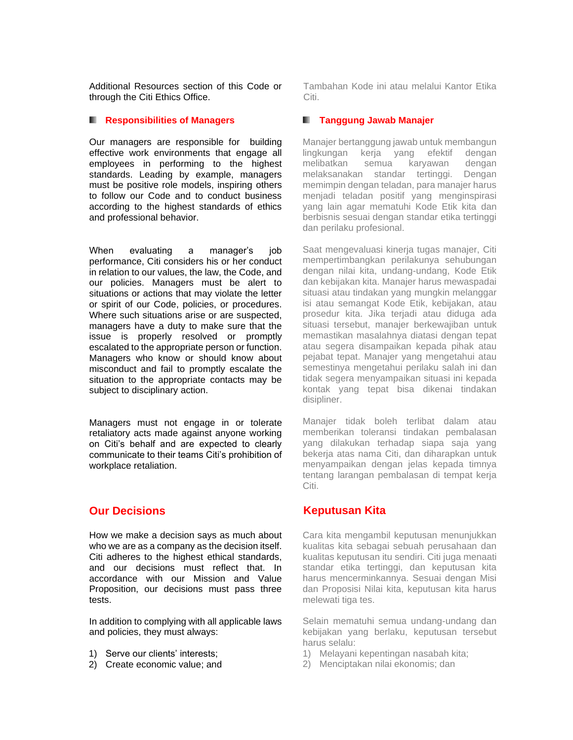Additional Resources section of this Code or through the Citi Ethics Office.

#### **Responsibilities of Managers**

Our managers are responsible for building effective work environments that engage all employees in performing to the highest standards. Leading by example, managers must be positive role models, inspiring others to follow our Code and to conduct business according to the highest standards of ethics and professional behavior.

When evaluating a manager's job performance, Citi considers his or her conduct in relation to our values, the law, the Code, and our policies. Managers must be alert to situations or actions that may violate the letter or spirit of our Code, policies, or procedures. Where such situations arise or are suspected, managers have a duty to make sure that the issue is properly resolved or promptly escalated to the appropriate person or function. Managers who know or should know about misconduct and fail to promptly escalate the situation to the appropriate contacts may be subject to disciplinary action.

Managers must not engage in or tolerate retaliatory acts made against anyone working on Citi's behalf and are expected to clearly communicate to their teams Citi's prohibition of workplace retaliation.

# **Our Decisions**

How we make a decision says as much about who we are as a company as the decision itself. Citi adheres to the highest ethical standards, and our decisions must reflect that. In accordance with our Mission and Value Proposition, our decisions must pass three tests.

In addition to complying with all applicable laws and policies, they must always:

- 1) Serve our clients' interests;
- 2) Create economic value; and

Tambahan Kode ini atau melalui Kantor Etika Citi.

#### **Tanggung Jawab Manajer**

Manajer bertanggung jawab untuk membangun lingkungan kerja yang efektif dengan melibatkan semua karyawan dengan melaksanakan standar tertinggi. Dengan memimpin dengan teladan, para manajer harus menjadi teladan positif yang menginspirasi yang lain agar mematuhi Kode Etik kita dan berbisnis sesuai dengan standar etika tertinggi dan perilaku profesional.

Saat mengevaluasi kinerja tugas manajer, Citi mempertimbangkan perilakunya sehubungan dengan nilai kita, undang-undang, Kode Etik dan kebijakan kita. Manajer harus mewaspadai situasi atau tindakan yang mungkin melanggar isi atau semangat Kode Etik, kebijakan, atau prosedur kita. Jika terjadi atau diduga ada situasi tersebut, manajer berkewajiban untuk memastikan masalahnya diatasi dengan tepat atau segera disampaikan kepada pihak atau pejabat tepat. Manajer yang mengetahui atau semestinya mengetahui perilaku salah ini dan tidak segera menyampaikan situasi ini kepada kontak yang tepat bisa dikenai tindakan disipliner.

Manajer tidak boleh terlibat dalam atau memberikan toleransi tindakan pembalasan yang dilakukan terhadap siapa saja yang bekerja atas nama Citi, dan diharapkan untuk menyampaikan dengan jelas kepada timnya tentang larangan pembalasan di tempat kerja Citi.

# **Keputusan Kita**

Cara kita mengambil keputusan menunjukkan kualitas kita sebagai sebuah perusahaan dan kualitas keputusan itu sendiri. Citi juga menaati standar etika tertinggi, dan keputusan kita harus mencerminkannya. Sesuai dengan Misi dan Proposisi Nilai kita, keputusan kita harus melewati tiga tes.

Selain mematuhi semua undang-undang dan kebijakan yang berlaku, keputusan tersebut harus selalu:

- 1) Melayani kepentingan nasabah kita;
- 2) Menciptakan nilai ekonomis; dan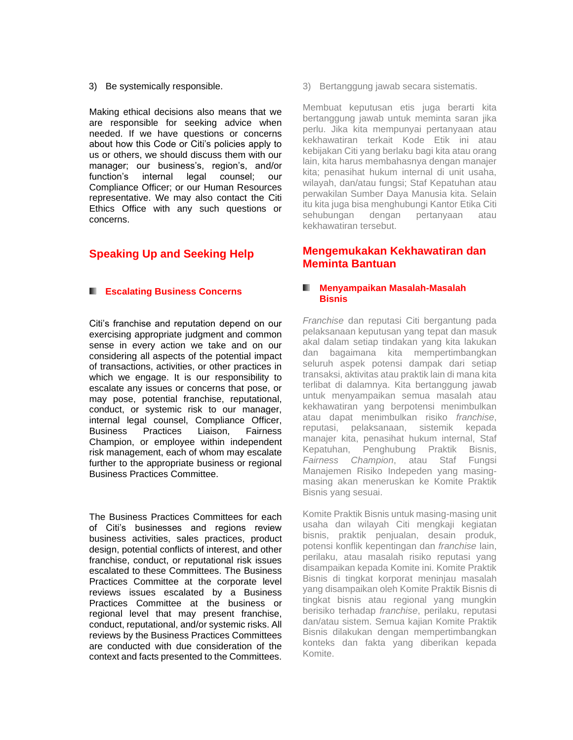3) Be systemically responsible.

Making ethical decisions also means that we are responsible for seeking advice when needed. If we have questions or concerns about how this Code or Citi's policies apply to us or others, we should discuss them with our manager; our business's, region's, and/or function's internal legal counsel; our Compliance Officer; or our Human Resources representative. We may also contact the Citi Ethics Office with any such questions or concerns.

# **Speaking Up and Seeking Help**

#### **Excalating Business Concerns**

Citi's franchise and reputation depend on our exercising appropriate judgment and common sense in every action we take and on our considering all aspects of the potential impact of transactions, activities, or other practices in which we engage. It is our responsibility to escalate any issues or concerns that pose, or may pose, potential franchise, reputational, conduct, or systemic risk to our manager, internal legal counsel, Compliance Officer, Business Practices Liaison, Fairness Champion, or employee within independent risk management, each of whom may escalate further to the appropriate business or regional Business Practices Committee.

The Business Practices Committees for each of Citi's businesses and regions review business activities, sales practices, product design, potential conflicts of interest, and other franchise, conduct, or reputational risk issues escalated to these Committees. The Business Practices Committee at the corporate level reviews issues escalated by a Business Practices Committee at the business or regional level that may present franchise, conduct, reputational, and/or systemic risks. All reviews by the Business Practices Committees are conducted with due consideration of the context and facts presented to the Committees.

3) Bertanggung jawab secara sistematis.

Membuat keputusan etis juga berarti kita bertanggung jawab untuk meminta saran jika perlu. Jika kita mempunyai pertanyaan atau kekhawatiran terkait Kode Etik ini atau kebijakan Citi yang berlaku bagi kita atau orang lain, kita harus membahasnya dengan manajer kita; penasihat hukum internal di unit usaha, wilayah, dan/atau fungsi; Staf Kepatuhan atau perwakilan Sumber Daya Manusia kita. Selain itu kita juga bisa menghubungi Kantor Etika Citi sehubungan dengan pertanyaan atau kekhawatiran tersebut.

# **Mengemukakan Kekhawatiran dan Meminta Bantuan**

#### **Menyampaikan Masalah-Masalah**  ٠ **Bisnis**

*Franchise* dan reputasi Citi bergantung pada pelaksanaan keputusan yang tepat dan masuk akal dalam setiap tindakan yang kita lakukan dan bagaimana kita mempertimbangkan seluruh aspek potensi dampak dari setiap transaksi, aktivitas atau praktik lain di mana kita terlibat di dalamnya. Kita bertanggung jawab untuk menyampaikan semua masalah atau kekhawatiran yang berpotensi menimbulkan atau dapat menimbulkan risiko *franchise*, reputasi, pelaksanaan, sistemik kepada manajer kita, penasihat hukum internal, Staf Kepatuhan, Penghubung Praktik Bisnis, *Fairness Champion*, atau Staf Fungsi Manajemen Risiko Indepeden yang masingmasing akan meneruskan ke Komite Praktik Bisnis yang sesuai.

Komite Praktik Bisnis untuk masing-masing unit usaha dan wilayah Citi mengkaji kegiatan bisnis, praktik penjualan, desain produk, potensi konflik kepentingan dan *franchise* lain, perilaku, atau masalah risiko reputasi yang disampaikan kepada Komite ini. Komite Praktik Bisnis di tingkat korporat meninjau masalah yang disampaikan oleh Komite Praktik Bisnis di tingkat bisnis atau regional yang mungkin berisiko terhadap *franchise*, perilaku, reputasi dan/atau sistem. Semua kajian Komite Praktik Bisnis dilakukan dengan mempertimbangkan konteks dan fakta yang diberikan kepada Komite.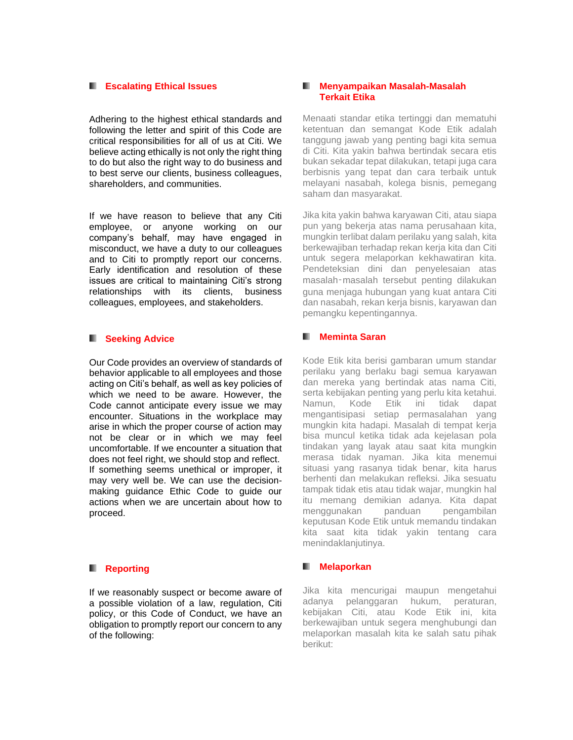#### **Escalating Ethical Issues**

Adhering to the highest ethical standards and following the letter and spirit of this Code are critical responsibilities for all of us at Citi. We believe acting ethically is not only the right thing to do but also the right way to do business and to best serve our clients, business colleagues, shareholders, and communities.

If we have reason to believe that any Citi employee, or anyone working on our company's behalf, may have engaged in misconduct, we have a duty to our colleagues and to Citi to promptly report our concerns. Early identification and resolution of these issues are critical to maintaining Citi's strong relationships with its clients, business colleagues, employees, and stakeholders.

#### **K.** Seeking Advice

Our Code provides an overview of standards of behavior applicable to all employees and those acting on Citi's behalf, as well as key policies of which we need to be aware. However, the Code cannot anticipate every issue we may encounter. Situations in the workplace may arise in which the proper course of action may not be clear or in which we may feel uncomfortable. If we encounter a situation that does not feel right, we should stop and reflect. If something seems unethical or improper, it may very well be. We can use the decisionmaking guidance Ethic Code to guide our actions when we are uncertain about how to proceed.

#### **Reporting**

If we reasonably suspect or become aware of a possible violation of a law, regulation, Citi policy, or this Code of Conduct, we have an obligation to promptly report our concern to any of the following:

#### **Menyampaikan Masalah-Masalah Terkait Etika**

Menaati standar etika tertinggi dan mematuhi ketentuan dan semangat Kode Etik adalah tanggung jawab yang penting bagi kita semua di Citi. Kita yakin bahwa bertindak secara etis bukan sekadar tepat dilakukan, tetapi juga cara berbisnis yang tepat dan cara terbaik untuk melayani nasabah, kolega bisnis, pemegang saham dan masyarakat.

Jika kita yakin bahwa karyawan Citi, atau siapa pun yang bekerja atas nama perusahaan kita, mungkin terlibat dalam perilaku yang salah, kita berkewajiban terhadap rekan kerja kita dan Citi untuk segera melaporkan kekhawatiran kita. Pendeteksian dini dan penyelesaian atas masalah‑masalah tersebut penting dilakukan guna menjaga hubungan yang kuat antara Citi dan nasabah, rekan kerja bisnis, karyawan dan pemangku kepentingannya.

#### **Meminta Saran**

Kode Etik kita berisi gambaran umum standar perilaku yang berlaku bagi semua karyawan dan mereka yang bertindak atas nama Citi, serta kebijakan penting yang perlu kita ketahui. Namun, Kode Etik ini tidak dapat mengantisipasi setiap permasalahan yang mungkin kita hadapi. Masalah di tempat kerja bisa muncul ketika tidak ada kejelasan pola tindakan yang layak atau saat kita mungkin merasa tidak nyaman. Jika kita menemui situasi yang rasanya tidak benar, kita harus berhenti dan melakukan refleksi. Jika sesuatu tampak tidak etis atau tidak wajar, mungkin hal itu memang demikian adanya. Kita dapat menggunakan panduan pengambilan keputusan Kode Etik untuk memandu tindakan kita saat kita tidak yakin tentang cara menindaklanjutinya.

#### **Melaporkan** .

Jika kita mencurigai maupun mengetahui adanya pelanggaran hukum, peraturan, kebijakan Citi, atau Kode Etik ini, kita berkewajiban untuk segera menghubungi dan melaporkan masalah kita ke salah satu pihak berikut: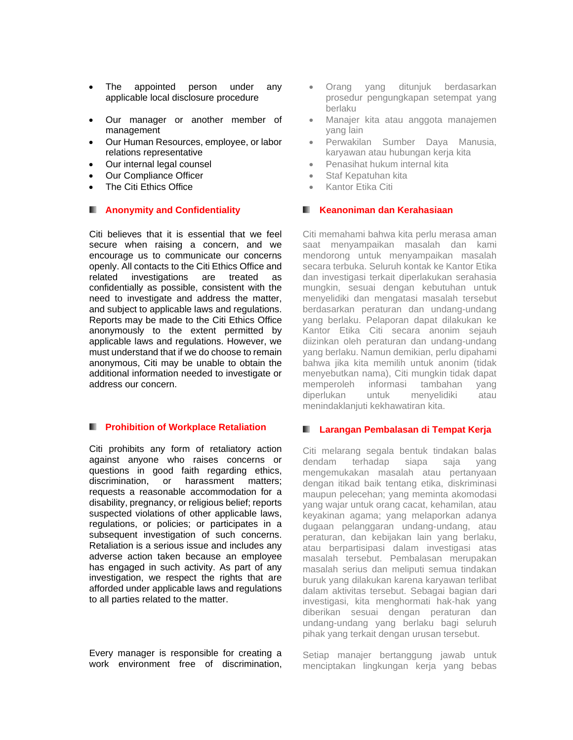- The appointed person under any applicable local disclosure procedure
- Our manager or another member of management
- Our Human Resources, employee, or labor relations representative
- Our internal legal counsel
- Our Compliance Officer
- The Citi Ethics Office

#### **Anonymity and Confidentiality**

Citi believes that it is essential that we feel secure when raising a concern, and we encourage us to communicate our concerns openly. All contacts to the Citi Ethics Office and related investigations are treated as confidentially as possible, consistent with the need to investigate and address the matter, and subject to applicable laws and regulations. Reports may be made to the Citi Ethics Office anonymously to the extent permitted by applicable laws and regulations. However, we must understand that if we do choose to remain anonymous, Citi may be unable to obtain the additional information needed to investigate or address our concern.

#### **Prohibition of Workplace Retaliation**

Citi prohibits any form of retaliatory action against anyone who raises concerns or questions in good faith regarding ethics, discrimination, or harassment matters; requests a reasonable accommodation for a disability, pregnancy, or religious belief; reports suspected violations of other applicable laws, regulations, or policies; or participates in a subsequent investigation of such concerns. Retaliation is a serious issue and includes any adverse action taken because an employee has engaged in such activity. As part of any investigation, we respect the rights that are afforded under applicable laws and regulations to all parties related to the matter.

Every manager is responsible for creating a work environment free of discrimination,

- Orang yang ditunjuk berdasarkan prosedur pengungkapan setempat yang berlaku
- Manajer kita atau anggota manajemen yang lain
- Perwakilan Sumber Daya Manusia, karyawan atau hubungan kerja kita
- Penasihat hukum internal kita
- Staf Kepatuhan kita
- Kantor Etika Citi

#### **Keanoniman dan Kerahasiaan** .

Citi memahami bahwa kita perlu merasa aman saat menyampaikan masalah dan kami mendorong untuk menyampaikan masalah secara terbuka. Seluruh kontak ke Kantor Etika dan investigasi terkait diperlakukan serahasia mungkin, sesuai dengan kebutuhan untuk menyelidiki dan mengatasi masalah tersebut berdasarkan peraturan dan undang-undang yang berlaku. Pelaporan dapat dilakukan ke Kantor Etika Citi secara anonim sejauh diizinkan oleh peraturan dan undang-undang yang berlaku. Namun demikian, perlu dipahami bahwa jika kita memilih untuk anonim (tidak menyebutkan nama), Citi mungkin tidak dapat memperoleh informasi tambahan yang diperlukan untuk menyelidiki atau menindaklanjuti kekhawatiran kita.

#### **Larangan Pembalasan di Tempat Kerja**

Citi melarang segala bentuk tindakan balas dendam terhadap siapa saja yang mengemukakan masalah atau pertanyaan dengan itikad baik tentang etika, diskriminasi maupun pelecehan; yang meminta akomodasi yang wajar untuk orang cacat, kehamilan, atau keyakinan agama; yang melaporkan adanya dugaan pelanggaran undang-undang, atau peraturan, dan kebijakan lain yang berlaku, atau berpartisipasi dalam investigasi atas masalah tersebut. Pembalasan merupakan masalah serius dan meliputi semua tindakan buruk yang dilakukan karena karyawan terlibat dalam aktivitas tersebut. Sebagai bagian dari investigasi, kita menghormati hak-hak yang diberikan sesuai dengan peraturan dan undang-undang yang berlaku bagi seluruh pihak yang terkait dengan urusan tersebut.

Setiap manajer bertanggung jawab untuk menciptakan lingkungan kerja yang bebas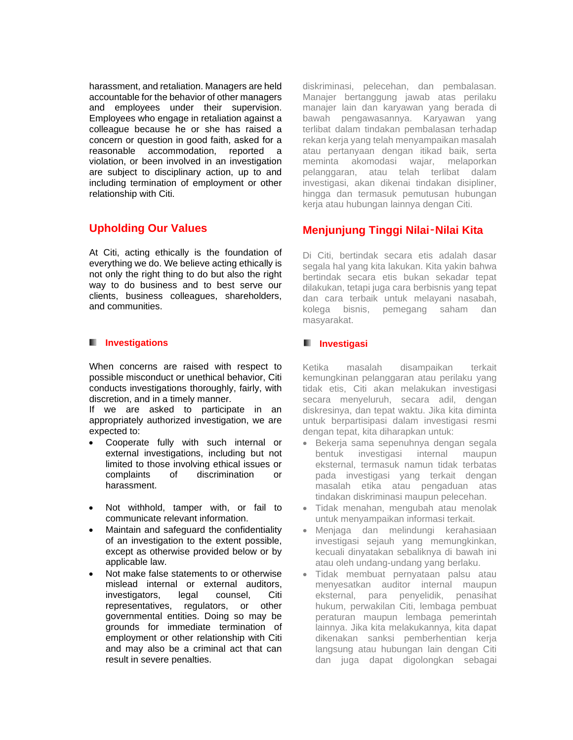harassment, and retaliation. Managers are held accountable for the behavior of other managers and employees under their supervision. Employees who engage in retaliation against a colleague because he or she has raised a concern or question in good faith, asked for a reasonable accommodation, reported a violation, or been involved in an investigation are subject to disciplinary action, up to and including termination of employment or other relationship with Citi.

# **Upholding Our Values**

At Citi, acting ethically is the foundation of everything we do. We believe acting ethically is not only the right thing to do but also the right way to do business and to best serve our clients, business colleagues, shareholders, and communities.

#### **II** Investigations

When concerns are raised with respect to possible misconduct or unethical behavior, Citi conducts investigations thoroughly, fairly, with discretion, and in a timely manner.

If we are asked to participate in an appropriately authorized investigation, we are expected to:

- Cooperate fully with such internal or external investigations, including but not limited to those involving ethical issues or complaints of discrimination or harassment.
- Not withhold, tamper with, or fail to communicate relevant information.
- Maintain and safeguard the confidentiality of an investigation to the extent possible, except as otherwise provided below or by applicable law.
- Not make false statements to or otherwise mislead internal or external auditors, investigators, legal counsel, Citi representatives, regulators, or other governmental entities. Doing so may be grounds for immediate termination of employment or other relationship with Citi and may also be a criminal act that can result in severe penalties.

diskriminasi, pelecehan, dan pembalasan. Manajer bertanggung jawab atas perilaku manajer lain dan karyawan yang berada di bawah pengawasannya. Karyawan yang terlibat dalam tindakan pembalasan terhadap rekan kerja yang telah menyampaikan masalah atau pertanyaan dengan itikad baik, serta meminta akomodasi wajar, melaporkan pelanggaran, atau telah terlibat dalam investigasi, akan dikenai tindakan disipliner, hingga dan termasuk pemutusan hubungan kerja atau hubungan lainnya dengan Citi.

# **Menjunjung Tinggi Nilai**‑**Nilai Kita**

Di Citi, bertindak secara etis adalah dasar segala hal yang kita lakukan. Kita yakin bahwa bertindak secara etis bukan sekadar tepat dilakukan, tetapi juga cara berbisnis yang tepat dan cara terbaik untuk melayani nasabah, kolega bisnis, pemegang saham dan masyarakat.

#### **Investigasi**

Ketika masalah disampaikan terkait kemungkinan pelanggaran atau perilaku yang tidak etis, Citi akan melakukan investigasi secara menyeluruh, secara adil, dengan diskresinya, dan tepat waktu. Jika kita diminta untuk berpartisipasi dalam investigasi resmi dengan tepat, kita diharapkan untuk:

- Bekerja sama sepenuhnya dengan segala bentuk investigasi internal maupun eksternal, termasuk namun tidak terbatas pada investigasi yang terkait dengan masalah etika atau pengaduan atas tindakan diskriminasi maupun pelecehan.
- Tidak menahan, mengubah atau menolak untuk menyampaikan informasi terkait.
- Menjaga dan melindungi kerahasiaan investigasi sejauh yang memungkinkan, kecuali dinyatakan sebaliknya di bawah ini atau oleh undang-undang yang berlaku.
- Tidak membuat pernyataan palsu atau menyesatkan auditor internal maupun eksternal, para penyelidik, penasihat hukum, perwakilan Citi, lembaga pembuat peraturan maupun lembaga pemerintah lainnya. Jika kita melakukannya, kita dapat dikenakan sanksi pemberhentian kerja langsung atau hubungan lain dengan Citi dan juga dapat digolongkan sebagai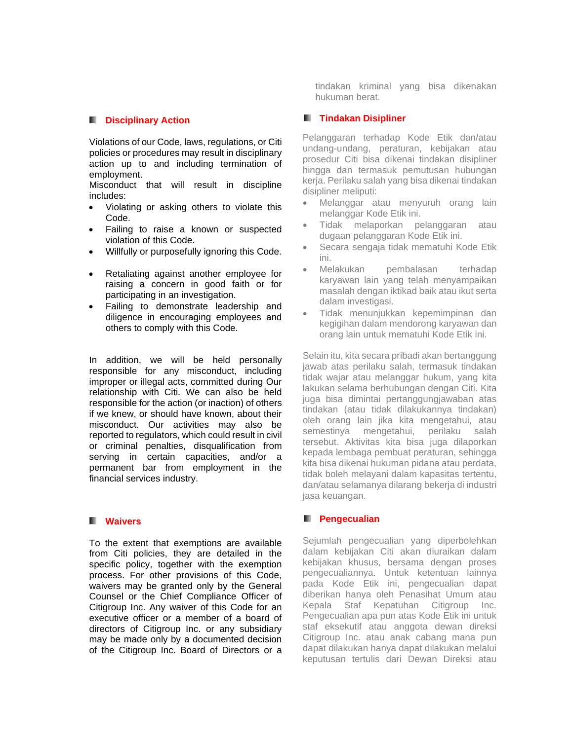#### **Disciplinary Action**

Violations of our Code, laws, regulations, or Citi policies or procedures may result in disciplinary action up to and including termination of employment.

Misconduct that will result in discipline includes:

- Violating or asking others to violate this Code.
- Failing to raise a known or suspected violation of this Code.
- Willfully or purposefully ignoring this Code.
- Retaliating against another employee for raising a concern in good faith or for participating in an investigation.
- Failing to demonstrate leadership and diligence in encouraging employees and others to comply with this Code.

In addition, we will be held personally responsible for any misconduct, including improper or illegal acts, committed during Our relationship with Citi. We can also be held responsible for the action (or inaction) of others if we knew, or should have known, about their misconduct. Our activities may also be reported to regulators, which could result in civil or criminal penalties, disqualification from serving in certain capacities, and/or a permanent bar from employment in the financial services industry.

#### **Waivers**

To the extent that exemptions are available from Citi policies, they are detailed in the specific policy, together with the exemption process. For other provisions of this Code, waivers may be granted only by the General Counsel or the Chief Compliance Officer of Citigroup Inc. Any waiver of this Code for an executive officer or a member of a board of directors of Citigroup Inc. or any subsidiary may be made only by a documented decision of the Citigroup Inc. Board of Directors or a tindakan kriminal yang bisa dikenakan hukuman berat.

#### **Tindakan Disipliner**

Pelanggaran terhadap Kode Etik dan/atau undang-undang, peraturan, kebijakan atau prosedur Citi bisa dikenai tindakan disipliner hingga dan termasuk pemutusan hubungan kerja. Perilaku salah yang bisa dikenai tindakan disipliner meliputi:

- Melanggar atau menyuruh orang lain melanggar Kode Etik ini.
- Tidak melaporkan pelanggaran atau dugaan pelanggaran Kode Etik ini.
- Secara sengaja tidak mematuhi Kode Etik ini.
- Melakukan pembalasan terhadap karyawan lain yang telah menyampaikan masalah dengan iktikad baik atau ikut serta dalam investigasi.
- Tidak menunjukkan kepemimpinan dan kegigihan dalam mendorong karyawan dan orang lain untuk mematuhi Kode Etik ini.

Selain itu, kita secara pribadi akan bertanggung jawab atas perilaku salah, termasuk tindakan tidak wajar atau melanggar hukum, yang kita lakukan selama berhubungan dengan Citi. Kita juga bisa dimintai pertanggungjawaban atas tindakan (atau tidak dilakukannya tindakan) oleh orang lain jika kita mengetahui, atau semestinya mengetahui, perilaku salah tersebut. Aktivitas kita bisa juga dilaporkan kepada lembaga pembuat peraturan, sehingga kita bisa dikenai hukuman pidana atau perdata, tidak boleh melayani dalam kapasitas tertentu, dan/atau selamanya dilarang bekerja di industri jasa keuangan.

#### **Pengecualian**

Sejumlah pengecualian yang diperbolehkan dalam kebijakan Citi akan diuraikan dalam kebijakan khusus, bersama dengan proses pengecualiannya. Untuk ketentuan lainnya pada Kode Etik ini, pengecualian dapat diberikan hanya oleh Penasihat Umum atau Kepala Staf Kepatuhan Citigroup Inc. Pengecualian apa pun atas Kode Etik ini untuk staf eksekutif atau anggota dewan direksi Citigroup Inc. atau anak cabang mana pun dapat dilakukan hanya dapat dilakukan melalui keputusan tertulis dari Dewan Direksi atau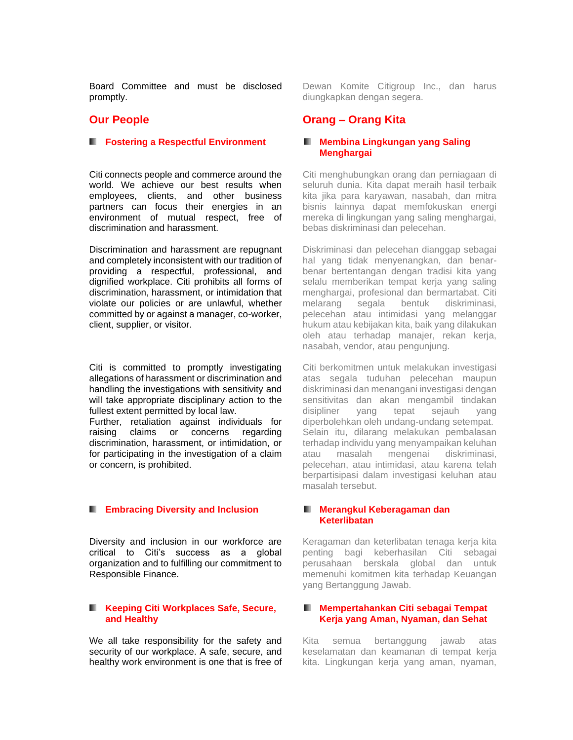Board Committee and must be disclosed promptly.

#### **Our People**

#### **Fostering a Respectful Environment**

Citi connects people and commerce around the world. We achieve our best results when employees, clients, and other business partners can focus their energies in an environment of mutual respect, free of discrimination and harassment.

Discrimination and harassment are repugnant and completely inconsistent with our tradition of providing a respectful, professional, and dignified workplace. Citi prohibits all forms of discrimination, harassment, or intimidation that violate our policies or are unlawful, whether committed by or against a manager, co-worker, client, supplier, or visitor.

Citi is committed to promptly investigating allegations of harassment or discrimination and handling the investigations with sensitivity and will take appropriate disciplinary action to the fullest extent permitted by local law.

Further, retaliation against individuals for raising claims or concerns regarding discrimination, harassment, or intimidation, or for participating in the investigation of a claim or concern, is prohibited.

#### **Embracing Diversity and Inclusion**

Diversity and inclusion in our workforce are critical to Citi's success as a global organization and to fulfilling our commitment to Responsible Finance.

#### **Keeping Citi Workplaces Safe, Secure, and Healthy**

We all take responsibility for the safety and security of our workplace. A safe, secure, and healthy work environment is one that is free of

Dewan Komite Citigroup Inc., dan harus diungkapkan dengan segera.

### **Orang – Orang Kita**

#### **Membina Lingkungan yang Saling Menghargai**

Citi menghubungkan orang dan perniagaan di seluruh dunia. Kita dapat meraih hasil terbaik kita jika para karyawan, nasabah, dan mitra bisnis lainnya dapat memfokuskan energi mereka di lingkungan yang saling menghargai, bebas diskriminasi dan pelecehan.

Diskriminasi dan pelecehan dianggap sebagai hal yang tidak menyenangkan, dan benarbenar bertentangan dengan tradisi kita yang selalu memberikan tempat kerja yang saling menghargai, profesional dan bermartabat. Citi melarang segala bentuk diskriminasi, pelecehan atau intimidasi yang melanggar hukum atau kebijakan kita, baik yang dilakukan oleh atau terhadap manajer, rekan kerja, nasabah, vendor, atau pengunjung.

Citi berkomitmen untuk melakukan investigasi atas segala tuduhan pelecehan maupun diskriminasi dan menangani investigasi dengan sensitivitas dan akan mengambil tindakan disipliner yang tepat sejauh yang diperbolehkan oleh undang-undang setempat. Selain itu, dilarang melakukan pembalasan terhadap individu yang menyampaikan keluhan atau masalah mengenai diskriminasi, pelecehan, atau intimidasi, atau karena telah berpartisipasi dalam investigasi keluhan atau masalah tersebut.

#### **Merangkul Keberagaman dan Keterlibatan**

Keragaman dan keterlibatan tenaga kerja kita penting bagi keberhasilan Citi sebagai perusahaan berskala global dan untuk memenuhi komitmen kita terhadap Keuangan yang Bertanggung Jawab.

#### **Mempertahankan Citi sebagai Tempat Kerja yang Aman, Nyaman, dan Sehat**

Kita semua bertanggung jawab atas keselamatan dan keamanan di tempat kerja kita. Lingkungan kerja yang aman, nyaman,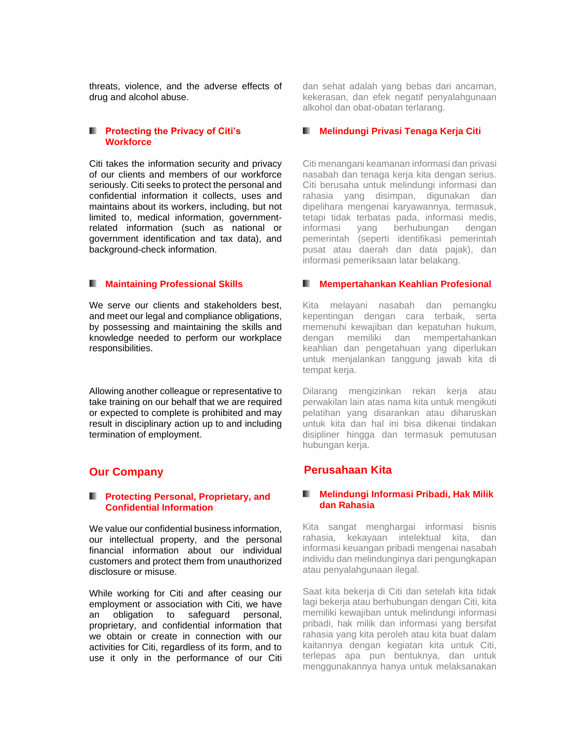threats, violence, and the adverse effects of drug and alcohol abuse.

#### **Protecting the Privacy of Citi's Workforce**

Citi takes the information security and privacy of our clients and members of our workforce seriously. Citi seeks to protect the personal and confidential information it collects, uses and maintains about its workers, including, but not limited to, medical information, governmentrelated information (such as national or government identification and tax data), and background-check information.

#### **Maintaining Professional Skills**

We serve our clients and stakeholders best, and meet our legal and compliance obligations, by possessing and maintaining the skills and knowledge needed to perform our workplace responsibilities.

Allowing another colleague or representative to take training on our behalf that we are required or expected to complete is prohibited and may result in disciplinary action up to and including termination of employment.

### **Our Company**

#### **Protecting Personal, Proprietary, and Confidential Information**

We value our confidential business information, our intellectual property, and the personal financial information about our individual customers and protect them from unauthorized disclosure or misuse.

While working for Citi and after ceasing our employment or association with Citi, we have an obligation to safeguard personal, proprietary, and confidential information that we obtain or create in connection with our activities for Citi, regardless of its form, and to use it only in the performance of our Citi

dan sehat adalah yang bebas dari ancaman, kekerasan, dan efek negatif penyalahgunaan alkohol dan obat-obatan terlarang.

#### **Melindungi Privasi Tenaga Kerja Citi**

Citi menangani keamanan informasi dan privasi nasabah dan tenaga kerja kita dengan serius. Citi berusaha untuk melindungi informasi dan rahasia yang disimpan, digunakan dan dipelihara mengenai karyawannya, termasuk, tetapi tidak terbatas pada, informasi medis, informasi yang berhubungan dengan pemerintah (seperti identifikasi pemerintah pusat atau daerah dan data pajak), dan informasi pemeriksaan latar belakang.

#### **Mempertahankan Keahlian Profesional**

Kita melayani nasabah dan pemangku kepentingan dengan cara terbaik, serta memenuhi kewajiban dan kepatuhan hukum, dengan memiliki dan mempertahankan keahlian dan pengetahuan yang diperlukan untuk menjalankan tanggung jawab kita di tempat kerja.

Dilarang mengizinkan rekan kerja atau perwakilan lain atas nama kita untuk mengikuti pelatihan yang disarankan atau diharuskan untuk kita dan hal ini bisa dikenai tindakan disipliner hingga dan termasuk pemutusan hubungan kerja.

### **Perusahaan Kita**

#### **Melindungi Informasi Pribadi, Hak Milik dan Rahasia**

Kita sangat menghargai informasi bisnis rahasia, kekayaan intelektual kita, dan informasi keuangan pribadi mengenai nasabah individu dan melindunginya dari pengungkapan atau penyalahgunaan ilegal.

Saat kita bekerja di Citi dan setelah kita tidak lagi bekerja atau berhubungan dengan Citi, kita memiliki kewajiban untuk melindungi informasi pribadi, hak milik dan informasi yang bersifat rahasia yang kita peroleh atau kita buat dalam kaitannya dengan kegiatan kita untuk Citi, terlepas apa pun bentuknya, dan untuk menggunakannya hanya untuk melaksanakan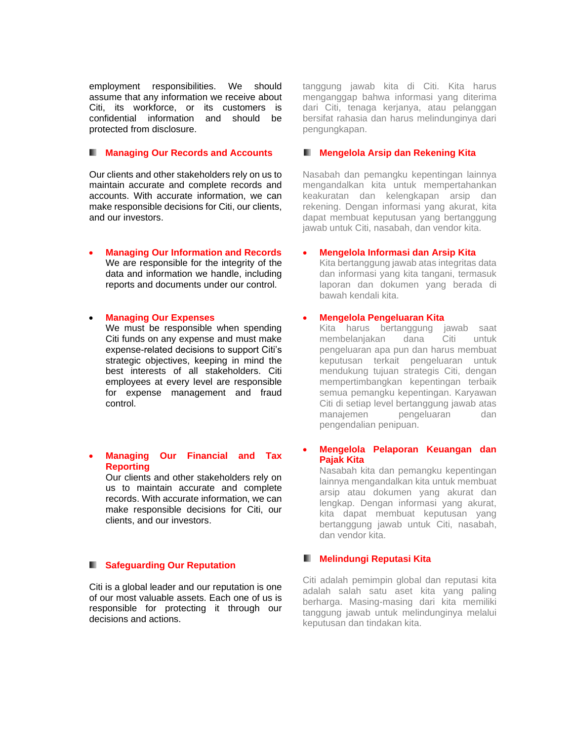employment responsibilities. We should assume that any information we receive about Citi, its workforce, or its customers is confidential information and should be protected from disclosure.

#### **K. Managing Our Records and Accounts**

Our clients and other stakeholders rely on us to maintain accurate and complete records and accounts. With accurate information, we can make responsible decisions for Citi, our clients, and our investors.

• **Managing Our Information and Records** We are responsible for the integrity of the data and information we handle, including reports and documents under our control.

#### • **Managing Our Expenses**

We must be responsible when spending Citi funds on any expense and must make expense-related decisions to support Citi's strategic objectives, keeping in mind the best interests of all stakeholders. Citi employees at every level are responsible for expense management and fraud control.

#### • **Managing Our Financial and Tax Reporting**

Our clients and other stakeholders rely on us to maintain accurate and complete records. With accurate information, we can make responsible decisions for Citi, our clients, and our investors.

#### **F** Safeguarding Our Reputation

Citi is a global leader and our reputation is one of our most valuable assets. Each one of us is responsible for protecting it through our decisions and actions.

tanggung jawab kita di Citi. Kita harus menganggap bahwa informasi yang diterima dari Citi, tenaga kerjanya, atau pelanggan bersifat rahasia dan harus melindunginya dari pengungkapan.

#### **Mengelola Arsip dan Rekening Kita**

Nasabah dan pemangku kepentingan lainnya mengandalkan kita untuk mempertahankan keakuratan dan kelengkapan arsip dan rekening. Dengan informasi yang akurat, kita dapat membuat keputusan yang bertanggung jawab untuk Citi, nasabah, dan vendor kita.

#### • **Mengelola Informasi dan Arsip Kita**

Kita bertanggung jawab atas integritas data dan informasi yang kita tangani, termasuk laporan dan dokumen yang berada di bawah kendali kita.

#### • **Mengelola Pengeluaran Kita**

Kita harus bertanggung jawab saat membelanjakan dana Citi untuk pengeluaran apa pun dan harus membuat keputusan terkait pengeluaran untuk mendukung tujuan strategis Citi, dengan mempertimbangkan kepentingan terbaik semua pemangku kepentingan. Karyawan Citi di setiap level bertanggung jawab atas manajemen pengeluaran dan pengendalian penipuan.

#### • **Mengelola Pelaporan Keuangan dan Pajak Kita**

Nasabah kita dan pemangku kepentingan lainnya mengandalkan kita untuk membuat arsip atau dokumen yang akurat dan lengkap. Dengan informasi yang akurat, kita dapat membuat keputusan yang bertanggung jawab untuk Citi, nasabah, dan vendor kita.

#### **Melindungi Reputasi Kita**

Citi adalah pemimpin global dan reputasi kita adalah salah satu aset kita yang paling berharga. Masing-masing dari kita memiliki tanggung jawab untuk melindunginya melalui keputusan dan tindakan kita.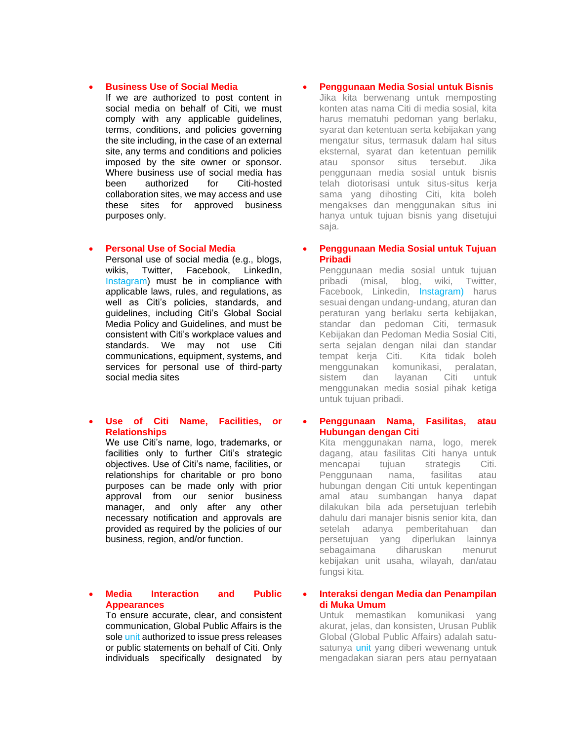#### • **Business Use of Social Media**

If we are authorized to post content in social media on behalf of Citi, we must comply with any applicable guidelines, terms, conditions, and policies governing the site including, in the case of an external site, any terms and conditions and policies imposed by the site owner or sponsor. Where business use of social media has been authorized for Citi-hosted collaboration sites, we may access and use these sites for approved business purposes only.

#### • **Personal Use of Social Media**

Personal use of social media (e.g., blogs, wikis, Twitter, Facebook, LinkedIn, Instagram) must be in compliance with applicable laws, rules, and regulations, as well as Citi's policies, standards, and guidelines, including Citi's Global Social Media Policy and Guidelines, and must be consistent with Citi's workplace values and standards. We may not use Citi communications, equipment, systems, and services for personal use of third-party social media sites

#### • **Use of Citi Name, Facilities, or Relationships**

We use Citi's name, logo, trademarks, or facilities only to further Citi's strategic objectives. Use of Citi's name, facilities, or relationships for charitable or pro bono purposes can be made only with prior approval from our senior business manager, and only after any other necessary notification and approvals are provided as required by the policies of our business, region, and/or function.

#### • **Media Interaction and Public Appearances**

To ensure accurate, clear, and consistent communication, Global Public Affairs is the sole unit authorized to issue press releases or public statements on behalf of Citi. Only individuals specifically designated by

#### • **Penggunaan Media Sosial untuk Bisnis**

Jika kita berwenang untuk memposting konten atas nama Citi di media sosial, kita harus mematuhi pedoman yang berlaku, syarat dan ketentuan serta kebijakan yang mengatur situs, termasuk dalam hal situs eksternal, syarat dan ketentuan pemilik atau sponsor situs tersebut. Jika penggunaan media sosial untuk bisnis telah diotorisasi untuk situs-situs kerja sama yang dihosting Citi, kita boleh mengakses dan menggunakan situs ini hanya untuk tujuan bisnis yang disetujui saja.

#### • **Penggunaan Media Sosial untuk Tujuan Pribadi**

Penggunaan media sosial untuk tujuan pribadi (misal, blog, wiki, Twitter, Facebook, Linkedin, Instagram) harus sesuai dengan undang-undang, aturan dan peraturan yang berlaku serta kebijakan, standar dan pedoman Citi, termasuk Kebijakan dan Pedoman Media Sosial Citi, serta sejalan dengan nilai dan standar tempat kerja Citi. Kita tidak boleh menggunakan komunikasi, peralatan, sistem dan layanan Citi untuk menggunakan media sosial pihak ketiga untuk tujuan pribadi.

#### • **Penggunaan Nama, Fasilitas, atau Hubungan dengan Citi**

Kita menggunakan nama, logo, merek dagang, atau fasilitas Citi hanya untuk mencapai tujuan strategis Citi. Penggunaan nama, fasilitas atau hubungan dengan Citi untuk kepentingan amal atau sumbangan hanya dapat dilakukan bila ada persetujuan terlebih dahulu dari manajer bisnis senior kita, dan setelah adanya pemberitahuan dan persetujuan yang diperlukan lainnya sebagaimana diharuskan menurut kebijakan unit usaha, wilayah, dan/atau fungsi kita.

#### • **Interaksi dengan Media dan Penampilan di Muka Umum**

Untuk memastikan komunikasi yang akurat, jelas, dan konsisten, Urusan Publik Global (Global Public Affairs) adalah satusatunya unit yang diberi wewenang untuk mengadakan siaran pers atau pernyataan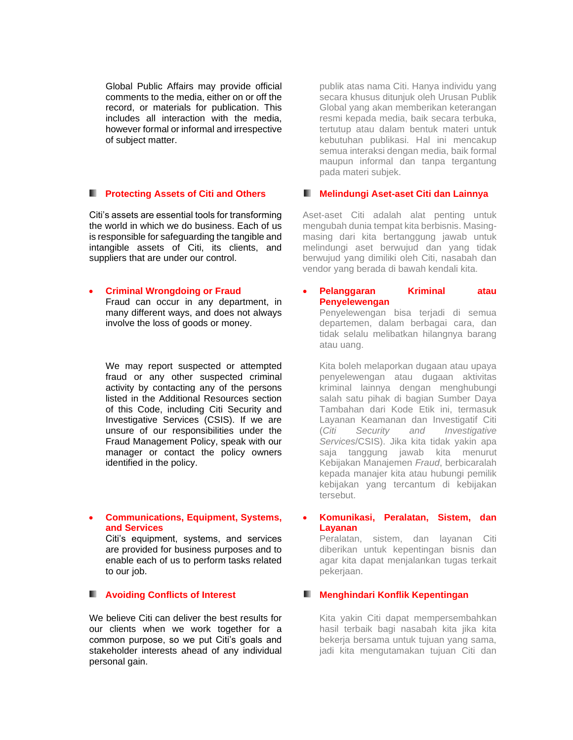Global Public Affairs may provide official comments to the media, either on or off the record, or materials for publication. This includes all interaction with the media, however formal or informal and irrespective of subject matter.

# **Protecting Assets of Citi and Others**

Citi's assets are essential tools for transforming the world in which we do business. Each of us is responsible for safeguarding the tangible and intangible assets of Citi, its clients, and suppliers that are under our control.

#### • **Criminal Wrongdoing or Fraud**

Fraud can occur in any department, in many different ways, and does not always involve the loss of goods or money.

We may report suspected or attempted fraud or any other suspected criminal activity by contacting any of the persons listed in the Additional Resources section of this Code, including Citi Security and Investigative Services (CSIS). If we are unsure of our responsibilities under the Fraud Management Policy, speak with our manager or contact the policy owners identified in the policy.

#### • **Communications, Equipment, Systems, and Services**

Citi's equipment, systems, and services are provided for business purposes and to enable each of us to perform tasks related to our job.

#### **Avoiding Conflicts of Interest**

We believe Citi can deliver the best results for our clients when we work together for a common purpose, so we put Citi's goals and stakeholder interests ahead of any individual personal gain.

publik atas nama Citi. Hanya individu yang secara khusus ditunjuk oleh Urusan Publik Global yang akan memberikan keterangan resmi kepada media, baik secara terbuka, tertutup atau dalam bentuk materi untuk kebutuhan publikasi. Hal ini mencakup semua interaksi dengan media, baik formal maupun informal dan tanpa tergantung pada materi subjek.

#### **Melindungi Aset-aset Citi dan Lainnya**

Aset-aset Citi adalah alat penting untuk mengubah dunia tempat kita berbisnis. Masingmasing dari kita bertanggung jawab untuk melindungi aset berwujud dan yang tidak berwujud yang dimiliki oleh Citi, nasabah dan vendor yang berada di bawah kendali kita.

#### • **Pelanggaran Kriminal atau Penyelewengan** Penyelewengan bisa terjadi di semua

departemen, dalam berbagai cara, dan tidak selalu melibatkan hilangnya barang atau uang.

Kita boleh melaporkan dugaan atau upaya penyelewengan atau dugaan aktivitas kriminal lainnya dengan menghubungi salah satu pihak di bagian Sumber Daya Tambahan dari Kode Etik ini, termasuk Layanan Keamanan dan Investigatif Citi (*Citi Security and Investigative Services*/CSIS). Jika kita tidak yakin apa saja tanggung jawab kita menurut Kebijakan Manajemen *Fraud*, berbicaralah kepada manajer kita atau hubungi pemilik kebijakan yang tercantum di kebijakan tersebut.

#### • **Komunikasi, Peralatan, Sistem, dan Layanan**

Peralatan, sistem, dan layanan Citi diberikan untuk kepentingan bisnis dan agar kita dapat menjalankan tugas terkait pekerjaan.

#### **Menghindari Konflik Kepentingan**

Kita yakin Citi dapat mempersembahkan hasil terbaik bagi nasabah kita jika kita bekerja bersama untuk tujuan yang sama, jadi kita mengutamakan tujuan Citi dan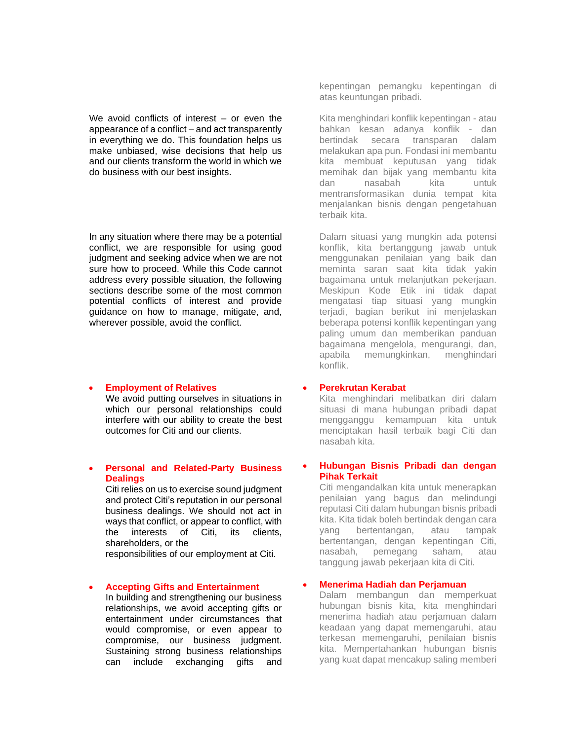We avoid conflicts of interest – or even the appearance of a conflict – and act transparently in everything we do. This foundation helps us make unbiased, wise decisions that help us and our clients transform the world in which we do business with our best insights.

In any situation where there may be a potential conflict, we are responsible for using good judgment and seeking advice when we are not sure how to proceed. While this Code cannot address every possible situation, the following sections describe some of the most common potential conflicts of interest and provide guidance on how to manage, mitigate, and, wherever possible, avoid the conflict.

#### • **Employment of Relatives**

We avoid putting ourselves in situations in which our personal relationships could interfere with our ability to create the best outcomes for Citi and our clients.

#### • **Personal and Related-Party Business Dealings**

Citi relies on us to exercise sound judgment and protect Citi's reputation in our personal business dealings. We should not act in ways that conflict, or appear to conflict, with the interests of Citi, its clients, shareholders, or the

responsibilities of our employment at Citi.

#### • **Accepting Gifts and Entertainment**

In building and strengthening our business relationships, we avoid accepting gifts or entertainment under circumstances that would compromise, or even appear to compromise, our business judgment. Sustaining strong business relationships can include exchanging gifts and

kepentingan pemangku kepentingan di atas keuntungan pribadi.

Kita menghindari konflik kepentingan - atau bahkan kesan adanya konflik - dan bertindak secara transparan dalam melakukan apa pun. Fondasi ini membantu kita membuat keputusan yang tidak memihak dan bijak yang membantu kita dan nasabah kita untuk mentransformasikan dunia tempat kita menjalankan bisnis dengan pengetahuan terbaik kita.

Dalam situasi yang mungkin ada potensi konflik, kita bertanggung jawab untuk menggunakan penilaian yang baik dan meminta saran saat kita tidak yakin bagaimana untuk melanjutkan pekerjaan. Meskipun Kode Etik ini tidak dapat mengatasi tiap situasi yang mungkin terjadi, bagian berikut ini menjelaskan beberapa potensi konflik kepentingan yang paling umum dan memberikan panduan bagaimana mengelola, mengurangi, dan, apabila memungkinkan, menghindari konflik.

#### • **Perekrutan Kerabat**

Kita menghindari melibatkan diri dalam situasi di mana hubungan pribadi dapat mengganggu kemampuan kita untuk menciptakan hasil terbaik bagi Citi dan nasabah kita.

#### • **Hubungan Bisnis Pribadi dan dengan Pihak Terkait**

Citi mengandalkan kita untuk menerapkan penilaian yang bagus dan melindungi reputasi Citi dalam hubungan bisnis pribadi kita. Kita tidak boleh bertindak dengan cara yang bertentangan, atau tampak bertentangan, dengan kepentingan Citi, nasabah, pemegang saham, atau tanggung jawab pekerjaan kita di Citi.

#### • **Menerima Hadiah dan Perjamuan**

Dalam membangun dan memperkuat hubungan bisnis kita, kita menghindari menerima hadiah atau perjamuan dalam keadaan yang dapat memengaruhi, atau terkesan memengaruhi, penilaian bisnis kita. Mempertahankan hubungan bisnis yang kuat dapat mencakup saling memberi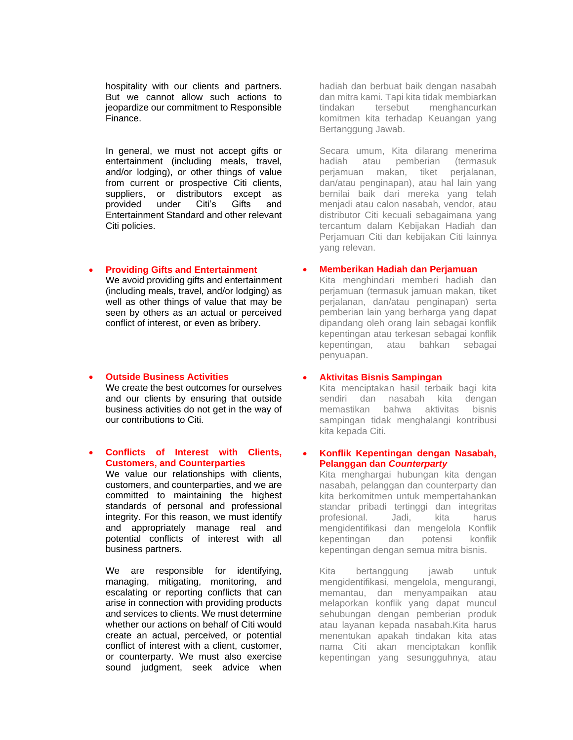hospitality with our clients and partners. But we cannot allow such actions to jeopardize our commitment to Responsible Finance.

In general, we must not accept gifts or entertainment (including meals, travel, and/or lodging), or other things of value from current or prospective Citi clients, suppliers, or distributors except as provided under Citi's Gifts and Entertainment Standard and other relevant Citi policies.

#### • **Providing Gifts and Entertainment**

We avoid providing gifts and entertainment (including meals, travel, and/or lodging) as well as other things of value that may be seen by others as an actual or perceived conflict of interest, or even as bribery.

#### • **Outside Business Activities**

We create the best outcomes for ourselves and our clients by ensuring that outside business activities do not get in the way of our contributions to Citi.

#### • **Conflicts of Interest with Clients, Customers, and Counterparties**

We value our relationships with clients, customers, and counterparties, and we are committed to maintaining the highest standards of personal and professional integrity. For this reason, we must identify and appropriately manage real and potential conflicts of interest with all business partners.

We are responsible for identifying, managing, mitigating, monitoring, and escalating or reporting conflicts that can arise in connection with providing products and services to clients. We must determine whether our actions on behalf of Citi would create an actual, perceived, or potential conflict of interest with a client, customer, or counterparty. We must also exercise sound judgment, seek advice when hadiah dan berbuat baik dengan nasabah dan mitra kami. Tapi kita tidak membiarkan tindakan tersebut menghancurkan komitmen kita terhadap Keuangan yang Bertanggung Jawab.

Secara umum, Kita dilarang menerima hadiah atau pemberian (termasuk perjamuan makan, tiket perjalanan, dan/atau penginapan), atau hal lain yang bernilai baik dari mereka yang telah menjadi atau calon nasabah, vendor, atau distributor Citi kecuali sebagaimana yang tercantum dalam Kebijakan Hadiah dan Perjamuan Citi dan kebijakan Citi lainnya yang relevan.

#### • **Memberikan Hadiah dan Perjamuan**

Kita menghindari memberi hadiah dan perjamuan (termasuk jamuan makan, tiket perjalanan, dan/atau penginapan) serta pemberian lain yang berharga yang dapat dipandang oleh orang lain sebagai konflik kepentingan atau terkesan sebagai konflik kepentingan, atau bahkan sebagai penyuapan.

#### • **Aktivitas Bisnis Sampingan**

Kita menciptakan hasil terbaik bagi kita sendiri dan nasabah kita dengan memastikan bahwa aktivitas bisnis sampingan tidak menghalangi kontribusi kita kepada Citi.

#### • **Konflik Kepentingan dengan Nasabah, Pelanggan dan** *Counterparty*

Kita menghargai hubungan kita dengan nasabah, pelanggan dan counterparty dan kita berkomitmen untuk mempertahankan standar pribadi tertinggi dan integritas profesional. Jadi, kita harus mengidentifikasi dan mengelola Konflik kepentingan dan potensi konflik kepentingan dengan semua mitra bisnis.

Kita bertanggung jawab untuk mengidentifikasi, mengelola, mengurangi, memantau, dan menyampaikan atau melaporkan konflik yang dapat muncul sehubungan dengan pemberian produk atau layanan kepada nasabah.Kita harus menentukan apakah tindakan kita atas nama Citi akan menciptakan konflik kepentingan yang sesungguhnya, atau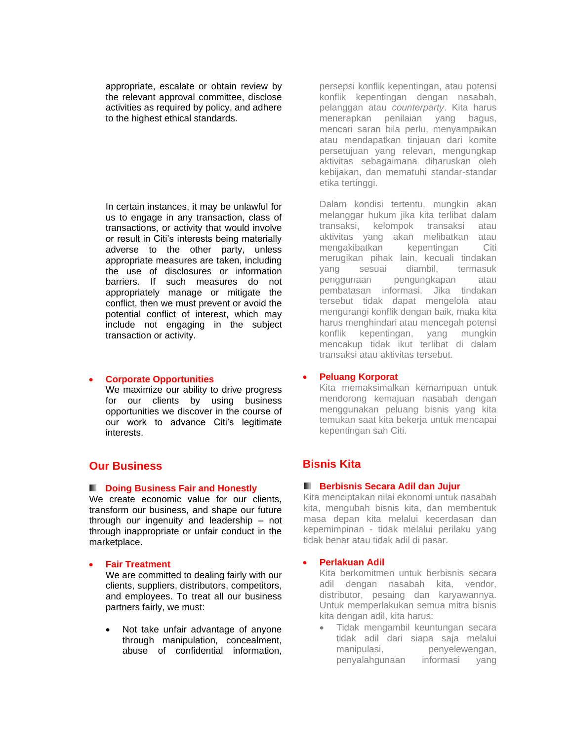appropriate, escalate or obtain review by the relevant approval committee, disclose activities as required by policy, and adhere to the highest ethical standards.

In certain instances, it may be unlawful for us to engage in any transaction, class of transactions, or activity that would involve or result in Citi's interests being materially adverse to the other party, unless appropriate measures are taken, including the use of disclosures or information barriers. If such measures do not appropriately manage or mitigate the conflict, then we must prevent or avoid the potential conflict of interest, which may include not engaging in the subject transaction or activity.

#### • **Corporate Opportunities**

We maximize our ability to drive progress for our clients by using business opportunities we discover in the course of our work to advance Citi's legitimate interests.

### **Our Business**

#### **Doing Business Fair and Honestly**

We create economic value for our clients, transform our business, and shape our future through our ingenuity and leadership – not through inappropriate or unfair conduct in the marketplace.

#### • **Fair Treatment**

We are committed to dealing fairly with our clients, suppliers, distributors, competitors, and employees. To treat all our business partners fairly, we must:

Not take unfair advantage of anyone through manipulation, concealment, abuse of confidential information,

persepsi konflik kepentingan, atau potensi konflik kepentingan dengan nasabah, pelanggan atau *counterparty*. Kita harus menerapkan penilaian yang bagus, mencari saran bila perlu, menyampaikan atau mendapatkan tinjauan dari komite persetujuan yang relevan, mengungkap aktivitas sebagaimana diharuskan oleh kebijakan, dan mematuhi standar-standar etika tertinggi.

Dalam kondisi tertentu, mungkin akan melanggar hukum jika kita terlibat dalam transaksi, kelompok transaksi atau aktivitas yang akan melibatkan atau mengakibatkan kepentingan Citi merugikan pihak lain, kecuali tindakan yang sesuai diambil, termasuk penggunaan pengungkapan atau pembatasan informasi. Jika tindakan tersebut tidak dapat mengelola atau mengurangi konflik dengan baik, maka kita harus menghindari atau mencegah potensi konflik kepentingan, yang mungkin mencakup tidak ikut terlibat di dalam transaksi atau aktivitas tersebut.

#### • **Peluang Korporat**

Kita memaksimalkan kemampuan untuk mendorong kemajuan nasabah dengan menggunakan peluang bisnis yang kita temukan saat kita bekerja untuk mencapai kepentingan sah Citi.

# **Bisnis Kita**

#### **Berbisnis Secara Adil dan Jujur**

Kita menciptakan nilai ekonomi untuk nasabah kita, mengubah bisnis kita, dan membentuk masa depan kita melalui kecerdasan dan kepemimpinan - tidak melalui perilaku yang tidak benar atau tidak adil di pasar.

#### • **Perlakuan Adil**

Kita berkomitmen untuk berbisnis secara adil dengan nasabah kita, vendor, distributor, pesaing dan karyawannya. Untuk memperlakukan semua mitra bisnis kita dengan adil, kita harus:

• Tidak mengambil keuntungan secara tidak adil dari siapa saja melalui manipulasi, penyelewengan, penyalahgunaan informasi yang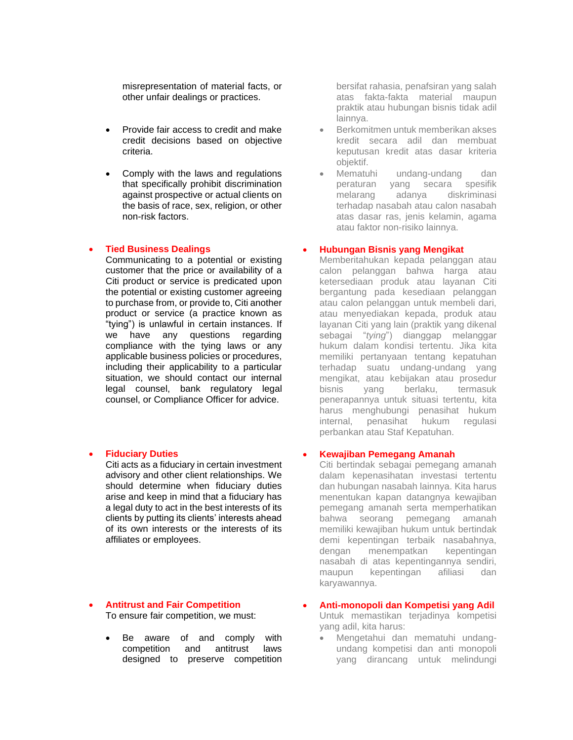misrepresentation of material facts, or other unfair dealings or practices.

- Provide fair access to credit and make credit decisions based on objective criteria.
- Comply with the laws and regulations that specifically prohibit discrimination against prospective or actual clients on the basis of race, sex, religion, or other non-risk factors.

#### • **Tied Business Dealings**

Communicating to a potential or existing customer that the price or availability of a Citi product or service is predicated upon the potential or existing customer agreeing to purchase from, or provide to, Citi another product or service (a practice known as "tying") is unlawful in certain instances. If we have any questions regarding compliance with the tying laws or any applicable business policies or procedures, including their applicability to a particular situation, we should contact our internal legal counsel, bank regulatory legal counsel, or Compliance Officer for advice.

#### • **Fiduciary Duties**

Citi acts as a fiduciary in certain investment advisory and other client relationships. We should determine when fiduciary duties arise and keep in mind that a fiduciary has a legal duty to act in the best interests of its clients by putting its clients' interests ahead of its own interests or the interests of its affiliates or employees.

#### • **Antitrust and Fair Competition** To ensure fair competition, we must:

Be aware of and comply with competition and antitrust laws designed to preserve competition bersifat rahasia, penafsiran yang salah atas fakta-fakta material maupun praktik atau hubungan bisnis tidak adil lainnya.

- Berkomitmen untuk memberikan akses kredit secara adil dan membuat keputusan kredit atas dasar kriteria objektif.
- Mematuhi undang-undang dan peraturan yang secara spesifik melarang adanya diskriminasi terhadap nasabah atau calon nasabah atas dasar ras, jenis kelamin, agama atau faktor non-risiko lainnya.

#### • **Hubungan Bisnis yang Mengikat**

Memberitahukan kepada pelanggan atau calon pelanggan bahwa harga atau ketersediaan produk atau layanan Citi bergantung pada kesediaan pelanggan atau calon pelanggan untuk membeli dari, atau menyediakan kepada, produk atau layanan Citi yang lain (praktik yang dikenal sebagai "*tying*") dianggap melanggar hukum dalam kondisi tertentu. Jika kita memiliki pertanyaan tentang kepatuhan terhadap suatu undang-undang yang mengikat, atau kebijakan atau prosedur bisnis yang berlaku, termasuk penerapannya untuk situasi tertentu, kita harus menghubungi penasihat hukum internal, penasihat hukum regulasi perbankan atau Staf Kepatuhan.

#### • **Kewajiban Pemegang Amanah**

Citi bertindak sebagai pemegang amanah dalam kepenasihatan investasi tertentu dan hubungan nasabah lainnya. Kita harus menentukan kapan datangnya kewajiban pemegang amanah serta memperhatikan bahwa seorang pemegang amanah memiliki kewajiban hukum untuk bertindak demi kepentingan terbaik nasabahnya, dengan menempatkan kepentingan nasabah di atas kepentingannya sendiri, maupun kepentingan afiliasi dan karyawannya.

# • **Anti-monopoli dan Kompetisi yang Adil**

Untuk memastikan terjadinya kompetisi yang adil, kita harus:

• Mengetahui dan mematuhi undangundang kompetisi dan anti monopoli yang dirancang untuk melindungi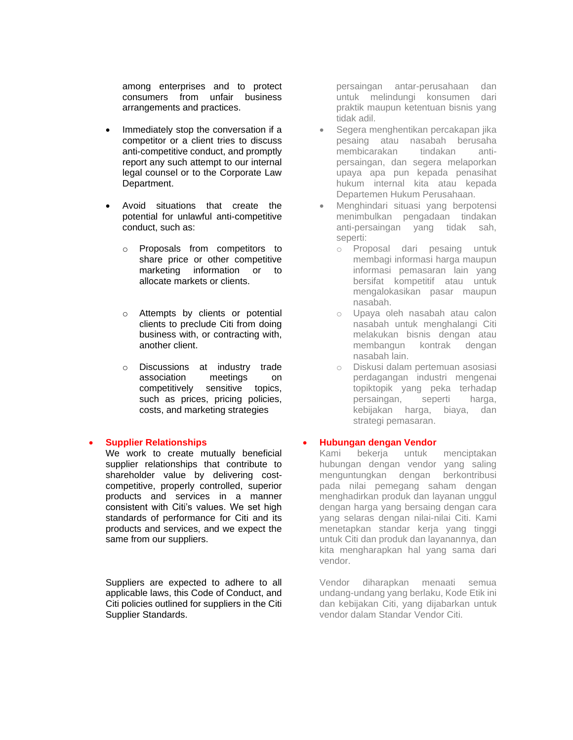among enterprises and to protect consumers from unfair business arrangements and practices.

- Immediately stop the conversation if a competitor or a client tries to discuss anti-competitive conduct, and promptly report any such attempt to our internal legal counsel or to the Corporate Law Department.
- Avoid situations that create the potential for unlawful anti-competitive conduct, such as:
	- o Proposals from competitors to share price or other competitive marketing information or to allocate markets or clients.
	- o Attempts by clients or potential clients to preclude Citi from doing business with, or contracting with, another client.
	- o Discussions at industry trade association meetings on competitively sensitive topics, such as prices, pricing policies, costs, and marketing strategies

#### • **Supplier Relationships**

We work to create mutually beneficial supplier relationships that contribute to shareholder value by delivering costcompetitive, properly controlled, superior products and services in a manner consistent with Citi's values. We set high standards of performance for Citi and its products and services, and we expect the same from our suppliers.

Suppliers are expected to adhere to all applicable laws, this Code of Conduct, and Citi policies outlined for suppliers in the Citi Supplier Standards.

persaingan antar-perusahaan dan untuk melindungi konsumen dari praktik maupun ketentuan bisnis yang tidak adil.

- Segera menghentikan percakapan jika pesaing atau nasabah berusaha membicarakan tindakan antipersaingan, dan segera melaporkan upaya apa pun kepada penasihat hukum internal kita atau kepada Departemen Hukum Perusahaan.
- Menghindari situasi yang berpotensi menimbulkan pengadaan tindakan anti-persaingan yang tidak sah, seperti:
	- o Proposal dari pesaing untuk membagi informasi harga maupun informasi pemasaran lain yang bersifat kompetitif atau untuk mengalokasikan pasar maupun nasabah.
	- o Upaya oleh nasabah atau calon nasabah untuk menghalangi Citi melakukan bisnis dengan atau membangun kontrak dengan nasabah lain.
	- o Diskusi dalam pertemuan asosiasi perdagangan industri mengenai topiktopik yang peka terhadap persaingan, seperti harga, kebijakan harga, biaya, dan strategi pemasaran.

#### • **Hubungan dengan Vendor**

Kami bekerja untuk menciptakan hubungan dengan vendor yang saling menguntungkan dengan berkontribusi pada nilai pemegang saham dengan menghadirkan produk dan layanan unggul dengan harga yang bersaing dengan cara yang selaras dengan nilai-nilai Citi. Kami menetapkan standar kerja yang tinggi untuk Citi dan produk dan layanannya, dan kita mengharapkan hal yang sama dari vendor.

Vendor diharapkan menaati semua undang-undang yang berlaku, Kode Etik ini dan kebijakan Citi, yang dijabarkan untuk vendor dalam Standar Vendor Citi.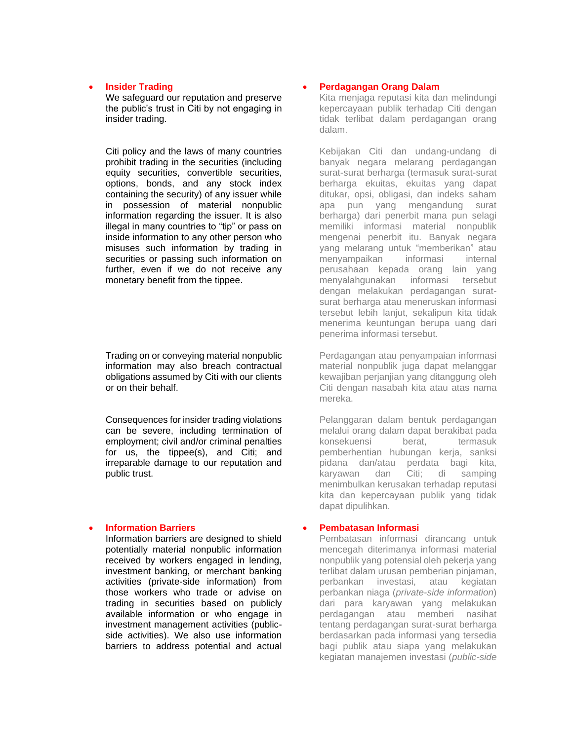#### • **Insider Trading**

We safeguard our reputation and preserve the public's trust in Citi by not engaging in insider trading.

Citi policy and the laws of many countries prohibit trading in the securities (including equity securities, convertible securities, options, bonds, and any stock index containing the security) of any issuer while in possession of material nonpublic information regarding the issuer. It is also illegal in many countries to "tip" or pass on inside information to any other person who misuses such information by trading in securities or passing such information on further, even if we do not receive any monetary benefit from the tippee.

Trading on or conveying material nonpublic information may also breach contractual obligations assumed by Citi with our clients or on their behalf.

Consequences for insider trading violations can be severe, including termination of employment; civil and/or criminal penalties for us, the tippee(s), and Citi; and irreparable damage to our reputation and public trust.

#### • **Information Barriers**

Information barriers are designed to shield potentially material nonpublic information received by workers engaged in lending, investment banking, or merchant banking activities (private-side information) from those workers who trade or advise on trading in securities based on publicly available information or who engage in investment management activities (publicside activities). We also use information barriers to address potential and actual

#### • **Perdagangan Orang Dalam**

Kita menjaga reputasi kita dan melindungi kepercayaan publik terhadap Citi dengan tidak terlibat dalam perdagangan orang dalam.

Kebijakan Citi dan undang-undang di banyak negara melarang perdagangan surat-surat berharga (termasuk surat-surat berharga ekuitas, ekuitas yang dapat ditukar, opsi, obligasi, dan indeks saham apa pun yang mengandung surat berharga) dari penerbit mana pun selagi memiliki informasi material nonpublik mengenai penerbit itu. Banyak negara yang melarang untuk "memberikan" atau menyampaikan informasi internal perusahaan kepada orang lain yang menyalahgunakan informasi tersebut dengan melakukan perdagangan suratsurat berharga atau meneruskan informasi tersebut lebih lanjut, sekalipun kita tidak menerima keuntungan berupa uang dari penerima informasi tersebut.

Perdagangan atau penyampaian informasi material nonpublik juga dapat melanggar kewajiban perjanjian yang ditanggung oleh Citi dengan nasabah kita atau atas nama mereka.

Pelanggaran dalam bentuk perdagangan melalui orang dalam dapat berakibat pada konsekuensi berat, termasuk pemberhentian hubungan kerja, sanksi pidana dan/atau perdata bagi kita, karyawan dan Citi; di samping menimbulkan kerusakan terhadap reputasi kita dan kepercayaan publik yang tidak dapat dipulihkan.

#### • **Pembatasan Informasi**

Pembatasan informasi dirancang untuk mencegah diterimanya informasi material nonpublik yang potensial oleh pekerja yang terlibat dalam urusan pemberian pinjaman, perbankan investasi, atau kegiatan perbankan niaga (*private-side information*) dari para karyawan yang melakukan perdagangan atau memberi nasihat tentang perdagangan surat-surat berharga berdasarkan pada informasi yang tersedia bagi publik atau siapa yang melakukan kegiatan manajemen investasi (*public-side*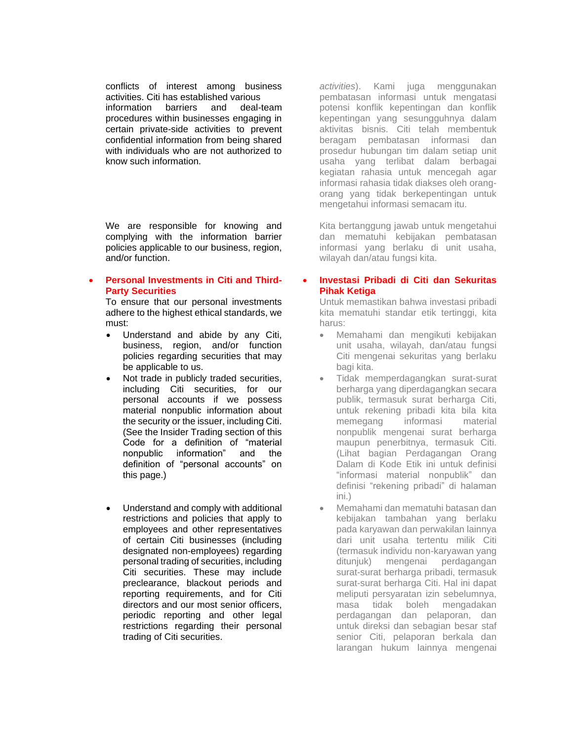conflicts of interest among business activities. Citi has established various information barriers and deal-team procedures within businesses engaging in certain private-side activities to prevent confidential information from being shared with individuals who are not authorized to know such information.

We are responsible for knowing and complying with the information barrier policies applicable to our business, region, and/or function.

#### • **Personal Investments in Citi and Third-Party Securities**

To ensure that our personal investments adhere to the highest ethical standards, we must:

- Understand and abide by any Citi, business, region, and/or function policies regarding securities that may be applicable to us.
- Not trade in publicly traded securities, including Citi securities, for our personal accounts if we possess material nonpublic information about the security or the issuer, including Citi. (See the Insider Trading section of this Code for a definition of "material nonpublic information" and the definition of "personal accounts" on this page.)
- Understand and comply with additional restrictions and policies that apply to employees and other representatives of certain Citi businesses (including designated non-employees) regarding personal trading of securities, including Citi securities. These may include preclearance, blackout periods and reporting requirements, and for Citi directors and our most senior officers, periodic reporting and other legal restrictions regarding their personal trading of Citi securities.

*activities*). Kami juga menggunakan pembatasan informasi untuk mengatasi potensi konflik kepentingan dan konflik kepentingan yang sesungguhnya dalam aktivitas bisnis. Citi telah membentuk beragam pembatasan informasi dan prosedur hubungan tim dalam setiap unit usaha yang terlibat dalam berbagai kegiatan rahasia untuk mencegah agar informasi rahasia tidak diakses oleh orangorang yang tidak berkepentingan untuk mengetahui informasi semacam itu.

Kita bertanggung jawab untuk mengetahui dan mematuhi kebijakan pembatasan informasi yang berlaku di unit usaha, wilayah dan/atau fungsi kita.

#### • **Investasi Pribadi di Citi dan Sekuritas Pihak Ketiga**

Untuk memastikan bahwa investasi pribadi kita mematuhi standar etik tertinggi, kita harus:

- Memahami dan mengikuti kebijakan unit usaha, wilayah, dan/atau fungsi Citi mengenai sekuritas yang berlaku bagi kita.
- Tidak memperdagangkan surat-surat berharga yang diperdagangkan secara publik, termasuk surat berharga Citi, untuk rekening pribadi kita bila kita memegang informasi material nonpublik mengenai surat berharga maupun penerbitnya, termasuk Citi. (Lihat bagian Perdagangan Orang Dalam di Kode Etik ini untuk definisi "informasi material nonpublik" dan definisi "rekening pribadi" di halaman ini.)
- Memahami dan mematuhi batasan dan kebijakan tambahan yang berlaku pada karyawan dan perwakilan lainnya dari unit usaha tertentu milik Citi (termasuk individu non-karyawan yang ditunjuk) mengenai perdagangan surat-surat berharga pribadi, termasuk surat-surat berharga Citi. Hal ini dapat meliputi persyaratan izin sebelumnya, masa tidak boleh mengadakan perdagangan dan pelaporan, dan untuk direksi dan sebagian besar staf senior Citi, pelaporan berkala dan larangan hukum lainnya mengenai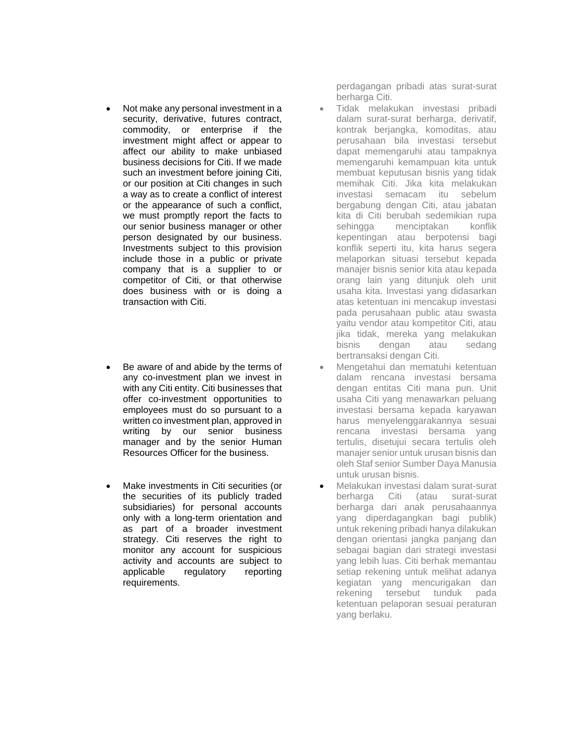- Not make any personal investment in a security, derivative, futures contract, commodity, or enterprise if the investment might affect or appear to affect our ability to make unbiased business decisions for Citi. If we made such an investment before joining Citi, or our position at Citi changes in such a way as to create a conflict of interest or the appearance of such a conflict, we must promptly report the facts to our senior business manager or other person designated by our business. Investments subject to this provision include those in a public or private company that is a supplier to or competitor of Citi, or that otherwise does business with or is doing a transaction with Citi.
- Be aware of and abide by the terms of any co-investment plan we invest in with any Citi entity. Citi businesses that offer co-investment opportunities to employees must do so pursuant to a written co investment plan, approved in writing by our senior business manager and by the senior Human Resources Officer for the business.
- Make investments in Citi securities (or the securities of its publicly traded subsidiaries) for personal accounts only with a long-term orientation and as part of a broader investment strategy. Citi reserves the right to monitor any account for suspicious activity and accounts are subject to applicable regulatory reporting requirements.

perdagangan pribadi atas surat-surat berharga Citi.

- Tidak melakukan investasi pribadi dalam surat-surat berharga, derivatif, kontrak berjangka, komoditas, atau perusahaan bila investasi tersebut dapat memengaruhi atau tampaknya memengaruhi kemampuan kita untuk membuat keputusan bisnis yang tidak memihak Citi. Jika kita melakukan investasi semacam itu sebelum bergabung dengan Citi, atau jabatan kita di Citi berubah sedemikian rupa sehingga menciptakan konflik kepentingan atau berpotensi bagi konflik seperti itu, kita harus segera melaporkan situasi tersebut kepada manajer bisnis senior kita atau kepada orang lain yang ditunjuk oleh unit usaha kita. Investasi yang didasarkan atas ketentuan ini mencakup investasi pada perusahaan public atau swasta yaitu vendor atau kompetitor Citi, atau jika tidak, mereka yang melakukan bisnis dengan atau sedang bertransaksi dengan Citi.
- Mengetahui dan mematuhi ketentuan dalam rencana investasi bersama dengan entitas Citi mana pun. Unit usaha Citi yang menawarkan peluang investasi bersama kepada karyawan harus menyelenggarakannya sesuai rencana investasi bersama yang tertulis, disetujui secara tertulis oleh manajer senior untuk urusan bisnis dan oleh Staf senior Sumber Daya Manusia untuk urusan bisnis.
- Melakukan investasi dalam surat-surat berharga Citi (atau surat-surat berharga dari anak perusahaannya yang diperdagangkan bagi publik) untuk rekening pribadi hanya dilakukan dengan orientasi jangka panjang dan sebagai bagian dari strategi investasi yang lebih luas. Citi berhak memantau setiap rekening untuk melihat adanya kegiatan yang mencurigakan dan rekening tersebut tunduk pada ketentuan pelaporan sesuai peraturan yang berlaku.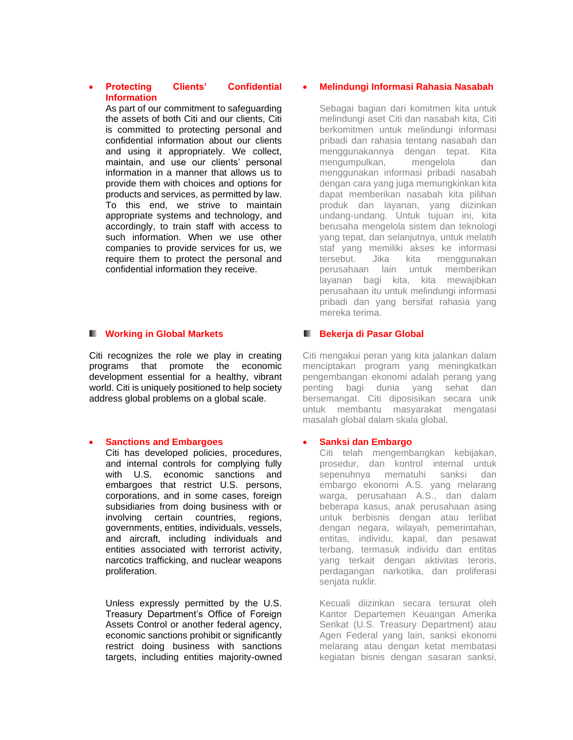#### • **Protecting Clients' Confidential Information**

As part of our commitment to safeguarding the assets of both Citi and our clients, Citi is committed to protecting personal and confidential information about our clients and using it appropriately. We collect, maintain, and use our clients' personal information in a manner that allows us to provide them with choices and options for products and services, as permitted by law. To this end, we strive to maintain appropriate systems and technology, and accordingly, to train staff with access to such information. When we use other companies to provide services for us, we require them to protect the personal and confidential information they receive.

#### **Working in Global Markets**

Citi recognizes the role we play in creating programs that promote the economic development essential for a healthy, vibrant world. Citi is uniquely positioned to help society address global problems on a global scale.

#### • **Sanctions and Embargoes**

Citi has developed policies, procedures, and internal controls for complying fully with U.S. economic sanctions and embargoes that restrict U.S. persons, corporations, and in some cases, foreign subsidiaries from doing business with or involving certain countries, regions, governments, entities, individuals, vessels, and aircraft, including individuals and entities associated with terrorist activity, narcotics trafficking, and nuclear weapons proliferation.

Unless expressly permitted by the U.S. Treasury Department's Office of Foreign Assets Control or another federal agency, economic sanctions prohibit or significantly restrict doing business with sanctions targets, including entities majority-owned

#### • **Melindungi Informasi Rahasia Nasabah**

Sebagai bagian dari komitmen kita untuk melindungi aset Citi dan nasabah kita, Citi berkomitmen untuk melindungi informasi pribadi dan rahasia tentang nasabah dan menggunakannya dengan tepat. Kita mengumpulkan, mengelola dan menggunakan informasi pribadi nasabah dengan cara yang juga memungkinkan kita dapat memberikan nasabah kita pilihan produk dan layanan, yang diizinkan undang-undang. Untuk tujuan ini, kita berusaha mengelola sistem dan teknologi yang tepat, dan selanjutnya, untuk melatih staf yang memiliki akses ke informasi tersebut. Jika kita menggunakan perusahaan lain untuk memberikan layanan bagi kita, kita mewajibkan perusahaan itu untuk melindungi informasi pribadi dan yang bersifat rahasia yang mereka terima.

### **Bekerja di Pasar Global**

Citi mengakui peran yang kita jalankan dalam menciptakan program yang meningkatkan pengembangan ekonomi adalah perang yang penting bagi dunia yang sehat dan bersemangat. Citi diposisikan secara unik untuk membantu masyarakat mengatasi masalah global dalam skala global.

#### • **Sanksi dan Embargo**

Citi telah mengembangkan kebijakan, prosedur, dan kontrol internal untuk sepenuhnya mematuhi sanksi dan embargo ekonomi A.S. yang melarang warga, perusahaan A.S., dan dalam beberapa kasus, anak perusahaan asing untuk berbisnis dengan atau terlibat dengan negara, wilayah, pemerintahan, entitas, individu, kapal, dan pesawat terbang, termasuk individu dan entitas yang terkait dengan aktivitas teroris, perdagangan narkotika, dan proliferasi senjata nuklir.

Kecuali diizinkan secara tersurat oleh Kantor Departemen Keuangan Amerika Serikat (U.S. Treasury Department) atau Agen Federal yang lain, sanksi ekonomi melarang atau dengan ketat membatasi kegiatan bisnis dengan sasaran sanksi,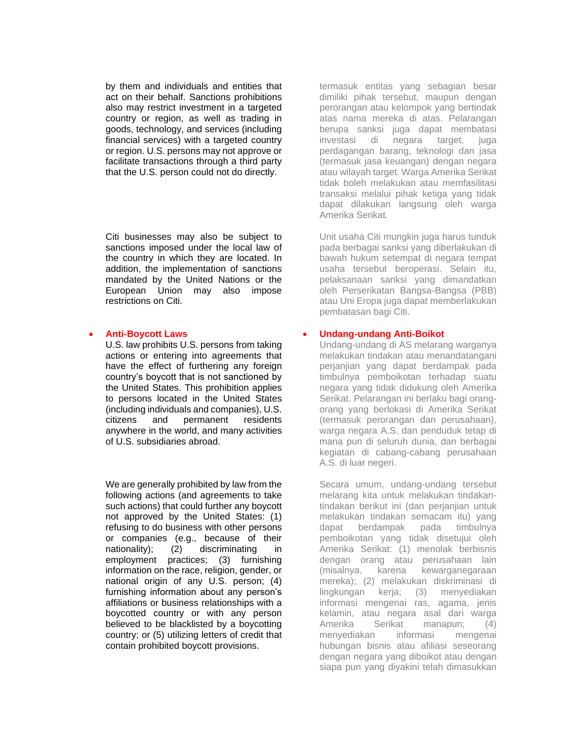by them and individuals and entities that act on their behalf. Sanctions prohibitions also may restrict investment in a targeted country or region, as well as trading in goods, technology, and services (including financial services) with a targeted country or region. U.S. persons may not approve or facilitate transactions through a third party that the U.S. person could not do directly.

Citi businesses may also be subject to sanctions imposed under the local law of the country in which they are located. In addition, the implementation of sanctions mandated by the United Nations or the European Union may also impose restrictions on Citi.

#### • **Anti-Boycott Laws**

U.S. law prohibits U.S. persons from taking actions or entering into agreements that have the effect of furthering any foreign country's boycott that is not sanctioned by the United States. This prohibition applies to persons located in the United States (including individuals and companies), U.S. citizens and permanent residents anywhere in the world, and many activities of U.S. subsidiaries abroad.

We are generally prohibited by law from the following actions (and agreements to take such actions) that could further any boycott not approved by the United States: (1) refusing to do business with other persons or companies (e.g., because of their nationality); (2) discriminating in employment practices; (3) furnishing information on the race, religion, gender, or national origin of any U.S. person; (4) furnishing information about any person's affiliations or business relationships with a boycotted country or with any person believed to be blacklisted by a boycotting country; or (5) utilizing letters of credit that contain prohibited boycott provisions.

termasuk entitas yang sebagian besar dimiliki pihak tersebut, maupun dengan perorangan atau kelompok yang bertindak atas nama mereka di atas. Pelarangan berupa sanksi juga dapat membatasi investasi di negara target, juga perdagangan barang, teknologi dan jasa (termasuk jasa keuangan) dengan negara atau wilayah target. Warga Amerika Serikat tidak boleh melakukan atau memfasilitasi transaksi melalui pihak ketiga yang tidak dapat dilakukan langsung oleh warga Amerika Serikat.

Unit usaha Citi mungkin juga harus tunduk pada berbagai sanksi yang diberlakukan di bawah hukum setempat di negara tempat usaha tersebut beroperasi. Selain itu, pelaksanaan sanksi yang dimandatkan oleh Perserikatan Bangsa-Bangsa (PBB) atau Uni Eropa juga dapat memberlakukan pembatasan bagi Citi.

#### • **Undang-undang Anti-Boikot**

Undang-undang di AS melarang warganya melakukan tindakan atau menandatangani perjanjian yang dapat berdampak pada timbulnya pemboikotan terhadap suatu negara yang tidak didukung oleh Amerika Serikat. Pelarangan ini berlaku bagi orangorang yang berlokasi di Amerika Serikat (termasuk perorangan dan perusahaan), warga negara A.S. dan penduduk tetap di mana pun di seluruh dunia, dan berbagai kegiatan di cabang-cabang perusahaan A.S. di luar negeri.

Secara umum, undang-undang tersebut melarang kita untuk melakukan tindakantindakan berikut ini (dan perjanjian untuk melakukan tindakan semacam itu) yang dapat berdampak pada timbulnya pemboikotan yang tidak disetujui oleh Amerika Serikat: (1) menolak berbisnis dengan orang atau perusahaan lain (misalnya, karena kewarganegaraan mereka); (2) melakukan diskriminasi di lingkungan kerja; (3) menyediakan informasi mengenai ras, agama, jenis kelamin, atau negara asal dari warga Amerika Serikat manapun; (4) menyediakan informasi mengenai hubungan bisnis atau afiliasi seseorang dengan negara yang diboikot atau dengan siapa pun yang diyakini telah dimasukkan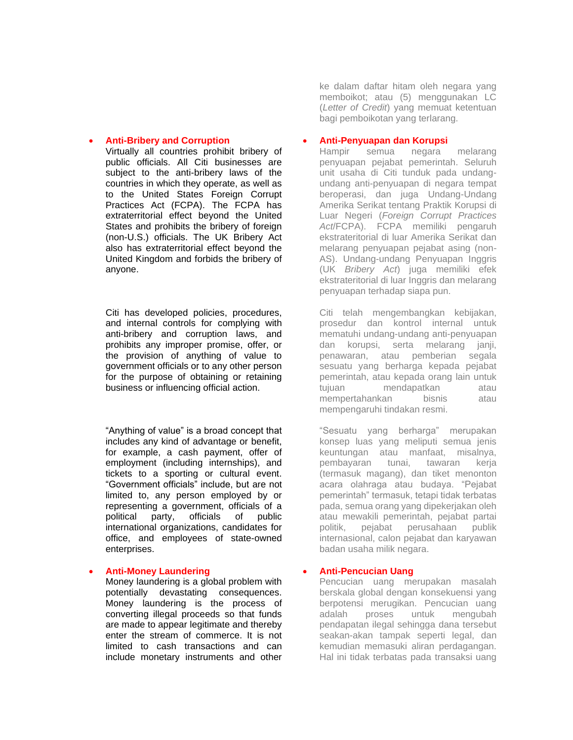#### • **Anti-Bribery and Corruption**

Virtually all countries prohibit bribery of public officials. All Citi businesses are subject to the anti-bribery laws of the countries in which they operate, as well as to the United States Foreign Corrupt Practices Act (FCPA). The FCPA has extraterritorial effect beyond the United States and prohibits the bribery of foreign (non-U.S.) officials. The UK Bribery Act also has extraterritorial effect beyond the United Kingdom and forbids the bribery of anyone.

Citi has developed policies, procedures, and internal controls for complying with anti-bribery and corruption laws, and prohibits any improper promise, offer, or the provision of anything of value to government officials or to any other person for the purpose of obtaining or retaining business or influencing official action.

"Anything of value" is a broad concept that includes any kind of advantage or benefit, for example, a cash payment, offer of employment (including internships), and tickets to a sporting or cultural event. "Government officials" include, but are not limited to, any person employed by or representing a government, officials of a political party, officials of public international organizations, candidates for office, and employees of state-owned enterprises.

#### • **Anti-Money Laundering**

Money laundering is a global problem with potentially devastating consequences. Money laundering is the process of converting illegal proceeds so that funds are made to appear legitimate and thereby enter the stream of commerce. It is not limited to cash transactions and can include monetary instruments and other

ke dalam daftar hitam oleh negara yang memboikot; atau (5) menggunakan LC (*Letter of Credit*) yang memuat ketentuan bagi pemboikotan yang terlarang.

#### • **Anti-Penyuapan dan Korupsi**

Hampir semua negara melarang penyuapan pejabat pemerintah. Seluruh unit usaha di Citi tunduk pada undangundang anti-penyuapan di negara tempat beroperasi, dan juga Undang-Undang Amerika Serikat tentang Praktik Korupsi di Luar Negeri (*Foreign Corrupt Practices Act*/FCPA). FCPA memiliki pengaruh ekstrateritorial di luar Amerika Serikat dan melarang penyuapan pejabat asing (non-AS). Undang-undang Penyuapan Inggris (UK *Bribery Act*) juga memiliki efek ekstrateritorial di luar Inggris dan melarang penyuapan terhadap siapa pun.

Citi telah mengembangkan kebijakan, prosedur dan kontrol internal untuk mematuhi undang-undang anti-penyuapan dan korupsi, serta melarang janji, penawaran, atau pemberian segala sesuatu yang berharga kepada pejabat pemerintah, atau kepada orang lain untuk tujuan mendapatkan atau mempertahankan bisnis atau mempengaruhi tindakan resmi.

"Sesuatu yang berharga" merupakan konsep luas yang meliputi semua jenis keuntungan atau manfaat, misalnya, pembayaran tunai, tawaran kerja (termasuk magang), dan tiket menonton acara olahraga atau budaya. "Pejabat pemerintah" termasuk, tetapi tidak terbatas pada, semua orang yang dipekerjakan oleh atau mewakili pemerintah, pejabat partai politik, pejabat perusahaan publik internasional, calon pejabat dan karyawan badan usaha milik negara.

#### • **Anti-Pencucian Uang**

Pencucian uang merupakan masalah berskala global dengan konsekuensi yang berpotensi merugikan. Pencucian uang adalah proses untuk mengubah pendapatan ilegal sehingga dana tersebut seakan-akan tampak seperti legal, dan kemudian memasuki aliran perdagangan. Hal ini tidak terbatas pada transaksi uang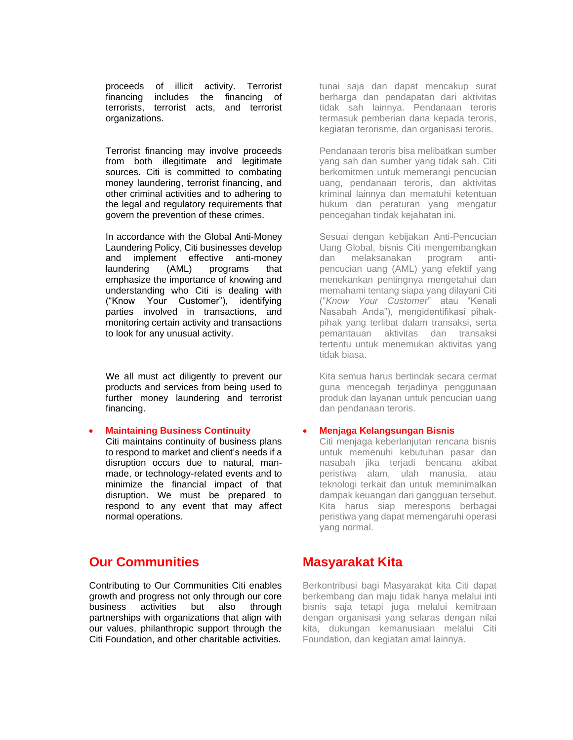proceeds of illicit activity. Terrorist financing includes the financing of terrorists, terrorist acts, and terrorist organizations.

Terrorist financing may involve proceeds from both illegitimate and legitimate sources. Citi is committed to combating money laundering, terrorist financing, and other criminal activities and to adhering to the legal and regulatory requirements that govern the prevention of these crimes.

In accordance with the Global Anti-Money Laundering Policy, Citi businesses develop and implement effective anti-money laundering (AML) programs that emphasize the importance of knowing and understanding who Citi is dealing with ("Know Your Customer"), identifying parties involved in transactions, and monitoring certain activity and transactions to look for any unusual activity.

We all must act diligently to prevent our products and services from being used to further money laundering and terrorist financing.

#### • **Maintaining Business Continuity**

Citi maintains continuity of business plans to respond to market and client's needs if a disruption occurs due to natural, manmade, or technology-related events and to minimize the financial impact of that disruption. We must be prepared to respond to any event that may affect normal operations.

# **Our Communities**

Contributing to Our Communities Citi enables growth and progress not only through our core business activities but also through partnerships with organizations that align with our values, philanthropic support through the Citi Foundation, and other charitable activities.

tunai saja dan dapat mencakup surat berharga dan pendapatan dari aktivitas tidak sah lainnya. Pendanaan teroris termasuk pemberian dana kepada teroris, kegiatan terorisme, dan organisasi teroris.

Pendanaan teroris bisa melibatkan sumber yang sah dan sumber yang tidak sah. Citi berkomitmen untuk memerangi pencucian uang, pendanaan teroris, dan aktivitas kriminal lainnya dan mematuhi ketentuan hukum dan peraturan yang mengatur pencegahan tindak kejahatan ini.

Sesuai dengan kebijakan Anti-Pencucian Uang Global, bisnis Citi mengembangkan dan melaksanakan program antipencucian uang (AML) yang efektif yang menekankan pentingnya mengetahui dan memahami tentang siapa yang dilayani Citi ("*Know Your Customer*" atau "Kenali Nasabah Anda"), mengidentifikasi pihakpihak yang terlibat dalam transaksi, serta pemantauan aktivitas dan transaksi tertentu untuk menemukan aktivitas yang tidak biasa.

Kita semua harus bertindak secara cermat guna mencegah terjadinya penggunaan produk dan layanan untuk pencucian uang dan pendanaan teroris.

#### • **Menjaga Kelangsungan Bisnis**

Citi menjaga keberlanjutan rencana bisnis untuk memenuhi kebutuhan pasar dan nasabah jika terjadi bencana akibat peristiwa alam, ulah manusia, atau teknologi terkait dan untuk meminimalkan dampak keuangan dari gangguan tersebut. Kita harus siap merespons berbagai peristiwa yang dapat memengaruhi operasi yang normal.

# **Masyarakat Kita**

Berkontribusi bagi Masyarakat kita Citi dapat berkembang dan maju tidak hanya melalui inti bisnis saja tetapi juga melalui kemitraan dengan organisasi yang selaras dengan nilai kita, dukungan kemanusiaan melalui Citi Foundation, dan kegiatan amal lainnya.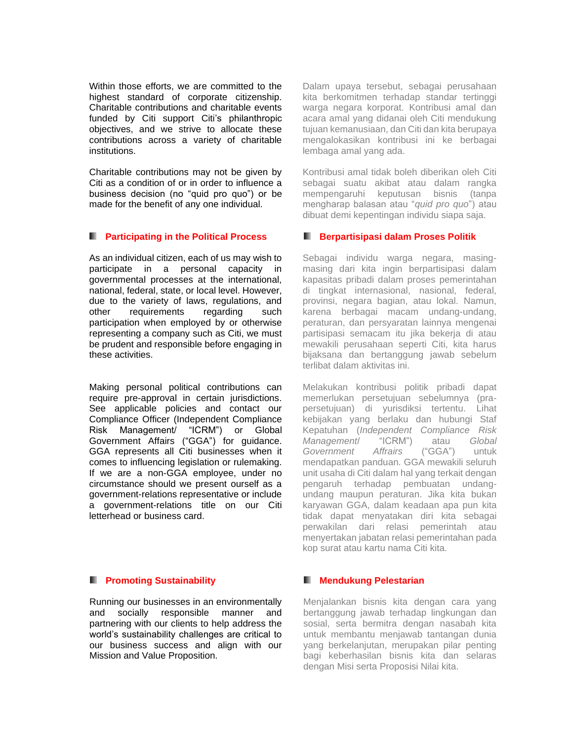Within those efforts, we are committed to the highest standard of corporate citizenship. Charitable contributions and charitable events funded by Citi support Citi's philanthropic objectives, and we strive to allocate these contributions across a variety of charitable institutions.

Charitable contributions may not be given by Citi as a condition of or in order to influence a business decision (no "quid pro quo") or be made for the benefit of any one individual.

#### **Participating in the Political Process**

As an individual citizen, each of us may wish to participate in a personal capacity in governmental processes at the international, national, federal, state, or local level. However, due to the variety of laws, regulations, and other requirements regarding such participation when employed by or otherwise representing a company such as Citi, we must be prudent and responsible before engaging in these activities.

Making personal political contributions can require pre-approval in certain jurisdictions. See applicable policies and contact our Compliance Officer (Independent Compliance Risk Management/ "ICRM") or Global Government Affairs ("GGA") for guidance. GGA represents all Citi businesses when it comes to influencing legislation or rulemaking. If we are a non-GGA employee, under no circumstance should we present ourself as a government-relations representative or include a government-relations title on our Citi letterhead or business card.

#### **Promoting Sustainability**

Running our businesses in an environmentally and socially responsible manner and partnering with our clients to help address the world's sustainability challenges are critical to our business success and align with our Mission and Value Proposition.

Dalam upaya tersebut, sebagai perusahaan kita berkomitmen terhadap standar tertinggi warga negara korporat. Kontribusi amal dan acara amal yang didanai oleh Citi mendukung tujuan kemanusiaan, dan Citi dan kita berupaya mengalokasikan kontribusi ini ke berbagai lembaga amal yang ada.

Kontribusi amal tidak boleh diberikan oleh Citi sebagai suatu akibat atau dalam rangka mempengaruhi keputusan bisnis (tanpa mengharap balasan atau "*quid pro quo*") atau dibuat demi kepentingan individu siapa saja.

#### **Berpartisipasi dalam Proses Politik**

Sebagai individu warga negara, masingmasing dari kita ingin berpartisipasi dalam kapasitas pribadi dalam proses pemerintahan di tingkat internasional, nasional, federal, provinsi, negara bagian, atau lokal. Namun, karena berbagai macam undang-undang, peraturan, dan persyaratan lainnya mengenai partisipasi semacam itu jika bekerja di atau mewakili perusahaan seperti Citi, kita harus bijaksana dan bertanggung jawab sebelum terlibat dalam aktivitas ini.

Melakukan kontribusi politik pribadi dapat memerlukan persetujuan sebelumnya (prapersetujuan) di yurisdiksi tertentu. Lihat kebijakan yang berlaku dan hubungi Staf Kepatuhan (*Independent Compliance Risk Management*/ "ICRM") atau *Global Government Affrairs* ("GGA") untuk mendapatkan panduan. GGA mewakili seluruh unit usaha di Citi dalam hal yang terkait dengan pengaruh terhadap pembuatan undangundang maupun peraturan. Jika kita bukan karyawan GGA, dalam keadaan apa pun kita tidak dapat menyatakan diri kita sebagai perwakilan dari relasi pemerintah atau menyertakan jabatan relasi pemerintahan pada kop surat atau kartu nama Citi kita.

#### **Mendukung Pelestarian**

Menjalankan bisnis kita dengan cara yang bertanggung jawab terhadap lingkungan dan sosial, serta bermitra dengan nasabah kita untuk membantu menjawab tantangan dunia yang berkelanjutan, merupakan pilar penting bagi keberhasilan bisnis kita dan selaras dengan Misi serta Proposisi Nilai kita.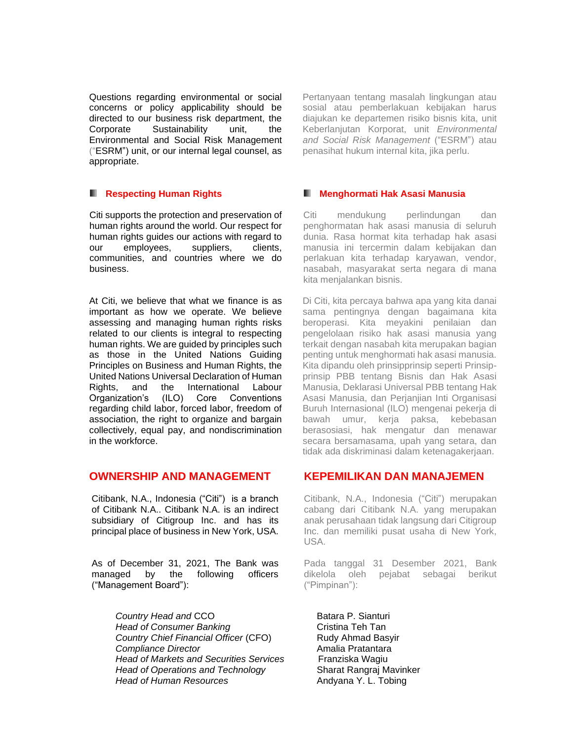Questions regarding environmental or social concerns or policy applicability should be directed to our business risk department, the Corporate Sustainability unit, the Environmental and Social Risk Management ("ESRM") unit, or our internal legal counsel, as appropriate.

#### **Respecting Human Rights**

Citi supports the protection and preservation of human rights around the world. Our respect for human rights guides our actions with regard to our employees, suppliers, clients, communities, and countries where we do business.

At Citi, we believe that what we finance is as important as how we operate. We believe assessing and managing human rights risks related to our clients is integral to respecting human rights. We are guided by principles such as those in the United Nations Guiding Principles on Business and Human Rights, the United Nations Universal Declaration of Human Rights, and the International Labour Organization's (ILO) Core Conventions regarding child labor, forced labor, freedom of association, the right to organize and bargain collectively, equal pay, and nondiscrimination in the workforce.

# **OWNERSHIP AND MANAGEMENT**

Citibank, N.A., Indonesia ("Citi") is a branch of Citibank N.A.. Citibank N.A. is an indirect subsidiary of Citigroup Inc. and has its principal place of business in New York, USA.

As of December 31, 2021, The Bank was managed by the following officers ("Management Board"):

> **Country Head and CCO** Batara P. Sianturi **Head of Consumer Banking Construction Cristina Teh Tan Country Chief Financial Officer (CFO)** Rudy Ahmad Basyir **Compliance Director Amalia Pratantara** *Head of Markets and Securities Services* Franziska Wagiu *Head of Operations and Technology* **Sharat Rangraj Mavinker** *Head of Human Resources* Andyana Y. L. Tobing

Pertanyaan tentang masalah lingkungan atau sosial atau pemberlakuan kebijakan harus diajukan ke departemen risiko bisnis kita, unit Keberlanjutan Korporat, unit *Environmental and Social Risk Management* ("ESRM") atau penasihat hukum internal kita, jika perlu.

#### **Menghormati Hak Asasi Manusia**

Citi mendukung perlindungan dan penghormatan hak asasi manusia di seluruh dunia. Rasa hormat kita terhadap hak asasi manusia ini tercermin dalam kebijakan dan perlakuan kita terhadap karyawan, vendor, nasabah, masyarakat serta negara di mana kita menjalankan bisnis.

Di Citi, kita percaya bahwa apa yang kita danai sama pentingnya dengan bagaimana kita beroperasi. Kita meyakini penilaian dan pengelolaan risiko hak asasi manusia yang terkait dengan nasabah kita merupakan bagian penting untuk menghormati hak asasi manusia. Kita dipandu oleh prinsipprinsip seperti Prinsipprinsip PBB tentang Bisnis dan Hak Asasi Manusia, Deklarasi Universal PBB tentang Hak Asasi Manusia, dan Perjanjian Inti Organisasi Buruh Internasional (ILO) mengenai pekerja di bawah umur, kerja paksa, kebebasan berasosiasi, hak mengatur dan menawar secara bersamasama, upah yang setara, dan tidak ada diskriminasi dalam ketenagakerjaan.

# **KEPEMILIKAN DAN MANAJEMEN**

Citibank, N.A., Indonesia ("Citi") merupakan cabang dari Citibank N.A. yang merupakan anak perusahaan tidak langsung dari Citigroup Inc. dan memiliki pusat usaha di New York, USA.

Pada tanggal 31 Desember 2021, Bank dikelola oleh pejabat sebagai berikut ("Pimpinan"):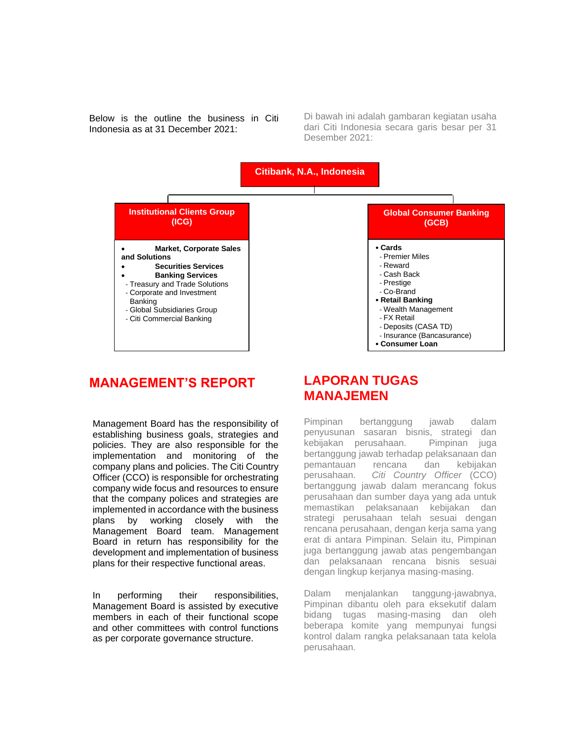Below is the outline the business in Citi Indonesia as at 31 December 2021:

Di bawah ini adalah gambaran kegiatan usaha dari Citi Indonesia secara garis besar per 31 Desember 2021:



# **MANAGEMENT'S REPORT**

Management Board has the responsibility of establishing business goals, strategies and policies. They are also responsible for the implementation and monitoring of the company plans and policies. The Citi Country Officer (CCO) is responsible for orchestrating company wide focus and resources to ensure that the company polices and strategies are implemented in accordance with the business plans by working closely with the Management Board team. Management Board in return has responsibility for the development and implementation of business plans for their respective functional areas.

In performing their responsibilities, Management Board is assisted by executive members in each of their functional scope and other committees with control functions as per corporate governance structure.

# **LAPORAN TUGAS MANAJEMEN**

Pimpinan bertanggung jawab dalam penyusunan sasaran bisnis, strategi dan kebijakan perusahaan. Pimpinan juga bertanggung jawab terhadap pelaksanaan dan pemantauan rencana dan kebijakan perusahaan. *Citi Country Officer* (CCO) bertanggung jawab dalam merancang fokus perusahaan dan sumber daya yang ada untuk memastikan pelaksanaan kebijakan dan strategi perusahaan telah sesuai dengan rencana perusahaan, dengan kerja sama yang erat di antara Pimpinan. Selain itu, Pimpinan juga bertanggung jawab atas pengembangan dan pelaksanaan rencana bisnis sesuai dengan lingkup kerjanya masing-masing.

Dalam menjalankan tanggung-jawabnya, Pimpinan dibantu oleh para eksekutif dalam bidang tugas masing-masing dan oleh beberapa komite yang mempunyai fungsi kontrol dalam rangka pelaksanaan tata kelola perusahaan.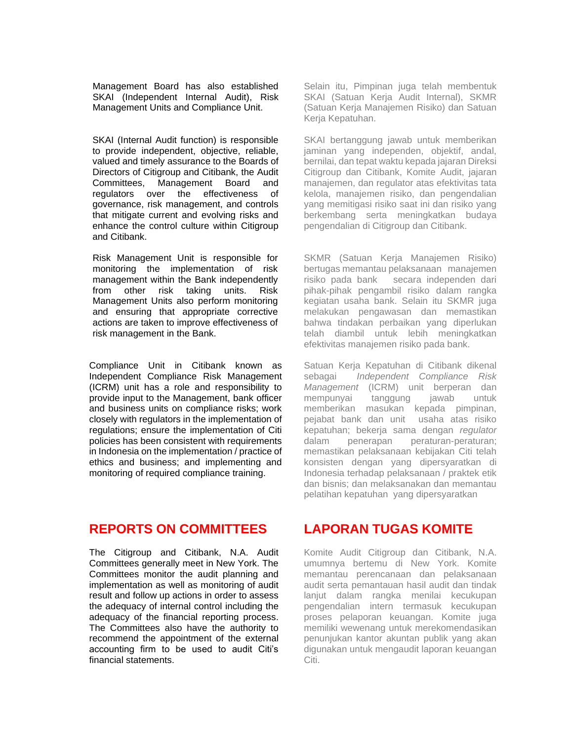Management Board has also established SKAI (Independent Internal Audit), Risk Management Units and Compliance Unit.

SKAI (Internal Audit function) is responsible to provide independent, objective, reliable, valued and timely assurance to the Boards of Directors of Citigroup and Citibank, the Audit Committees, Management Board and regulators over the effectiveness of governance, risk management, and controls that mitigate current and evolving risks and enhance the control culture within Citigroup and Citibank.

Risk Management Unit is responsible for monitoring the implementation of risk management within the Bank independently from other risk taking units. Risk Management Units also perform monitoring and ensuring that appropriate corrective actions are taken to improve effectiveness of risk management in the Bank.

Compliance Unit in Citibank known as Independent Compliance Risk Management (ICRM) unit has a role and responsibility to provide input to the Management, bank officer and business units on compliance risks; work closely with regulators in the implementation of regulations; ensure the implementation of Citi policies has been consistent with requirements in Indonesia on the implementation / practice of ethics and business; and implementing and monitoring of required compliance training.

**REPORTS ON COMMITTEES** 

The Citigroup and Citibank, N.A. Audit Committees generally meet in New York. The Committees monitor the audit planning and implementation as well as monitoring of audit result and follow up actions in order to assess the adequacy of internal control including the adequacy of the financial reporting process. The Committees also have the authority to recommend the appointment of the external accounting firm to be used to audit Citi's financial statements.

Selain itu, Pimpinan juga telah membentuk SKAI (Satuan Kerja Audit Internal), SKMR (Satuan Kerja Manajemen Risiko) dan Satuan Kerja Kepatuhan.

SKAI bertanggung jawab untuk memberikan jaminan yang independen, objektif, andal, bernilai, dan tepat waktu kepada jajaran Direksi Citigroup dan Citibank, Komite Audit, jajaran manajemen, dan regulator atas efektivitas tata kelola, manajemen risiko, dan pengendalian yang memitigasi risiko saat ini dan risiko yang berkembang serta meningkatkan budaya pengendalian di Citigroup dan Citibank.

SKMR (Satuan Kerja Manajemen Risiko) bertugas memantau pelaksanaan manajemen risiko pada bank secara independen dari pihak-pihak pengambil risiko dalam rangka kegiatan usaha bank. Selain itu SKMR juga melakukan pengawasan dan memastikan bahwa tindakan perbaikan yang diperlukan telah diambil untuk lebih meningkatkan efektivitas manajemen risiko pada bank.

Satuan Kerja Kepatuhan di Citibank dikenal sebagai *Independent Compliance Risk Management* (ICRM) unit berperan dan mempunyai tanggung jawab untuk memberikan masukan kepada pimpinan, pejabat bank dan unit usaha atas risiko kepatuhan; bekerja sama dengan *regulator* dalam penerapan peraturan-peraturan; memastikan pelaksanaan kebijakan Citi telah konsisten dengan yang dipersyaratkan di Indonesia terhadap pelaksanaan / praktek etik dan bisnis; dan melaksanakan dan memantau pelatihan kepatuhan yang dipersyaratkan

# **LAPORAN TUGAS KOMITE**

Komite Audit Citigroup dan Citibank, N.A. umumnya bertemu di New York. Komite memantau perencanaan dan pelaksanaan audit serta pemantauan hasil audit dan tindak lanjut dalam rangka menilai kecukupan pengendalian intern termasuk kecukupan proses pelaporan keuangan. Komite juga memiliki wewenang untuk merekomendasikan penunjukan kantor akuntan publik yang akan digunakan untuk mengaudit laporan keuangan Citi.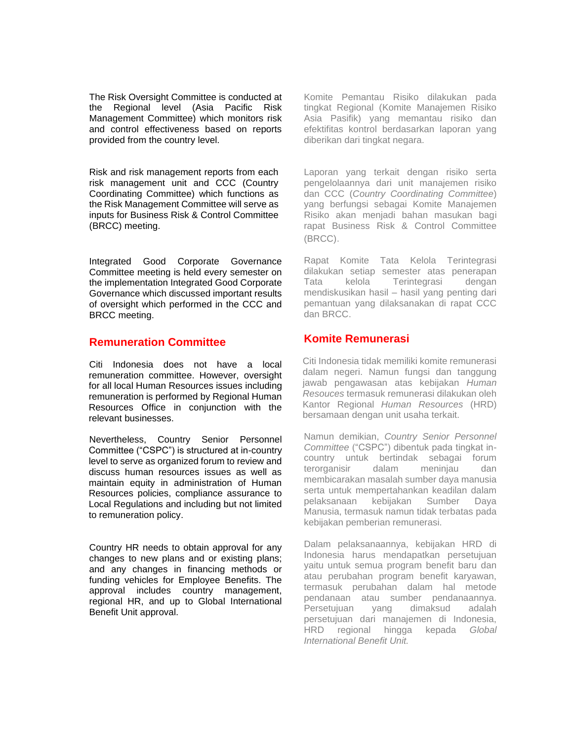The Risk Oversight Committee is conducted at the Regional level (Asia Pacific Risk Management Committee) which monitors risk and control effectiveness based on reports provided from the country level.

Risk and risk management reports from each risk management unit and CCC (Country Coordinating Committee) which functions as the Risk Management Committee will serve as inputs for Business Risk & Control Committee (BRCC) meeting.

Integrated Good Corporate Governance Committee meeting is held every semester on the implementation Integrated Good Corporate Governance which discussed important results of oversight which performed in the CCC and BRCC meeting.

#### **Remuneration Committee**

Citi Indonesia does not have a local remuneration committee. However, oversight for all local Human Resources issues including remuneration is performed by Regional Human Resources Office in conjunction with the relevant businesses.

Nevertheless, Country Senior Personnel Committee ("CSPC") is structured at in-country level to serve as organized forum to review and discuss human resources issues as well as maintain equity in administration of Human Resources policies, compliance assurance to Local Regulations and including but not limited to remuneration policy.

Country HR needs to obtain approval for any changes to new plans and or existing plans; and any changes in financing methods or funding vehicles for Employee Benefits. The approval includes country management, regional HR, and up to Global International Benefit Unit approval.

Komite Pemantau Risiko dilakukan pada tingkat Regional (Komite Manajemen Risiko Asia Pasifik) yang memantau risiko dan efektifitas kontrol berdasarkan laporan yang diberikan dari tingkat negara.

Laporan yang terkait dengan risiko serta pengelolaannya dari unit manajemen risiko dan CCC (*Country Coordinating Committee*) yang berfungsi sebagai Komite Manajemen Risiko akan menjadi bahan masukan bagi rapat Business Risk & Control Committee (BRCC).

Rapat Komite Tata Kelola Terintegrasi dilakukan setiap semester atas penerapan Tata kelola Terintegrasi dengan mendiskusikan hasil – hasil yang penting dari pemantuan yang dilaksanakan di rapat CCC dan BRCC.

#### **Komite Remunerasi**

Citi Indonesia tidak memiliki komite remunerasi dalam negeri. Namun fungsi dan tanggung jawab pengawasan atas kebijakan *Human Resouces* termasuk remunerasi dilakukan oleh Kantor Regional *Human Resources* (HRD) bersamaan dengan unit usaha terkait.

Namun demikian, *Country Senior Personnel Committee* ("CSPC") dibentuk pada tingkat incountry untuk bertindak sebagai forum terorganisir dalam meninjau dan membicarakan masalah sumber daya manusia serta untuk mempertahankan keadilan dalam pelaksanaan kebijakan Sumber Daya Manusia, termasuk namun tidak terbatas pada kebijakan pemberian remunerasi.

Dalam pelaksanaannya, kebijakan HRD di Indonesia harus mendapatkan persetujuan yaitu untuk semua program benefit baru dan atau perubahan program benefit karyawan, termasuk perubahan dalam hal metode pendanaan atau sumber pendanaannya. Persetujuan yang dimaksud adalah persetujuan dari manajemen di Indonesia, HRD regional hingga kepada *Global International Benefit Unit.*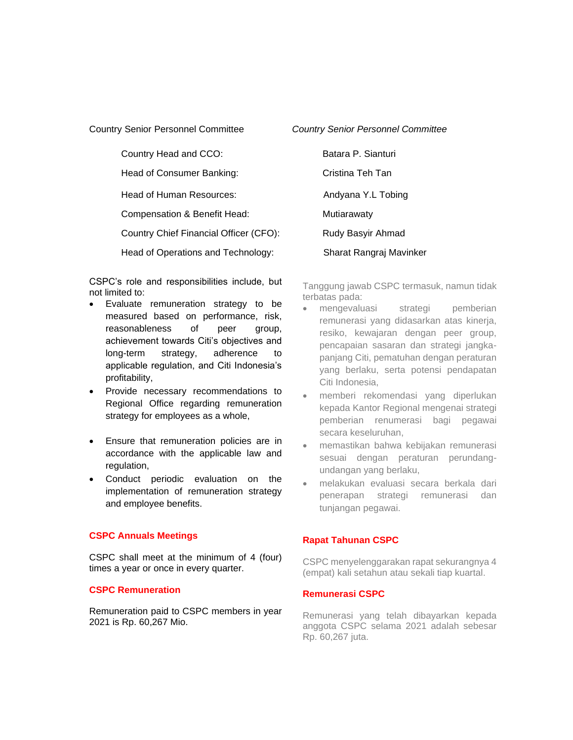Country Senior Personnel Committee

Country Head and CCO: Batara P. Sianturi

Head of Consumer Banking: Cristina Teh Tan

Head of Human Resources: Andyana Y.L Tobing

Compensation & Benefit Head: Mutiarawaty

Country Chief Financial Officer (CFO): Rudy Basyir Ahmad

Head of Operations and Technology: Sharat Rangraj Mavinker

CSPC's role and responsibilities include, but not limited to:

• Evaluate remuneration strategy to be measured based on performance, risk, reasonableness of peer group, achievement towards Citi's objectives and long-term strategy, adherence to applicable regulation, and Citi Indonesia's profitability,

• Provide necessary recommendations to Regional Office regarding remuneration strategy for employees as a whole,

- Ensure that remuneration policies are in accordance with the applicable law and regulation,
- Conduct periodic evaluation on the implementation of remuneration strategy and employee benefits.

#### **CSPC Annuals Meetings**

CSPC shall meet at the minimum of 4 (four) times a year or once in every quarter.

#### **CSPC Remuneration**

Remuneration paid to CSPC members in year 2021 is Rp. 60,267 Mio.

*Country Senior Personnel Committee*

Tanggung jawab CSPC termasuk, namun tidak terbatas pada:

- mengevaluasi strategi pemberian remunerasi yang didasarkan atas kinerja, resiko, kewajaran dengan peer group, pencapaian sasaran dan strategi jangkapanjang Citi, pematuhan dengan peraturan yang berlaku, serta potensi pendapatan Citi Indonesia,
- memberi rekomendasi yang diperlukan kepada Kantor Regional mengenai strategi pemberian renumerasi bagi pegawai secara keseluruhan,
- memastikan bahwa kebijakan remunerasi sesuai dengan peraturan perundangundangan yang berlaku,
- melakukan evaluasi secara berkala dari penerapan strategi remunerasi dan tunjangan pegawai.

#### **Rapat Tahunan CSPC**

CSPC menyelenggarakan rapat sekurangnya 4 (empat) kali setahun atau sekali tiap kuartal.

#### **Remunerasi CSPC**

Remunerasi yang telah dibayarkan kepada anggota CSPC selama 2021 adalah sebesar Rp. 60,267 juta.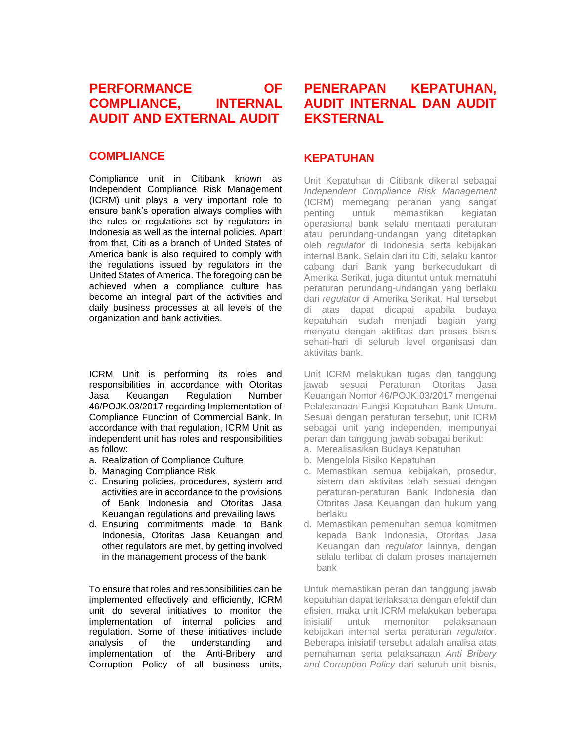# **PERFORMANCE OF COMPLIANCE, INTERNAL AUDIT AND EXTERNAL AUDIT**

## **COMPLIANCE**

Compliance unit in Citibank known as Independent Compliance Risk Management (ICRM) unit plays a very important role to ensure bank's operation always complies with the rules or regulations set by regulators in Indonesia as well as the internal policies. Apart from that, Citi as a branch of United States of America bank is also required to comply with the regulations issued by regulators in the United States of America. The foregoing can be achieved when a compliance culture has become an integral part of the activities and daily business processes at all levels of the organization and bank activities.

ICRM Unit is performing its roles and responsibilities in accordance with Otoritas Jasa Keuangan Regulation Number 46/POJK.03/2017 regarding Implementation of Compliance Function of Commercial Bank. In accordance with that regulation, ICRM Unit as independent unit has roles and responsibilities as follow:

- a. Realization of Compliance Culture
- b. Managing Compliance Risk
- c. Ensuring policies, procedures, system and activities are in accordance to the provisions of Bank Indonesia and Otoritas Jasa Keuangan regulations and prevailing laws
- d. Ensuring commitments made to Bank Indonesia, Otoritas Jasa Keuangan and other regulators are met, by getting involved in the management process of the bank

To ensure that roles and responsibilities can be implemented effectively and efficiently, ICRM unit do several initiatives to monitor the implementation of internal policies and regulation. Some of these initiatives include analysis of the understanding and implementation of the Anti-Bribery and Corruption Policy of all business units,

# **PENERAPAN KEPATUHAN, AUDIT INTERNAL DAN AUDIT EKSTERNAL**

#### **KEPATUHAN**

Unit Kepatuhan di Citibank dikenal sebagai *Independent Compliance Risk Management* (ICRM) memegang peranan yang sangat penting untuk memastikan kegiatan operasional bank selalu mentaati peraturan atau perundang-undangan yang ditetapkan oleh *regulator* di Indonesia serta kebijakan internal Bank. Selain dari itu Citi, selaku kantor cabang dari Bank yang berkedudukan di Amerika Serikat, juga dituntut untuk mematuhi peraturan perundang-undangan yang berlaku dari *regulator* di Amerika Serikat. Hal tersebut di atas dapat dicapai apabila budaya kepatuhan sudah menjadi bagian yang menyatu dengan aktifitas dan proses bisnis sehari-hari di seluruh level organisasi dan aktivitas bank.

Unit ICRM melakukan tugas dan tanggung jawab sesuai Peraturan Otoritas Jasa Keuangan Nomor 46/POJK.03/2017 mengenai Pelaksanaan Fungsi Kepatuhan Bank Umum. Sesuai dengan peraturan tersebut, unit ICRM sebagai unit yang independen, mempunyai peran dan tanggung jawab sebagai berikut:

- a. Merealisasikan Budaya Kepatuhan
- b. Mengelola Risiko Kepatuhan
- c. Memastikan semua kebijakan, prosedur, sistem dan aktivitas telah sesuai dengan peraturan-peraturan Bank Indonesia dan Otoritas Jasa Keuangan dan hukum yang berlaku
- d. Memastikan pemenuhan semua komitmen kepada Bank Indonesia, Otoritas Jasa Keuangan dan *regulator* lainnya, dengan selalu terlibat di dalam proses manajemen bank

Untuk memastikan peran dan tanggung jawab kepatuhan dapat terlaksana dengan efektif dan efisien, maka unit ICRM melakukan beberapa inisiatif untuk memonitor pelaksanaan kebijakan internal serta peraturan *regulator*. Beberapa inisiatif tersebut adalah analisa atas pemahaman serta pelaksanaan *Anti Bribery and Corruption Policy* dari seluruh unit bisnis,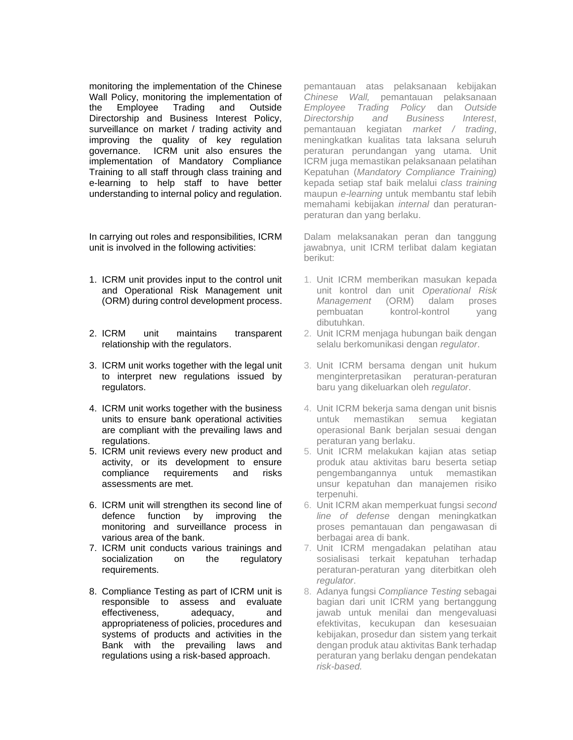monitoring the implementation of the Chinese Wall Policy, monitoring the implementation of the Employee Trading and Outside Directorship and Business Interest Policy, surveillance on market / trading activity and improving the quality of key regulation governance. ICRM unit also ensures the implementation of Mandatory Compliance Training to all staff through class training and e-learning to help staff to have better understanding to internal policy and regulation.

In carrying out roles and responsibilities, ICRM unit is involved in the following activities:

- 1. ICRM unit provides input to the control unit and Operational Risk Management unit (ORM) during control development process.
- 2. ICRM unit maintains transparent relationship with the regulators.
- 3. ICRM unit works together with the legal unit to interpret new regulations issued by regulators.
- 4. ICRM unit works together with the business units to ensure bank operational activities are compliant with the prevailing laws and regulations.
- 5. ICRM unit reviews every new product and activity, or its development to ensure compliance requirements and risks assessments are met.
- 6. ICRM unit will strengthen its second line of defence function by improving the monitoring and surveillance process in various area of the bank.
- 7. ICRM unit conducts various trainings and socialization on the regulatory requirements.
- 8. Compliance Testing as part of ICRM unit is responsible to assess and evaluate effectiveness, adequacy, and appropriateness of policies, procedures and systems of products and activities in the Bank with the prevailing laws and regulations using a risk-based approach.

pemantauan atas pelaksanaan kebijakan *Chinese Wall,* pemantauan pelaksanaan *Employee Trading Policy* dan *Outside Directorship and Business Interest*, pemantauan kegiatan *market / trading*, meningkatkan kualitas tata laksana seluruh peraturan perundangan yang utama. Unit ICRM juga memastikan pelaksanaan pelatihan Kepatuhan (*Mandatory Compliance Training)*  kepada setiap staf baik melalui *class training*  maupun *e-learning* untuk membantu staf lebih memahami kebijakan *internal* dan peraturanperaturan dan yang berlaku.

Dalam melaksanakan peran dan tanggung jawabnya, unit ICRM terlibat dalam kegiatan berikut:

- 1. Unit ICRM memberikan masukan kepada unit kontrol dan unit *Operational Risk Management* (ORM) dalam proses pembuatan kontrol-kontrol yang dibutuhkan.
- 2. Unit ICRM menjaga hubungan baik dengan selalu berkomunikasi dengan *regulator*.
- 3. Unit ICRM bersama dengan unit hukum menginterpretasikan peraturan-peraturan baru yang dikeluarkan oleh *regulator*.
- 4. Unit ICRM bekerja sama dengan unit bisnis untuk memastikan semua kegiatan operasional Bank berjalan sesuai dengan peraturan yang berlaku.
- 5. Unit ICRM melakukan kajian atas setiap produk atau aktivitas baru beserta setiap pengembangannya untuk memastikan unsur kepatuhan dan manajemen risiko terpenuhi.
- 6. Unit ICRM akan memperkuat fungsi *second line of defense* dengan meningkatkan proses pemantauan dan pengawasan di berbagai area di bank.
- 7. Unit ICRM mengadakan pelatihan atau sosialisasi terkait kepatuhan terhadap peraturan-peraturan yang diterbitkan oleh *regulator*.
- 8. Adanya fungsi *Compliance Testing* sebagai bagian dari unit ICRM yang bertanggung jawab untuk menilai dan mengevaluasi efektivitas, kecukupan dan kesesuaian kebijakan, prosedur dan sistem yang terkait dengan produk atau aktivitas Bank terhadap peraturan yang berlaku dengan pendekatan *risk-based.*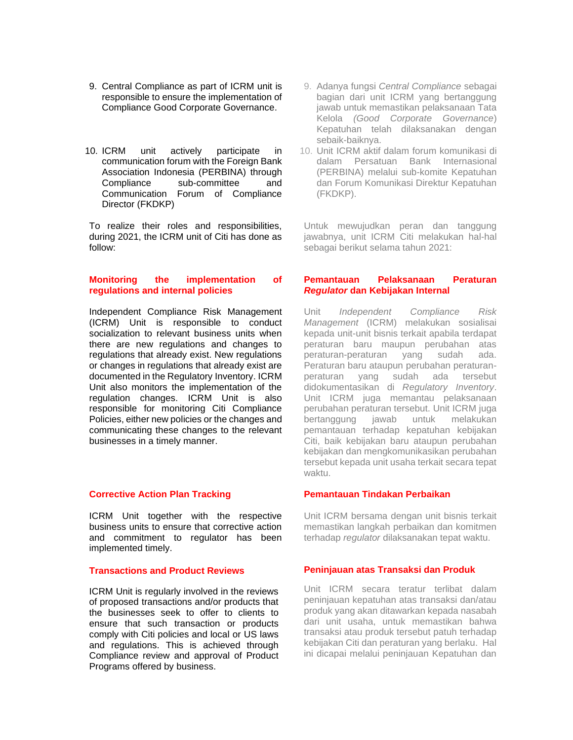- 9. Central Compliance as part of ICRM unit is responsible to ensure the implementation of Compliance Good Corporate Governance.
- 10. ICRM unit actively participate in communication forum with the Foreign Bank Association Indonesia (PERBINA) through Compliance sub-committee and Communication Forum of Compliance Director (FKDKP)

To realize their roles and responsibilities, during 2021, the ICRM unit of Citi has done as follow:

#### **Monitoring the implementation of regulations and internal policies**

Independent Compliance Risk Management (ICRM) Unit is responsible to conduct socialization to relevant business units when there are new regulations and changes to regulations that already exist. New regulations or changes in regulations that already exist are documented in the Regulatory Inventory. ICRM Unit also monitors the implementation of the regulation changes. ICRM Unit is also responsible for monitoring Citi Compliance Policies, either new policies or the changes and communicating these changes to the relevant businesses in a timely manner.

#### **Corrective Action Plan Tracking**

ICRM Unit together with the respective business units to ensure that corrective action and commitment to regulator has been implemented timely.

#### **Transactions and Product Reviews**

ICRM Unit is regularly involved in the reviews of proposed transactions and/or products that the businesses seek to offer to clients to ensure that such transaction or products comply with Citi policies and local or US laws and regulations. This is achieved through Compliance review and approval of Product Programs offered by business.

- 9. Adanya fungsi *Central Compliance* sebagai bagian dari unit ICRM yang bertanggung jawab untuk memastikan pelaksanaan Tata Kelola *(Good Corporate Governance*) Kepatuhan telah dilaksanakan dengan sebaik-baiknya.
- 10. Unit ICRM aktif dalam forum komunikasi di dalam Persatuan Bank Internasional (PERBINA) melalui sub-komite Kepatuhan dan Forum Komunikasi Direktur Kepatuhan (FKDKP).

Untuk mewujudkan peran dan tanggung jawabnya, unit ICRM Citi melakukan hal-hal sebagai berikut selama tahun 2021:

#### **Pemantauan Pelaksanaan Peraturan**  *Regulator* **dan Kebijakan Internal**

Unit *Independent Compliance Risk Management* (ICRM) melakukan sosialisai kepada unit-unit bisnis terkait apabila terdapat peraturan baru maupun perubahan atas peraturan-peraturan yang sudah ada. Peraturan baru ataupun perubahan peraturanperaturan yang sudah ada tersebut didokumentasikan di *Regulatory Inventory*. Unit ICRM juga memantau pelaksanaan perubahan peraturan tersebut. Unit ICRM juga bertanggung jawab untuk melakukan pemantauan terhadap kepatuhan kebijakan Citi, baik kebijakan baru ataupun perubahan kebijakan dan mengkomunikasikan perubahan tersebut kepada unit usaha terkait secara tepat waktu.

#### **Pemantauan Tindakan Perbaikan**

Unit ICRM bersama dengan unit bisnis terkait memastikan langkah perbaikan dan komitmen terhadap *regulator* dilaksanakan tepat waktu.

#### **Peninjauan atas Transaksi dan Produk**

Unit ICRM secara teratur terlibat dalam peninjauan kepatuhan atas transaksi dan/atau produk yang akan ditawarkan kepada nasabah dari unit usaha, untuk memastikan bahwa transaksi atau produk tersebut patuh terhadap kebijakan Citi dan peraturan yang berlaku. Hal ini dicapai melalui peninjauan Kepatuhan dan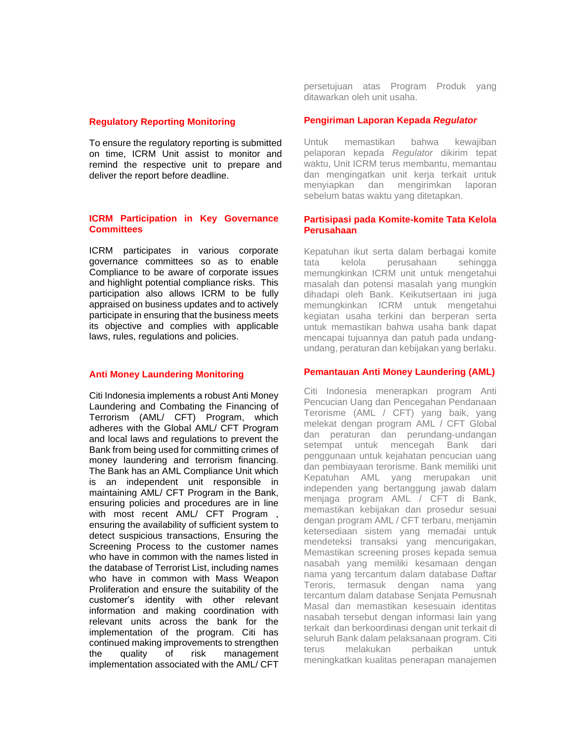#### **Regulatory Reporting Monitoring**

To ensure the regulatory reporting is submitted on time, ICRM Unit assist to monitor and remind the respective unit to prepare and deliver the report before deadline.

#### **ICRM Participation in Key Governance Committees**

ICRM participates in various corporate governance committees so as to enable Compliance to be aware of corporate issues and highlight potential compliance risks. This participation also allows ICRM to be fully appraised on business updates and to actively participate in ensuring that the business meets its objective and complies with applicable laws, rules, regulations and policies.

#### **Anti Money Laundering Monitoring**

Citi Indonesia implements a robust Anti Money Laundering and Combating the Financing of Terrorism (AML/ CFT) Program, which adheres with the Global AML/ CFT Program and local laws and regulations to prevent the Bank from being used for committing crimes of money laundering and terrorism financing. The Bank has an AML Compliance Unit which is an independent unit responsible in maintaining AML/ CFT Program in the Bank, ensuring policies and procedures are in line with most recent AML/ CFT Program, ensuring the availability of sufficient system to detect suspicious transactions, Ensuring the Screening Process to the customer names who have in common with the names listed in the database of Terrorist List, including names who have in common with Mass Weapon Proliferation and ensure the suitability of the customer's identity with other relevant information and making coordination with relevant units across the bank for the implementation of the program. Citi has continued making improvements to strengthen the quality of risk management implementation associated with the AML/ CFT

persetujuan atas Program Produk yang ditawarkan oleh unit usaha.

#### **Pengiriman Laporan Kepada** *Regulator*

Untuk memastikan bahwa kewajiban pelaporan kepada *Regulator* dikirim tepat waktu, Unit ICRM terus membantu, memantau dan mengingatkan unit kerja terkait untuk menyiapkan dan mengirimkan laporan sebelum batas waktu yang ditetapkan.

#### **Partisipasi pada Komite-komite Tata Kelola Perusahaan**

Kepatuhan ikut serta dalam berbagai komite tata kelola perusahaan sehingga memungkinkan ICRM unit untuk mengetahui masalah dan potensi masalah yang mungkin dihadapi oleh Bank. Keikutsertaan ini juga memungkinkan ICRM untuk mengetahui kegiatan usaha terkini dan berperan serta untuk memastikan bahwa usaha bank dapat mencapai tujuannya dan patuh pada undangundang, peraturan dan kebijakan yang berlaku.

#### **Pemantauan Anti Money Laundering (AML)**

Citi Indonesia menerapkan program Anti Pencucian Uang dan Pencegahan Pendanaan Terorisme (AML / CFT) yang baik, yang melekat dengan program AML / CFT Global dan peraturan dan perundang-undangan setempat untuk mencegah Bank dari penggunaan untuk kejahatan pencucian uang dan pembiayaan terorisme. Bank memiliki unit Kepatuhan AML yang merupakan unit independen yang bertanggung jawab dalam menjaga program AML / CFT di Bank, memastikan kebijakan dan prosedur sesuai dengan program AML / CFT terbaru, menjamin ketersediaan sistem yang memadai untuk mendeteksi transaksi yang mencurigakan, Memastikan screening proses kepada semua nasabah yang memiliki kesamaan dengan nama yang tercantum dalam database Daftar Teroris, termasuk dengan nama yang tercantum dalam database Senjata Pemusnah Masal dan memastikan kesesuain identitas nasabah tersebut dengan informasi lain yang terkait dan berkoordinasi dengan unit terkait di seluruh Bank dalam pelaksanaan program. Citi terus melakukan perbaikan untuk meningkatkan kualitas penerapan manajemen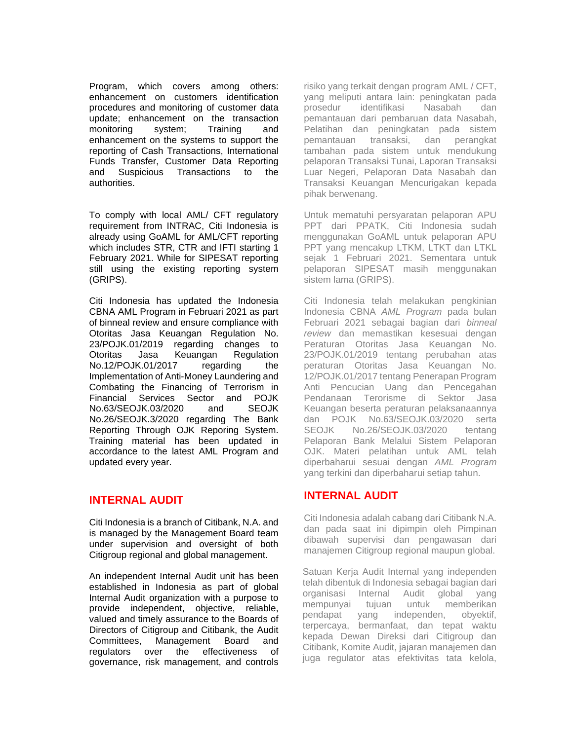Program, which covers among others: enhancement on customers identification procedures and monitoring of customer data update; enhancement on the transaction monitoring system; Training and enhancement on the systems to support the reporting of Cash Transactions, International Funds Transfer, Customer Data Reporting and Suspicious Transactions to the authorities.

To comply with local AML/ CFT regulatory requirement from INTRAC, Citi Indonesia is already using GoAML for AML/CFT reporting which includes STR, CTR and IFTI starting 1 February 2021. While for SIPESAT reporting still using the existing reporting system (GRIPS).

Citi Indonesia has updated the Indonesia CBNA AML Program in Februari 2021 as part of binneal review and ensure compliance with Otoritas Jasa Keuangan Regulation No. 23/POJK.01/2019 regarding changes to Otoritas Jasa Keuangan Regulation No.12/POJK.01/2017 regarding the Implementation of Anti-Money Laundering and Combating the Financing of Terrorism in Financial Services Sector and POJK No.63/SEOJK.03/2020 and SEOJK No.26/SEOJK.3/2020 regarding The Bank Reporting Through OJK Reporing System. Training material has been updated in accordance to the latest AML Program and updated every year.

## **INTERNAL AUDIT**

Citi Indonesia is a branch of Citibank, N.A. and is managed by the Management Board team under supervision and oversight of both Citigroup regional and global management.

An independent Internal Audit unit has been established in Indonesia as part of global Internal Audit organization with a purpose to provide independent, objective, reliable, valued and timely assurance to the Boards of Directors of Citigroup and Citibank, the Audit Committees, Management Board and regulators over the effectiveness of governance, risk management, and controls risiko yang terkait dengan program AML / CFT, yang meliputi antara lain: peningkatan pada prosedur identifikasi Nasabah dan pemantauan dari pembaruan data Nasabah, Pelatihan dan peningkatan pada sistem pemantauan transaksi, dan perangkat tambahan pada sistem untuk mendukung pelaporan Transaksi Tunai, Laporan Transaksi Luar Negeri, Pelaporan Data Nasabah dan Transaksi Keuangan Mencurigakan kepada pihak berwenang.

Untuk mematuhi persyaratan pelaporan APU PPT dari PPATK, Citi Indonesia sudah menggunakan GoAML untuk pelaporan APU PPT yang mencakup LTKM, LTKT dan LTKL sejak 1 Februari 2021. Sementara untuk pelaporan SIPESAT masih menggunakan sistem lama (GRIPS).

Citi Indonesia telah melakukan pengkinian Indonesia CBNA *AML Program* pada bulan Februari 2021 sebagai bagian dari *binneal review* dan memastikan kesesuai dengan Peraturan Otoritas Jasa Keuangan No. 23/POJK.01/2019 tentang perubahan atas peraturan Otoritas Jasa Keuangan No. 12/POJK.01/2017 tentang Penerapan Program Anti Pencucian Uang dan Pencegahan Pendanaan Terorisme di Sektor Jasa Keuangan beserta peraturan pelaksanaannya dan POJK No.63/SEOJK.03/2020 serta SEOJK No.26/SEOJK.03/2020 tentang Pelaporan Bank Melalui Sistem Pelaporan OJK. Materi pelatihan untuk AML telah diperbaharui sesuai dengan *AML Program* yang terkini dan diperbaharui setiap tahun.

## **INTERNAL AUDIT**

Citi Indonesia adalah cabang dari Citibank N.A. dan pada saat ini dipimpin oleh Pimpinan dibawah supervisi dan pengawasan dari manajemen Citigroup regional maupun global.

Satuan Kerja Audit Internal yang independen telah dibentuk di Indonesia sebagai bagian dari organisasi Internal Audit global yang mempunyai tujuan untuk memberikan pendapat yang independen, obyektif, terpercaya, bermanfaat, dan tepat waktu kepada Dewan Direksi dari Citigroup dan Citibank, Komite Audit, jajaran manajemen dan juga regulator atas efektivitas tata kelola,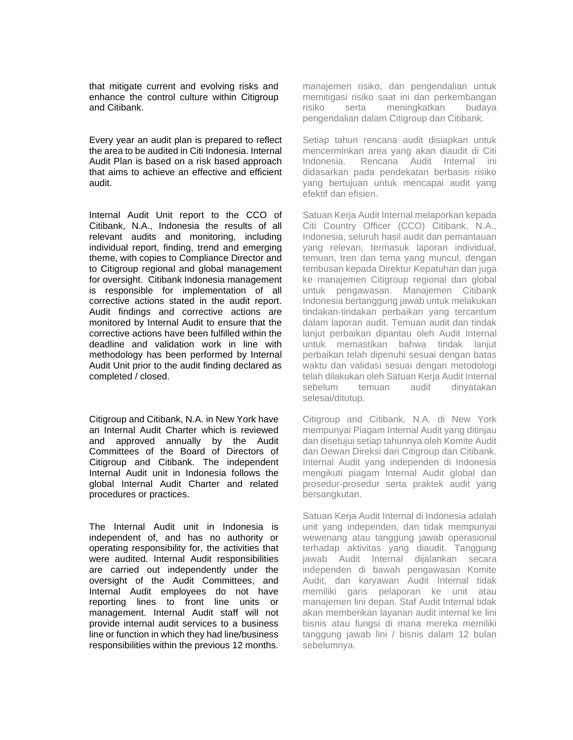that mitigate current and evolving risks and enhance the control culture within Citigroup and Citibank.

Every year an audit plan is prepared to reflect the area to be audited in Citi Indonesia. Internal Audit Plan is based on a risk based approach that aims to achieve an effective and efficient audit.

Internal Audit Unit report to the CCO of Citibank, N.A., Indonesia the results of all relevant audits and monitoring, including individual report, finding, trend and emerging theme, with copies to Compliance Director and to Citigroup regional and global management for oversight. Citibank Indonesia management is responsible for implementation of all corrective actions stated in the audit report. Audit findings and corrective actions are monitored by Internal Audit to ensure that the corrective actions have been fulfilled within the deadline and validation work in line with methodology has been performed by Internal Audit Unit prior to the audit finding declared as completed / closed.

Citigroup and Citibank, N.A. in New York have an Internal Audit Charter which is reviewed and approved annually by the Audit Committees of the Board of Directors of Citigroup and Citibank. The independent Internal Audit unit in Indonesia follows the global Internal Audit Charter and related procedures or practices.

The Internal Audit unit in Indonesia is independent of, and has no authority or operating responsibility for, the activities that were audited. Internal Audit responsibilities are carried out independently under the oversight of the Audit Committees, and Internal Audit employees do not have reporting lines to front line units or management. Internal Audit staff will not provide internal audit services to a business line or function in which they had line/business responsibilities within the previous 12 months.

manajemen risiko, dan pengendalian untuk memitigasi risiko saat ini dan perkembangan risiko serta meningkatkan budaya pengendalian dalam Citigroup dan Citibank.

Setiap tahun rencana audit disiapkan untuk mencerminkan area yang akan diaudit di Citi Indonesia. Rencana Audit Internal ini didasarkan pada pendekatan berbasis risiko yang bertujuan untuk mencapai audit yang efektif dan efisien.

Satuan Kerja Audit Internal melaporkan kepada Citi Country Officer (CCO) Citibank, N.A., Indonesia, seluruh hasil audit dan pemantauan yang relevan, termasuk laporan individual, temuan, tren dan tema yang muncul, dengan tembusan kepada Direktur Kepatuhan dan juga ke manajemen Citigroup regional dan global untuk pengawasan. Manajemen Citibank Indonesia bertanggung jawab untuk melakukan tindakan-tindakan perbaikan yang tercantum dalam laporan audit. Temuan audit dan tindak lanjut perbaikan dipantau oleh Audit Internal untuk memastikan bahwa tindak lanjut perbaikan telah dipenuhi sesuai dengan batas waktu dan validasi sesuai dengan metodologi telah dilakukan oleh Satuan Kerja Audit Internal sebelum temuan audit dinyatakan selesai/ditutup.

Citigroup and Citibank, N.A. di New York mempunyai Piagam Internal Audit yang ditinjau dan disetujui setiap tahunnya oleh Komite Audit dari Dewan Direksi dari Citigroup dan Citibank. Internal Audit yang independen di Indonesia mengikuti piagam Internal Audit global dan prosedur-prosedur serta praktek audit yang bersangkutan.

Satuan Kerja Audit Internal di Indonesia adalah unit yang independen, dan tidak mempunyai wewenang atau tanggung jawab operasional terhadap aktivitas yang diaudit. Tanggung jawab Audit Internal dijalankan secara independen di bawah pengawasan Komite Audit, dan karyawan Audit Internal tidak memiliki garis pelaporan ke unit atau manajemen lini depan. Staf Audit Internal tidak akan memberikan layanan audit internal ke lini bisnis atau fungsi di mana mereka memiliki tanggung jawab lini / bisnis dalam 12 bulan sebelumnya.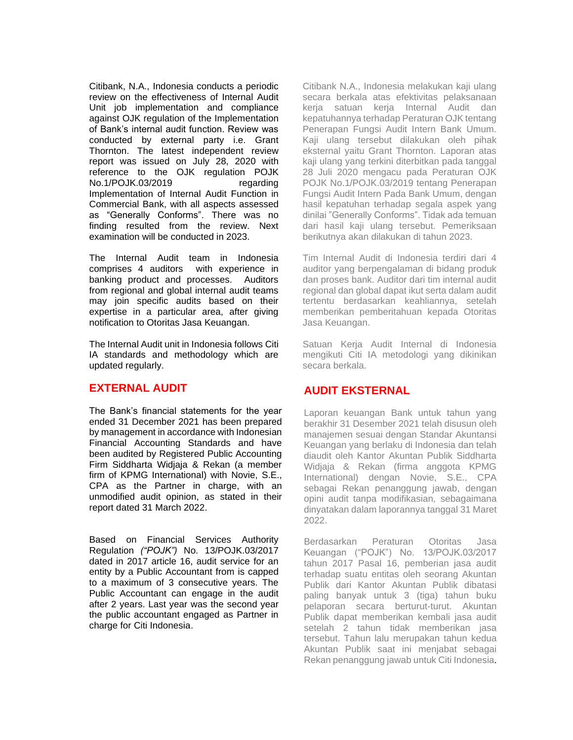Citibank, N.A., Indonesia conducts a periodic review on the effectiveness of Internal Audit Unit job implementation and compliance against OJK regulation of the Implementation of Bank's internal audit function. Review was conducted by external party i.e. Grant Thornton. The latest independent review report was issued on July 28, 2020 with reference to the OJK regulation POJK No.1/POJK.03/2019 regarding Implementation of Internal Audit Function in Commercial Bank, with all aspects assessed as "Generally Conforms". There was no finding resulted from the review. Next examination will be conducted in 2023.

The Internal Audit team in Indonesia comprises 4 auditors with experience in banking product and processes. Auditors from regional and global internal audit teams may join specific audits based on their expertise in a particular area, after giving notification to Otoritas Jasa Keuangan.

The Internal Audit unit in Indonesia follows Citi IA standards and methodology which are updated regularly.

## **EXTERNAL AUDIT**

The Bank's financial statements for the year ended 31 December 2021 has been prepared by management in accordance with Indonesian Financial Accounting Standards and have been audited by Registered Public Accounting Firm Siddharta Widjaja & Rekan (a member firm of KPMG International) with Novie, S.E., CPA as the Partner in charge, with an unmodified audit opinion, as stated in their report dated 31 March 2022.

Based on Financial Services Authority Regulation *("POJK")* No. 13/POJK.03/2017 dated in 2017 article 16, audit service for an entity by a Public Accountant from is capped to a maximum of 3 consecutive years. The Public Accountant can engage in the audit after 2 years. Last year was the second year the public accountant engaged as Partner in charge for Citi Indonesia.

Citibank N.A., Indonesia melakukan kaji ulang secara berkala atas efektivitas pelaksanaan kerja satuan kerja Internal Audit dan kepatuhannya terhadap Peraturan OJK tentang Penerapan Fungsi Audit Intern Bank Umum. Kaji ulang tersebut dilakukan oleh pihak eksternal yaitu Grant Thornton. Laporan atas kaji ulang yang terkini diterbitkan pada tanggal 28 Juli 2020 mengacu pada Peraturan OJK POJK No.1/POJK.03/2019 tentang Penerapan Fungsi Audit Intern Pada Bank Umum, dengan hasil kepatuhan terhadap segala aspek yang dinilai "Generally Conforms". Tidak ada temuan dari hasil kaji ulang tersebut. Pemeriksaan berikutnya akan dilakukan di tahun 2023.

Tim Internal Audit di Indonesia terdiri dari 4 auditor yang berpengalaman di bidang produk dan proses bank. Auditor dari tim internal audit regional dan global dapat ikut serta dalam audit tertentu berdasarkan keahliannya, setelah memberikan pemberitahuan kepada Otoritas Jasa Keuangan.

Satuan Kerja Audit Internal di Indonesia mengikuti Citi IA metodologi yang dikinikan secara berkala.

# **AUDIT EKSTERNAL**

Laporan keuangan Bank untuk tahun yang berakhir 31 Desember 2021 telah disusun oleh manajemen sesuai dengan Standar Akuntansi Keuangan yang berlaku di Indonesia dan telah diaudit oleh Kantor Akuntan Publik Siddharta Widjaja & Rekan (firma anggota KPMG International) dengan Novie, S.E., CPA sebagai Rekan penanggung jawab, dengan opini audit tanpa modifikasian, sebagaimana dinyatakan dalam laporannya tanggal 31 Maret 2022.

Berdasarkan Peraturan Otoritas Jasa Keuangan ("POJK") No. 13/POJK.03/2017 tahun 2017 Pasal 16, pemberian jasa audit terhadap suatu entitas oleh seorang Akuntan Publik dari Kantor Akuntan Publik dibatasi paling banyak untuk 3 (tiga) tahun buku pelaporan secara berturut-turut. Akuntan Publik dapat memberikan kembali jasa audit setelah 2 tahun tidak memberikan jasa tersebut. Tahun lalu merupakan tahun kedua Akuntan Publik saat ini menjabat sebagai Rekan penanggung jawab untuk Citi Indonesia.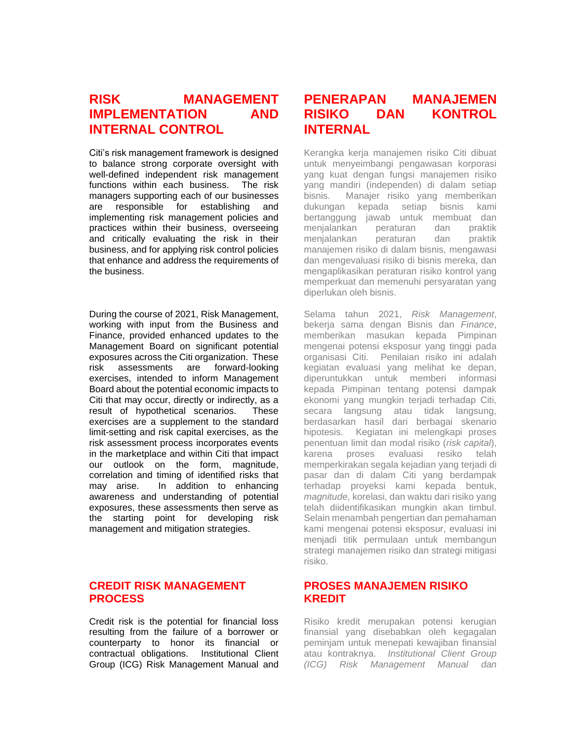# **RISK MANAGEMENT IMPLEMENTATION AND INTERNAL CONTROL**

Citi's risk management framework is designed to balance strong corporate oversight with well-defined independent risk management functions within each business. The risk managers supporting each of our businesses are responsible for establishing and implementing risk management policies and practices within their business, overseeing and critically evaluating the risk in their business, and for applying risk control policies that enhance and address the requirements of the business.

During the course of 2021, Risk Management, working with input from the Business and Finance, provided enhanced updates to the Management Board on significant potential exposures across the Citi organization. These risk assessments are forward-looking exercises, intended to inform Management Board about the potential economic impacts to Citi that may occur, directly or indirectly, as a result of hypothetical scenarios. These exercises are a supplement to the standard limit-setting and risk capital exercises, as the risk assessment process incorporates events in the marketplace and within Citi that impact our outlook on the form, magnitude, correlation and timing of identified risks that may arise. In addition to enhancing awareness and understanding of potential exposures, these assessments then serve as the starting point for developing risk management and mitigation strategies.

## **CREDIT RISK MANAGEMENT PROCESS**

Credit risk is the potential for financial loss resulting from the failure of a borrower or counterparty to honor its financial or contractual obligations. Institutional Client Group (ICG) Risk Management Manual and

# **PENERAPAN MANAJEMEN RISIKO DAN KONTROL INTERNAL**

Kerangka kerja manajemen risiko Citi dibuat untuk menyeimbangi pengawasan korporasi yang kuat dengan fungsi manajemen risiko yang mandiri (independen) di dalam setiap bisnis. Manajer risiko yang memberikan dukungan kepada setiap bisnis kami bertanggung jawab untuk membuat dan menjalankan peraturan dan praktik menjalankan peraturan dan praktik manajemen risiko di dalam bisnis, mengawasi dan mengevaluasi risiko di bisnis mereka, dan mengaplikasikan peraturan risiko kontrol yang memperkuat dan memenuhi persyaratan yang diperlukan oleh bisnis.

Selama tahun 2021, *Risk Management*, bekerja sama dengan Bisnis dan *Finance*, memberikan masukan kepada Pimpinan mengenai potensi eksposur yang tinggi pada organisasi Citi. Penilaian risiko ini adalah kegiatan evaluasi yang melihat ke depan, diperuntukkan untuk memberi informasi kepada Pimpinan tentang potensi dampak ekonomi yang mungkin terjadi terhadap Citi, secara langsung atau tidak langsung, berdasarkan hasil dari berbagai skenario hipotesis. Kegiatan ini melengkapi proses penentuan limit dan modal risiko (*risk capital*), karena proses evaluasi resiko telah memperkirakan segala kejadian yang terjadi di pasar dan di dalam Citi yang berdampak terhadap proyeksi kami kepada bentuk, *magnitude*, korelasi, dan waktu dari risiko yang telah diidentifikasikan mungkin akan timbul. Selain menambah pengertian dan pemahaman kami mengenai potensi eksposur, evaluasi ini menjadi titik permulaan untuk membangun strategi manajemen risiko dan strategi mitigasi risiko.

## **PROSES MANAJEMEN RISIKO KREDIT**

Risiko kredit merupakan potensi kerugian finansial yang disebabkan oleh kegagalan peminjam untuk menepati kewajiban finansial atau kontraknya. *Institutional Client Group (ICG) Risk Management Manual dan*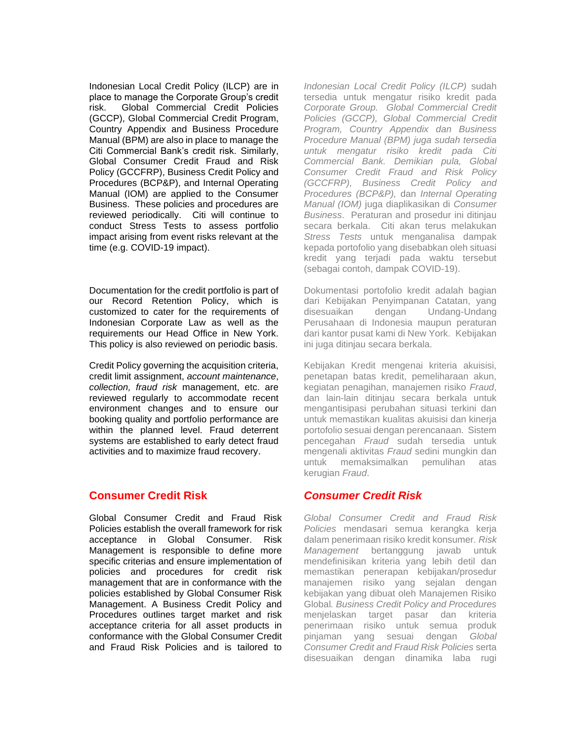Indonesian Local Credit Policy (ILCP) are in place to manage the Corporate Group's credit risk. Global Commercial Credit Policies (GCCP), Global Commercial Credit Program, Country Appendix and Business Procedure Manual (BPM) are also in place to manage the Citi Commercial Bank's credit risk. Similarly, Global Consumer Credit Fraud and Risk Policy (GCCFRP), Business Credit Policy and Procedures (BCP&P), and Internal Operating Manual (IOM) are applied to the Consumer Business. These policies and procedures are reviewed periodically. Citi will continue to conduct Stress Tests to assess portfolio impact arising from event risks relevant at the time (e.g. COVID-19 impact).

Documentation for the credit portfolio is part of our Record Retention Policy, which is customized to cater for the requirements of Indonesian Corporate Law as well as the requirements our Head Office in New York. This policy is also reviewed on periodic basis.

Credit Policy governing the acquisition criteria, credit limit assignment, *account maintenance*, *collection, fraud risk* management, etc. are reviewed regularly to accommodate recent environment changes and to ensure our booking quality and portfolio performance are within the planned level. Fraud deterrent systems are established to early detect fraud activities and to maximize fraud recovery.

## **Consumer Credit Risk**

Global Consumer Credit and Fraud Risk Policies establish the overall framework for risk acceptance in Global Consumer. Risk Management is responsible to define more specific criterias and ensure implementation of policies and procedures for credit risk management that are in conformance with the policies established by Global Consumer Risk Management. A Business Credit Policy and Procedures outlines target market and risk acceptance criteria for all asset products in conformance with the Global Consumer Credit and Fraud Risk Policies and is tailored to

*Indonesian Local Credit Policy (ILCP)* sudah tersedia untuk mengatur risiko kredit pada *Corporate Group. Global Commercial Credit Policies (GCCP), Global Commercial Credit Program, Country Appendix dan Business Procedure Manual (BPM) juga sudah tersedia untuk mengatur risiko kredit pada Citi Commercial Bank. Demikian pula, Global Consumer Credit Fraud and Risk Policy (GCCFRP), Business Credit Policy and Procedures (BCP&P),* dan *Internal Operating Manual (IOM)* juga diaplikasikan di *Consumer Business*. Peraturan and prosedur ini ditinjau secara berkala. Citi akan terus melakukan *Stress Tests* untuk menganalisa dampak kepada portofolio yang disebabkan oleh situasi kredit yang terjadi pada waktu tersebut (sebagai contoh, dampak COVID-19).

Dokumentasi portofolio kredit adalah bagian dari Kebijakan Penyimpanan Catatan, yang disesuaikan dengan Undang-Undang Perusahaan di Indonesia maupun peraturan dari kantor pusat kami di New York. Kebijakan ini juga ditinjau secara berkala.

Kebijakan Kredit mengenai kriteria akuisisi, penetapan batas kredit, pemeliharaan akun, kegiatan penagihan, manajemen risiko *Fraud*, dan lain-lain ditinjau secara berkala untuk mengantisipasi perubahan situasi terkini dan untuk memastikan kualitas akuisisi dan kinerja portofolio sesuai dengan perencanaan. Sistem pencegahan *Fraud* sudah tersedia untuk mengenali aktivitas *Fraud* sedini mungkin dan untuk memaksimalkan pemulihan atas kerugian *Fraud*.

# *Consumer Credit Risk*

*Global Consumer Credit and Fraud Risk Policies* mendasari semua kerangka kerja dalam penerimaan risiko kredit konsumer. *Risk Management* bertanggung jawab untuk mendefinisikan kriteria yang lebih detil dan memastikan penerapan kebijakan/prosedur manajemen risiko yang sejalan dengan kebijakan yang dibuat oleh Manajemen Risiko Global*. Business Credit Policy and Procedures* menjelaskan target pasar dan kriteria penerimaan risiko untuk semua produk pinjaman yang sesuai dengan *Global Consumer Credit and Fraud Risk Policies* serta disesuaikan dengan dinamika laba rugi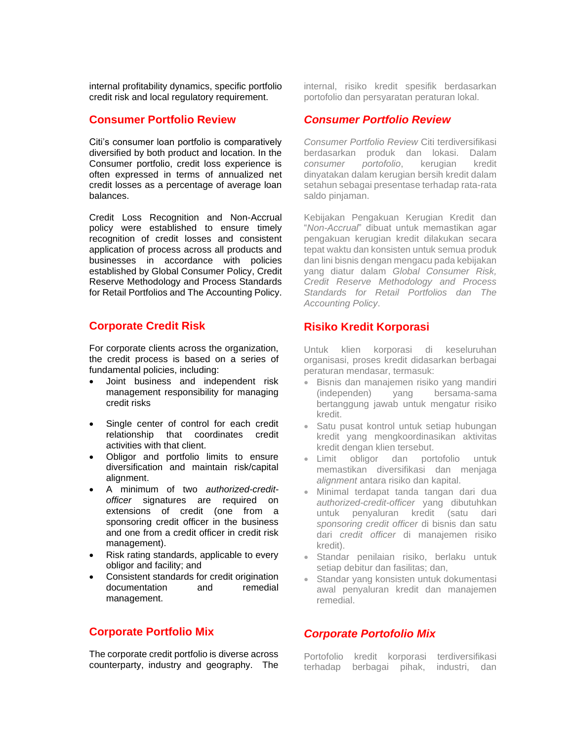internal profitability dynamics, specific portfolio credit risk and local regulatory requirement.

## **Consumer Portfolio Review**

Citi's consumer loan portfolio is comparatively diversified by both product and location. In the Consumer portfolio, credit loss experience is often expressed in terms of annualized net credit losses as a percentage of average loan balances.

Credit Loss Recognition and Non-Accrual policy were established to ensure timely recognition of credit losses and consistent application of process across all products and businesses in accordance with policies established by Global Consumer Policy, Credit Reserve Methodology and Process Standards for Retail Portfolios and The Accounting Policy.

## **Corporate Credit Risk**

For corporate clients across the organization, the credit process is based on a series of fundamental policies, including:

- Joint business and independent risk management responsibility for managing credit risks
- Single center of control for each credit relationship that coordinates credit activities with that client.
- Obligor and portfolio limits to ensure diversification and maintain risk/capital alignment.
- A minimum of two *authorized-creditofficer* signatures are required on extensions of credit (one from a sponsoring credit officer in the business and one from a credit officer in credit risk management).
- Risk rating standards, applicable to every obligor and facility; and
- Consistent standards for credit origination documentation and remedial management.

## **Corporate Portfolio Mix**

The corporate credit portfolio is diverse across counterparty, industry and geography. The internal, risiko kredit spesifik berdasarkan portofolio dan persyaratan peraturan lokal.

## *Consumer Portfolio Review*

*Consumer Portfolio Review* Citi terdiversifikasi berdasarkan produk dan lokasi. Dalam *consumer portofolio*, kerugian kredit dinyatakan dalam kerugian bersih kredit dalam setahun sebagai presentase terhadap rata-rata saldo pinjaman.

Kebijakan Pengakuan Kerugian Kredit dan "*Non-Accrual*" dibuat untuk memastikan agar pengakuan kerugian kredit dilakukan secara tepat waktu dan konsisten untuk semua produk dan lini bisnis dengan mengacu pada kebijakan yang diatur dalam *Global Consumer Risk, Credit Reserve Methodology and Process Standards for Retail Portfolios dan The Accounting Policy*.

## **Risiko Kredit Korporasi**

Untuk klien korporasi di keseluruhan organisasi, proses kredit didasarkan berbagai peraturan mendasar, termasuk:

- Bisnis dan manajemen risiko yang mandiri (independen) yang bersama-sama bertanggung jawab untuk mengatur risiko kredit.
- Satu pusat kontrol untuk setiap hubungan kredit yang mengkoordinasikan aktivitas kredit dengan klien tersebut.
- Limit obligor dan portofolio untuk memastikan diversifikasi dan menjaga *alignment* antara risiko dan kapital.
- Minimal terdapat tanda tangan dari dua *authorized-credit-officer* yang dibutuhkan untuk penyaluran kredit (satu dari *sponsoring credit officer* di bisnis dan satu dari *credit officer* di manajemen risiko kredit).
- Standar penilaian risiko, berlaku untuk setiap debitur dan fasilitas; dan,
- Standar yang konsisten untuk dokumentasi awal penyaluran kredit dan manajemen remedial.

## *Corporate Portofolio Mix*

Portofolio kredit korporasi terdiversifikasi terhadap berbagai pihak, industri, dan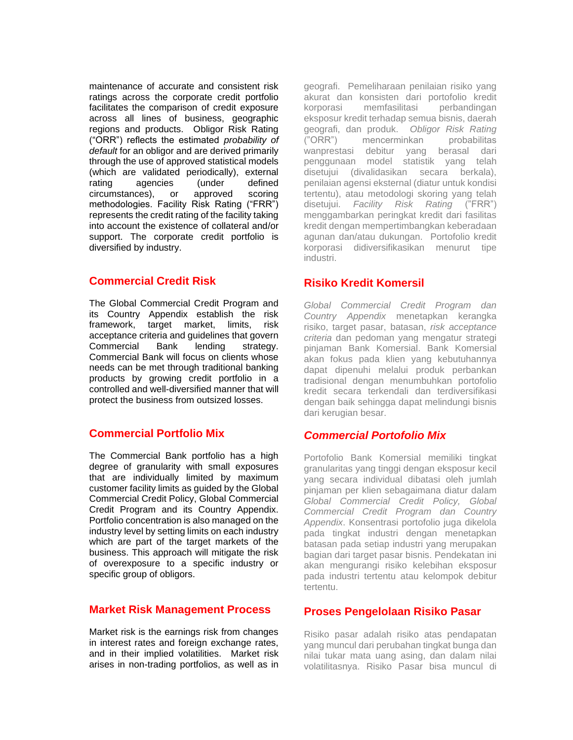maintenance of accurate and consistent risk ratings across the corporate credit portfolio facilitates the comparison of credit exposure across all lines of business, geographic regions and products. Obligor Risk Rating ("ORR") reflects the estimated *probability of default* for an obligor and are derived primarily through the use of approved statistical models (which are validated periodically), external rating agencies (under defined circumstances), or approved scoring methodologies. Facility Risk Rating ("FRR") represents the credit rating of the facility taking into account the existence of collateral and/or support. The corporate credit portfolio is diversified by industry.

#### **Commercial Credit Risk**

The Global Commercial Credit Program and its Country Appendix establish the risk framework, target market, limits, risk acceptance criteria and guidelines that govern Commercial Bank lending strategy. Commercial Bank will focus on clients whose needs can be met through traditional banking products by growing credit portfolio in a controlled and well-diversified manner that will protect the business from outsized losses.

## **Commercial Portfolio Mix**

The Commercial Bank portfolio has a high degree of granularity with small exposures that are individually limited by maximum customer facility limits as guided by the Global Commercial Credit Policy, Global Commercial Credit Program and its Country Appendix. Portfolio concentration is also managed on the industry level by setting limits on each industry which are part of the target markets of the business. This approach will mitigate the risk of overexposure to a specific industry or specific group of obligors.

#### **Market Risk Management Process**

Market risk is the earnings risk from changes in interest rates and foreign exchange rates, and in their implied volatilities. Market risk arises in non-trading portfolios, as well as in geografi. Pemeliharaan penilaian risiko yang akurat dan konsisten dari portofolio kredit korporasi memfasilitasi perbandingan eksposur kredit terhadap semua bisnis, daerah geografi, dan produk. *Obligor Risk Rating* ("ORR") mencerminkan probabilitas wanprestasi debitur yang berasal dari penggunaan model statistik yang telah disetujui (divalidasikan secara berkala), penilaian agensi eksternal (diatur untuk kondisi tertentu), atau metodologi skoring yang telah disetujui. *Facility Risk Rating* ("FRR") menggambarkan peringkat kredit dari fasilitas kredit dengan mempertimbangkan keberadaan agunan dan/atau dukungan. Portofolio kredit korporasi didiversifikasikan menurut tipe industri.

## **Risiko Kredit Komersil**

*Global Commercial Credit Program dan Country Appendix* menetapkan kerangka risiko, target pasar, batasan, *risk acceptance criteria* dan pedoman yang mengatur strategi pinjaman Bank Komersial. Bank Komersial akan fokus pada klien yang kebutuhannya dapat dipenuhi melalui produk perbankan tradisional dengan menumbuhkan portofolio kredit secara terkendali dan terdiversifikasi dengan baik sehingga dapat melindungi bisnis dari kerugian besar.

#### *Commercial Portofolio Mix*

Portofolio Bank Komersial memiliki tingkat granularitas yang tinggi dengan eksposur kecil yang secara individual dibatasi oleh jumlah pinjaman per klien sebagaimana diatur dalam *Global Commercial Credit Policy, Global Commercial Credit Program dan Country Appendix*. Konsentrasi portofolio juga dikelola pada tingkat industri dengan menetapkan batasan pada setiap industri yang merupakan bagian dari target pasar bisnis. Pendekatan ini akan mengurangi risiko kelebihan eksposur pada industri tertentu atau kelompok debitur tertentu.

## **Proses Pengelolaan Risiko Pasar**

Risiko pasar adalah risiko atas pendapatan yang muncul dari perubahan tingkat bunga dan nilai tukar mata uang asing, dan dalam nilai volatilitasnya. Risiko Pasar bisa muncul di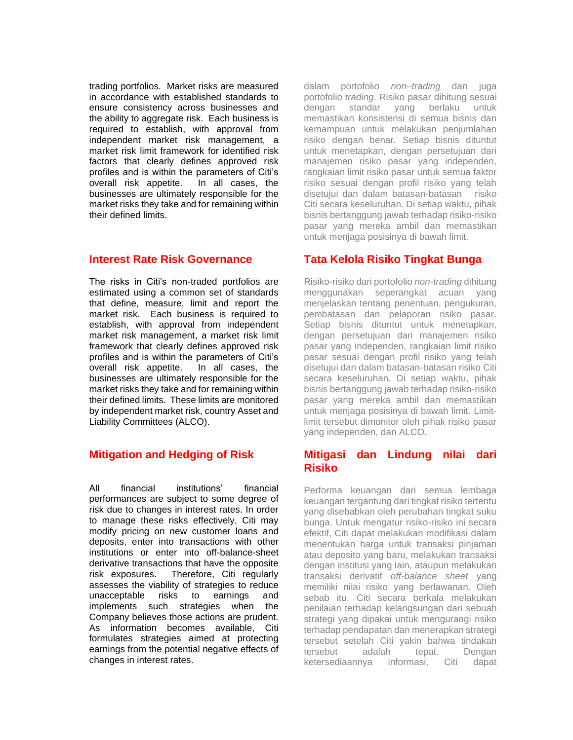trading portfolios. Market risks are measured in accordance with established standards to ensure consistency across businesses and the ability to aggregate risk. Each business is required to establish, with approval from independent market risk management, a market risk limit framework for identified risk factors that clearly defines approved risk profiles and is within the parameters of Citi's overall risk appetite. In all cases, the businesses are ultimately responsible for the market risks they take and for remaining within their defined limits.

#### **Interest Rate Risk Governance**

The risks in Citi's non-traded portfolios are estimated using a common set of standards that define, measure, limit and report the market risk. Each business is required to establish, with approval from independent market risk management, a market risk limit framework that clearly defines approved risk profiles and is within the parameters of Citi's overall risk appetite. In all cases, the businesses are ultimately responsible for the market risks they take and for remaining within their defined limits. These limits are monitored by independent market risk, country Asset and Liability Committees (ALCO).

# **Mitigation and Hedging of Risk**

All financial institutions' financial performances are subject to some degree of risk due to changes in interest rates. In order to manage these risks effectively, Citi may modify pricing on new customer loans and deposits, enter into transactions with other institutions or enter into off-balance-sheet derivative transactions that have the opposite risk exposures. Therefore, Citi regularly assesses the viability of strategies to reduce unacceptable risks to earnings and implements such strategies when the Company believes those actions are prudent. As information becomes available, Citi formulates strategies aimed at protecting earnings from the potential negative effects of changes in interest rates.

dalam portofolio *non–trading* dan juga portofolio *trading*. Risiko pasar dihitung sesuai dengan standar yang berlaku untuk memastikan konsistensi di semua bisnis dan kemampuan untuk melakukan penjumlahan risiko dengan benar. Setiap bisnis dituntut untuk menetapkan, dengan persetujuan dari manajemen risiko pasar yang independen, rangkaian limit risiko pasar untuk semua faktor risiko sesuai dengan profil risiko yang telah disetujui dan dalam batasan-batasan risiko Citi secara keseluruhan. Di setiap waktu, pihak bisnis bertanggung jawab terhadap risiko-risiko pasar yang mereka ambil dan memastikan untuk menjaga posisinya di bawah limit.

# **Tata Kelola Risiko Tingkat Bunga**

Risiko-risiko dari portofolio *non-trading* dihitung menggunakan seperangkat acuan yang menjelaskan tentang penentuan, pengukuran, pembatasan dan pelaporan risiko pasar. Setiap bisnis dituntut untuk menetapkan, dengan persetujuan dari manajemen risiko pasar yang independen, rangkaian limit risiko pasar sesuai dengan profil risiko yang telah disetujui dan dalam batasan-batasan risiko Citi secara keseluruhan. Di setiap waktu, pihak bisnis bertanggung jawab terhadap risiko-risiko pasar yang mereka ambil dan memastikan untuk menjaga posisinya di bawah limit. Limitlimit tersebut dimonitor oleh pihak risiko pasar yang independen, dan ALCO.

## **Mitigasi dan Lindung nilai dari Risiko**

Performa keuangan dari semua lembaga keuangan tergantung dari tingkat risiko tertentu yang disebabkan oleh perubahan tingkat suku bunga. Untuk mengatur risiko-risiko ini secara efektif, Citi dapat melakukan modifikasi dalam menentukan harga untuk transaksi pinjaman atau deposito yang baru, melakukan transaksi dengan institusi yang lain, ataupun melakukan transaksi derivatif *off-balance sheet* yang memiliki nilai risiko yang berlawanan. Oleh sebab itu, Citi secara berkala melakukan penilaian terhadap kelangsungan dari sebuah strategi yang dipakai untuk mengurangi risiko terhadap pendapatan dan menerapkan strategi tersebut setelah Citi yakin bahwa tindakan tersebut adalah tepat. Dengan ketersediaannya informasi, Citi dapat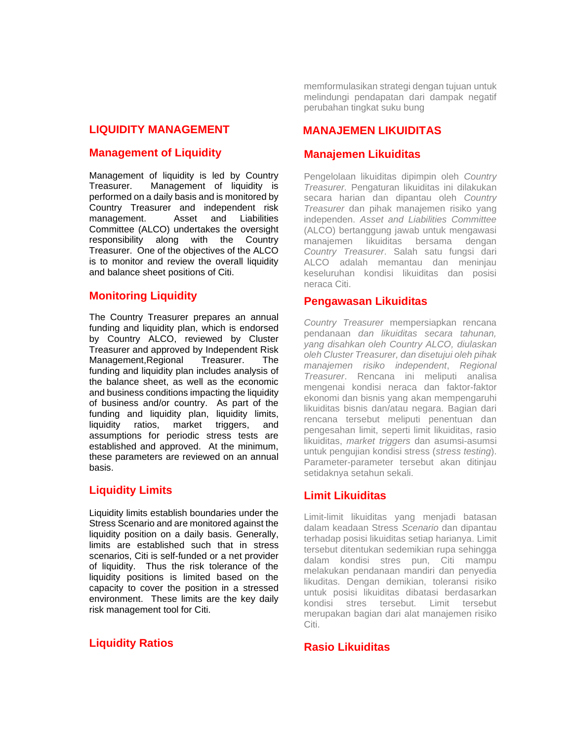#### **LIQUIDITY MANAGEMENT**

#### **Management of Liquidity**

Management of liquidity is led by Country Treasurer. Management of liquidity is performed on a daily basis and is monitored by Country Treasurer and independent risk management. Asset and Liabilities Committee (ALCO) undertakes the oversight responsibility along with the Country Treasurer. One of the objectives of the ALCO is to monitor and review the overall liquidity and balance sheet positions of Citi.

## **Monitoring Liquidity**

The Country Treasurer prepares an annual funding and liquidity plan, which is endorsed by Country ALCO, reviewed by Cluster Treasurer and approved by Independent Risk Management,Regional Treasurer. The funding and liquidity plan includes analysis of the balance sheet, as well as the economic and business conditions impacting the liquidity of business and/or country. As part of the funding and liquidity plan, liquidity limits, liquidity ratios, market triggers, and assumptions for periodic stress tests are established and approved. At the minimum, these parameters are reviewed on an annual basis.

## **Liquidity Limits**

Liquidity limits establish boundaries under the Stress Scenario and are monitored against the liquidity position on a daily basis. Generally, limits are established such that in stress scenarios, Citi is self-funded or a net provider of liquidity. Thus the risk tolerance of the liquidity positions is limited based on the capacity to cover the position in a stressed environment. These limits are the key daily risk management tool for Citi.

## **Liquidity Ratios**

memformulasikan strategi dengan tujuan untuk melindungi pendapatan dari dampak negatif perubahan tingkat suku bung

## **MANAJEMEN LIKUIDITAS**

#### **Manajemen Likuiditas**

Pengelolaan likuiditas dipimpin oleh *Country Treasurer.* Pengaturan likuiditas ini dilakukan secara harian dan dipantau oleh *Country Treasurer* dan pihak manajemen risiko yang independen. *Asset and Liabilities Committee* (ALCO) bertanggung jawab untuk mengawasi manajemen likuiditas bersama dengan *Country Treasurer*. Salah satu fungsi dari ALCO adalah memantau dan meninjau keseluruhan kondisi likuiditas dan posisi neraca Citi.

#### **Pengawasan Likuiditas**

*Country Treasurer* mempersiapkan rencana pendanaan *dan likuiditas secara tahunan, yang disahkan oleh Country ALCO, diulaskan oleh Cluster Treasurer, dan disetujui oleh pihak manajemen risiko independent*, *Regional Treasurer*. Rencana ini meliputi analisa mengenai kondisi neraca dan faktor-faktor ekonomi dan bisnis yang akan mempengaruhi likuiditas bisnis dan/atau negara. Bagian dari rencana tersebut meliputi penentuan dan pengesahan limit, seperti limit likuiditas, rasio likuiditas, *market triggers* dan asumsi-asumsi untuk pengujian kondisi stress (*stress testing*). Parameter-parameter tersebut akan ditinjau setidaknya setahun sekali.

## **Limit Likuiditas**

Limit-limit likuiditas yang menjadi batasan dalam keadaan Stress *Scenario* dan dipantau terhadap posisi likuiditas setiap harianya. Limit tersebut ditentukan sedemikian rupa sehingga dalam kondisi stres pun, Citi mampu melakukan pendanaan mandiri dan penyedia likuditas. Dengan demikian, toleransi risiko untuk posisi likuiditas dibatasi berdasarkan kondisi stres tersebut. Limit tersebut merupakan bagian dari alat manajemen risiko Citi.

#### **Rasio Likuiditas**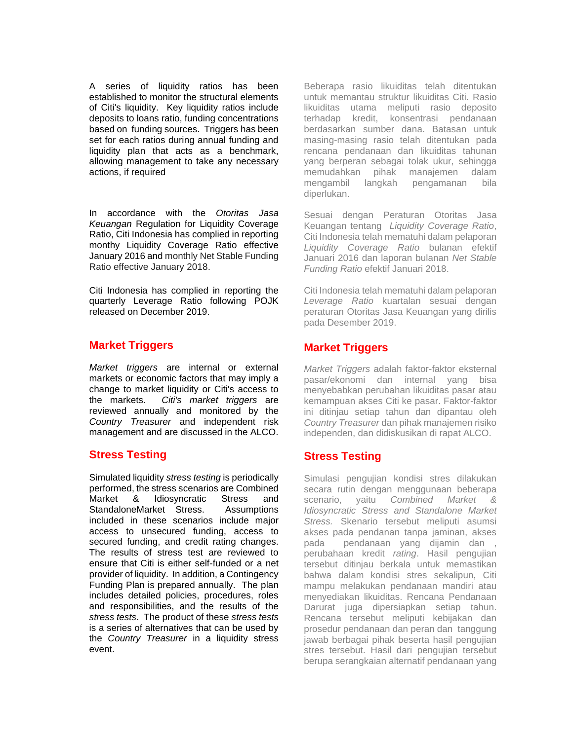A series of liquidity ratios has been established to monitor the structural elements of Citi's liquidity. Key liquidity ratios include deposits to loans ratio, funding concentrations based on funding sources. Triggers has been set for each ratios during annual funding and liquidity plan that acts as a benchmark, allowing management to take any necessary actions, if required

In accordance with the *Otoritas Jasa Keuangan* Regulation for Liquidity Coverage Ratio, Citi Indonesia has complied in reporting monthy Liquidity Coverage Ratio effective January 2016 and monthly Net Stable Funding Ratio effective January 2018.

Citi Indonesia has complied in reporting the quarterly Leverage Ratio following POJK released on December 2019.

## **Market Triggers**

*Market triggers* are internal or external markets or economic factors that may imply a change to market liquidity or Citi's access to the markets. *Citi's market triggers* are reviewed annually and monitored by the *Country Treasurer* and independent risk management and are discussed in the ALCO.

# **Stress Testing**

Simulated liquidity *stress testing* is periodically performed, the stress scenarios are Combined Market & Idiosyncratic Stress and StandaloneMarket Stress. Assumptions included in these scenarios include major access to unsecured funding, access to secured funding, and credit rating changes. The results of stress test are reviewed to ensure that Citi is either self-funded or a net provider of liquidity. In addition, a Contingency Funding Plan is prepared annually. The plan includes detailed policies, procedures, roles and responsibilities, and the results of the *stress tests*. The product of these *stress tests* is a series of alternatives that can be used by the *Country Treasurer* in a liquidity stress event.

Beberapa rasio likuiditas telah ditentukan untuk memantau struktur likuiditas Citi. Rasio likuiditas utama meliputi rasio deposito terhadap kredit, konsentrasi pendanaan berdasarkan sumber dana. Batasan untuk masing-masing rasio telah ditentukan pada rencana pendanaan dan likuiditas tahunan yang berperan sebagai tolak ukur, sehingga memudahkan pihak manajemen dalam mengambil langkah pengamanan bila diperlukan.

Sesuai dengan Peraturan Otoritas Jasa Keuangan tentang *Liquidity Coverage Ratio*, Citi Indonesia telah mematuhi dalam pelaporan *Liquidity Coverage Ratio* bulanan efektif Januari 2016 dan laporan bulanan *Net Stable Funding Ratio* efektif Januari 2018.

Citi Indonesia telah mematuhi dalam pelaporan *Leverage Ratio* kuartalan sesuai dengan peraturan Otoritas Jasa Keuangan yang dirilis pada Desember 2019.

# **Market Triggers**

*Market Triggers* adalah faktor-faktor eksternal pasar/ekonomi dan internal yang bisa menyebabkan perubahan likuiditas pasar atau kemampuan akses Citi ke pasar. Faktor-faktor ini ditinjau setiap tahun dan dipantau oleh *Country Treasurer* dan pihak manajemen risiko independen, dan didiskusikan di rapat ALCO.

# **Stress Testing**

Simulasi pengujian kondisi stres dilakukan secara rutin dengan menggunaan beberapa scenario, yaitu *Combined Market & Idiosyncratic Stress and Standalone Market Stress.* Skenario tersebut meliputi asumsi akses pada pendanan tanpa jaminan, akses pada pendanaan yang dijamin dan , perubahaan kredit *rating*. Hasil pengujian tersebut ditinjau berkala untuk memastikan bahwa dalam kondisi stres sekalipun, Citi mampu melakukan pendanaan mandiri atau menyediakan likuiditas. Rencana Pendanaan Darurat juga dipersiapkan setiap tahun. Rencana tersebut meliputi kebijakan dan prosedur pendanaan dan peran dan tanggung jawab berbagai pihak beserta hasil pengujian stres tersebut. Hasil dari pengujian tersebut berupa serangkaian alternatif pendanaan yang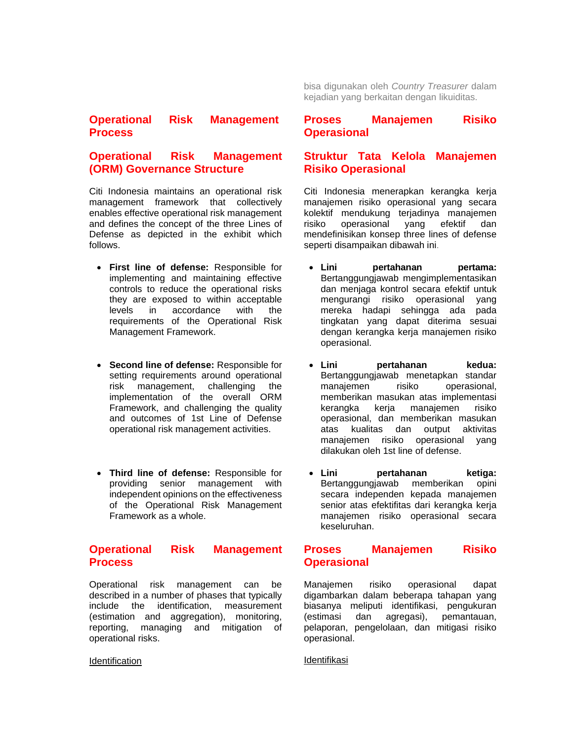**Operational Risk Management Process** 

# **Operational Risk Management (ORM) Governance Structure**

Citi Indonesia maintains an operational risk management framework that collectively enables effective operational risk management and defines the concept of the three Lines of Defense as depicted in the exhibit which follows.

- **First line of defense:** Responsible for implementing and maintaining effective controls to reduce the operational risks they are exposed to within acceptable levels in accordance with the requirements of the Operational Risk Management Framework.
- **Second line of defense:** Responsible for setting requirements around operational risk management, challenging the implementation of the overall ORM Framework, and challenging the quality and outcomes of 1st Line of Defense operational risk management activities.
- **Third line of defense:** Responsible for providing senior management with independent opinions on the effectiveness of the Operational Risk Management Framework as a whole.

## **Operational Risk Management Process**

Operational risk management can be described in a number of phases that typically include the identification, measurement (estimation and aggregation), monitoring, reporting, managing and mitigation of operational risks.

#### **Identification**

bisa digunakan oleh *Country Treasurer* dalam kejadian yang berkaitan dengan likuiditas.

#### **Proses Manajemen Risiko Operasional**

## **Struktur Tata Kelola Manajemen Risiko Operasional**

Citi Indonesia menerapkan kerangka kerja manajemen risiko operasional yang secara kolektif mendukung terjadinya manajemen risiko operasional yang efektif dan mendefinisikan konsep three lines of defense seperti disampaikan dibawah ini.

- **Lini pertahanan pertama:** Bertanggungjawab mengimplementasikan dan menjaga kontrol secara efektif untuk mengurangi risiko operasional yang mereka hadapi sehingga ada pada tingkatan yang dapat diterima sesuai dengan kerangka kerja manajemen risiko operasional.
- **Lini pertahanan kedua:** Bertanggungjawab menetapkan standar manajemen risiko operasional, memberikan masukan atas implementasi kerangka kerja manajemen risiko operasional, dan memberikan masukan atas kualitas dan output aktivitas manajemen risiko operasional yang dilakukan oleh 1st line of defense.
- **Lini pertahanan ketiga:** Bertanggungjawab memberikan opini secara independen kepada manajemen senior atas efektifitas dari kerangka kerja manajemen risiko operasional secara keseluruhan.

## **Proses Manajemen Risiko Operasional**

Manajemen risiko operasional dapat digambarkan dalam beberapa tahapan yang biasanya meliputi identifikasi, pengukuran (estimasi dan agregasi), pemantauan, pelaporan, pengelolaan, dan mitigasi risiko operasional.

Identifikasi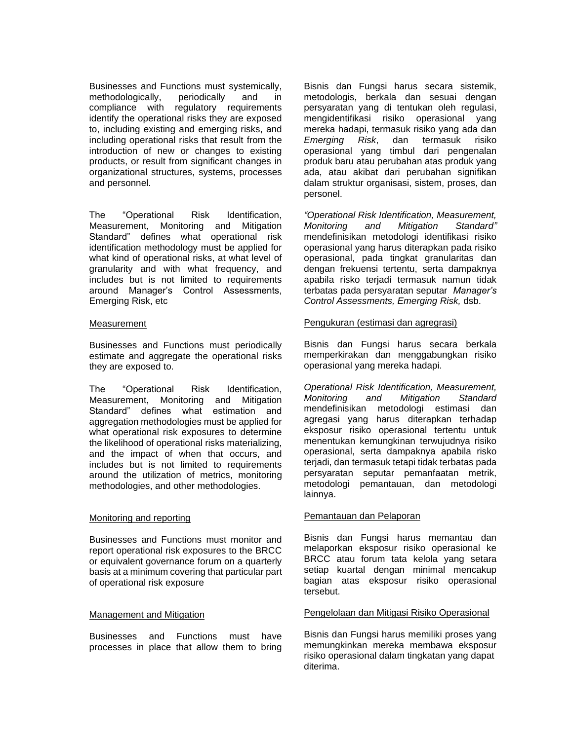Businesses and Functions must systemically, methodologically, periodically and in compliance with regulatory requirements identify the operational risks they are exposed to, including existing and emerging risks, and including operational risks that result from the introduction of new or changes to existing products, or result from significant changes in organizational structures, systems, processes and personnel.

The "Operational Risk Identification, Measurement, Monitoring and Mitigation Standard" defines what operational risk identification methodology must be applied for what kind of operational risks, at what level of granularity and with what frequency, and includes but is not limited to requirements around Manager's Control Assessments, Emerging Risk, etc

#### **Measurement**

Businesses and Functions must periodically estimate and aggregate the operational risks they are exposed to.

The "Operational Risk Identification, Measurement, Monitoring and Mitigation Standard" defines what estimation and aggregation methodologies must be applied for what operational risk exposures to determine the likelihood of operational risks materializing, and the impact of when that occurs, and includes but is not limited to requirements around the utilization of metrics, monitoring methodologies, and other methodologies.

#### Monitoring and reporting

Businesses and Functions must monitor and report operational risk exposures to the BRCC or equivalent governance forum on a quarterly basis at a minimum covering that particular part of operational risk exposure

#### Management and Mitigation

Businesses and Functions must have processes in place that allow them to bring Bisnis dan Fungsi harus secara sistemik, metodologis, berkala dan sesuai dengan persyaratan yang di tentukan oleh regulasi, mengidentifikasi risiko operasional yang mereka hadapi, termasuk risiko yang ada dan *Emerging Risk*, dan termasuk risiko operasional yang timbul dari pengenalan produk baru atau perubahan atas produk yang ada, atau akibat dari perubahan signifikan dalam struktur organisasi, sistem, proses, dan personel.

*"Operational Risk Identification, Measurement, Monitoring and Mitigation Standard"* mendefinisikan metodologi identifikasi risiko operasional yang harus diterapkan pada risiko operasional, pada tingkat granularitas dan dengan frekuensi tertentu, serta dampaknya apabila risko terjadi termasuk namun tidak terbatas pada persyaratan seputar *Manager's Control Assessments, Emerging Risk,* dsb.

#### Pengukuran (estimasi dan agregrasi)

Bisnis dan Fungsi harus secara berkala memperkirakan dan menggabungkan risiko operasional yang mereka hadapi.

*Operational Risk Identification, Measurement, Monitoring and Mitigation Standard* mendefinisikan metodologi estimasi dan agregasi yang harus diterapkan terhadap eksposur risiko operasional tertentu untuk menentukan kemungkinan terwujudnya risiko operasional, serta dampaknya apabila risko terjadi, dan termasuk tetapi tidak terbatas pada persyaratan seputar pemanfaatan metrik, metodologi pemantauan, dan metodologi lainnya.

#### Pemantauan dan Pelaporan

Bisnis dan Fungsi harus memantau dan melaporkan eksposur risiko operasional ke BRCC atau forum tata kelola yang setara setiap kuartal dengan minimal mencakup bagian atas eksposur risiko operasional tersebut.

#### Pengelolaan dan Mitigasi Risiko Operasional

Bisnis dan Fungsi harus memiliki proses yang memungkinkan mereka membawa eksposur risiko operasional dalam tingkatan yang dapat diterima.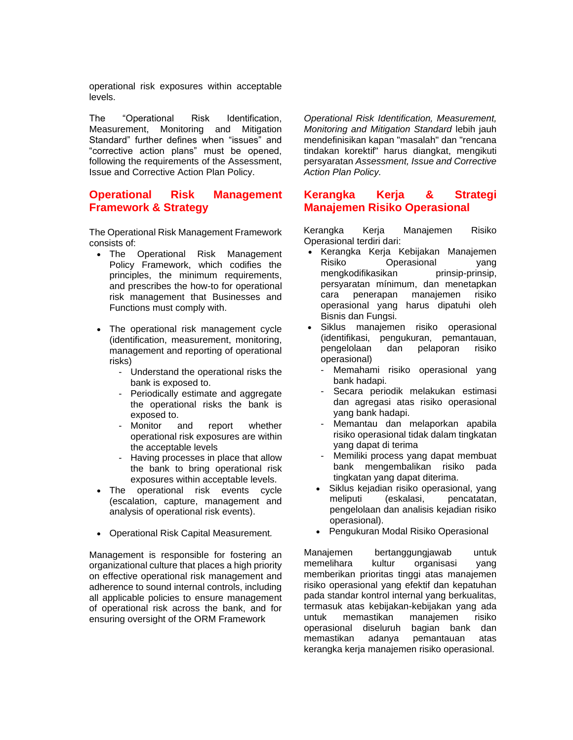operational risk exposures within acceptable levels.

The "Operational Risk Identification, Measurement, Monitoring and Mitigation Standard" further defines when "issues" and "corrective action plans" must be opened, following the requirements of the Assessment, Issue and Corrective Action Plan Policy.

## **Operational Risk Management Framework & Strategy**

The Operational Risk Management Framework consists of:

- The Operational Risk Management Policy Framework, which codifies the principles, the minimum requirements, and prescribes the how-to for operational risk management that Businesses and Functions must comply with.
- The operational risk management cycle (identification, measurement, monitoring, management and reporting of operational risks)
	- Understand the operational risks the bank is exposed to.
	- Periodically estimate and aggregate the operational risks the bank is exposed to.
	- Monitor and report whether operational risk exposures are within the acceptable levels
	- Having processes in place that allow the bank to bring operational risk exposures within acceptable levels.
- The operational risk events cycle (escalation, capture, management and analysis of operational risk events).
- Operational Risk Capital Measurement*.*

Management is responsible for fostering an organizational culture that places a high priority on effective operational risk management and adherence to sound internal controls, including all applicable policies to ensure management of operational risk across the bank, and for ensuring oversight of the ORM Framework

*Operational Risk Identification, Measurement, Monitoring and Mitigation Standard* lebih jauh mendefinisikan kapan "masalah" dan "rencana tindakan korektif" harus diangkat, mengikuti persyaratan *Assessment, Issue and Corrective Action Plan Policy.*

#### **Kerangka Kerja & Strategi Manajemen Risiko Operasional**

Kerangka Kerja Manajemen Risiko Operasional terdiri dari:

- Kerangka Kerja Kebijakan Manajemen Risiko Operasional yang mengkodifikasikan prinsip-prinsip, persyaratan mínimum, dan menetapkan cara penerapan manajemen risiko operasional yang harus dipatuhi oleh Bisnis dan Fungsi.
- Siklus manajemen risiko operasional (identifikasi, pengukuran, pemantauan, pengelolaan dan pelaporan risiko operasional)
	- Memahami risiko operasional yang bank hadapi.
	- Secara periodik melakukan estimasi dan agregasi atas risiko operasional yang bank hadapi.
	- Memantau dan melaporkan apabila risiko operasional tidak dalam tingkatan yang dapat di terima
	- Memiliki process yang dapat membuat bank mengembalikan risiko pada tingkatan yang dapat diterima.
	- Siklus kejadian risiko operasional, yang meliputi (eskalasi, pencatatan, pengelolaan dan analisis kejadian risiko operasional).
	- Pengukuran Modal Risiko Operasional

Manajemen bertanggungjawab untuk memelihara kultur organisasi yang memberikan prioritas tinggi atas manajemen risiko operasional yang efektif dan kepatuhan pada standar kontrol internal yang berkualitas, termasuk atas kebijakan-kebijakan yang ada untuk memastikan manajemen risiko operasional diseluruh bagian bank dan memastikan adanya pemantauan atas kerangka kerja manajemen risiko operasional.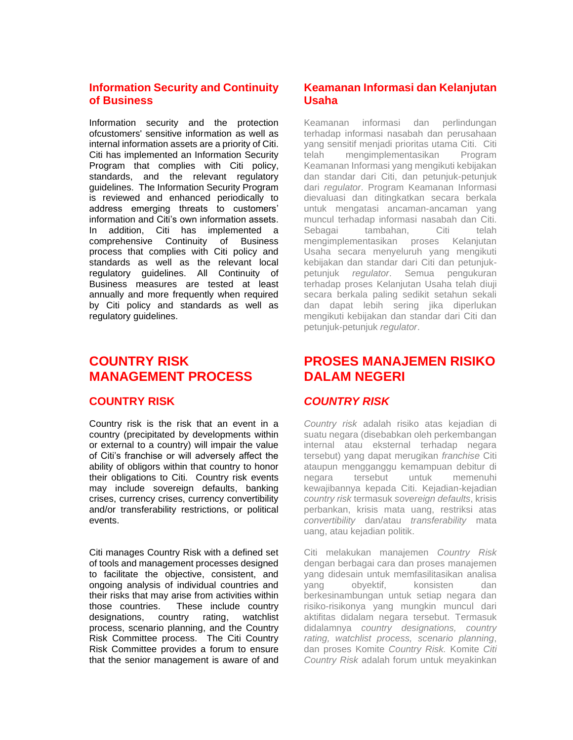# **Information Security and Continuity of Business**

Information security and the protection ofcustomers' sensitive information as well as internal information assets are a priority of Citi. Citi has implemented an Information Security Program that complies with Citi policy, standards, and the relevant regulatory guidelines. The Information Security Program is reviewed and enhanced periodically to address emerging threats to customers' information and Citi's own information assets. In addition, Citi has implemented a comprehensive Continuity of Business process that complies with Citi policy and standards as well as the relevant local regulatory guidelines. All Continuity of Business measures are tested at least annually and more frequently when required by Citi policy and standards as well as regulatory guidelines.

# **COUNTRY RISK MANAGEMENT PROCESS**

## **COUNTRY RISK**

Country risk is the risk that an event in a country (precipitated by developments within or external to a country) will impair the value of Citi's franchise or will adversely affect the ability of obligors within that country to honor their obligations to Citi. Country risk events may include sovereign defaults, banking crises, currency crises, currency convertibility and/or transferability restrictions, or political events.

Citi manages Country Risk with a defined set of tools and management processes designed to facilitate the objective, consistent, and ongoing analysis of individual countries and their risks that may arise from activities within those countries. These include country designations, country rating, watchlist process, scenario planning, and the Country Risk Committee process. The Citi Country Risk Committee provides a forum to ensure that the senior management is aware of and

# **Keamanan Informasi dan Kelanjutan Usaha**

Keamanan informasi dan perlindungan terhadap informasi nasabah dan perusahaan yang sensitif menjadi prioritas utama Citi. Citi telah mengimplementasikan Program Keamanan Informasi yang mengikuti kebijakan dan standar dari Citi, dan petunjuk-petunjuk dari *regulator*. Program Keamanan Informasi dievaluasi dan ditingkatkan secara berkala untuk mengatasi ancaman-ancaman yang muncul terhadap informasi nasabah dan Citi. Sebagai tambahan, Citi telah mengimplementasikan proses Kelanjutan Usaha secara menyeluruh yang mengikuti kebijakan dan standar dari Citi dan petunjukpetunjuk *regulator*. Semua pengukuran terhadap proses Kelanjutan Usaha telah diuji secara berkala paling sedikit setahun sekali dan dapat lebih sering jika diperlukan mengikuti kebijakan dan standar dari Citi dan petunjuk-petunjuk *regulator*.

# **PROSES MANAJEMEN RISIKO DALAM NEGERI**

# *COUNTRY RISK*

*Country risk* adalah risiko atas kejadian di suatu negara (disebabkan oleh perkembangan internal atau eksternal terhadap negara tersebut) yang dapat merugikan *franchise* Citi ataupun mengganggu kemampuan debitur di negara tersebut untuk memenuhi kewajibannya kepada Citi. Kejadian-kejadian *country risk* termasuk *sovereign defaults*, krisis perbankan, krisis mata uang, restriksi atas *convertibility* dan/atau *transferability* mata uang, atau kejadian politik.

Citi melakukan manajemen *Country Risk* dengan berbagai cara dan proses manajemen yang didesain untuk memfasilitasikan analisa yang obyektif, konsisten dan berkesinambungan untuk setiap negara dan risiko-risikonya yang mungkin muncul dari aktifitas didalam negara tersebut. Termasuk didalamnya *country designations, country rating, watchlist process, scenario planning*, dan proses Komite *Country Risk.* Komite *Citi Country Risk* adalah forum untuk meyakinkan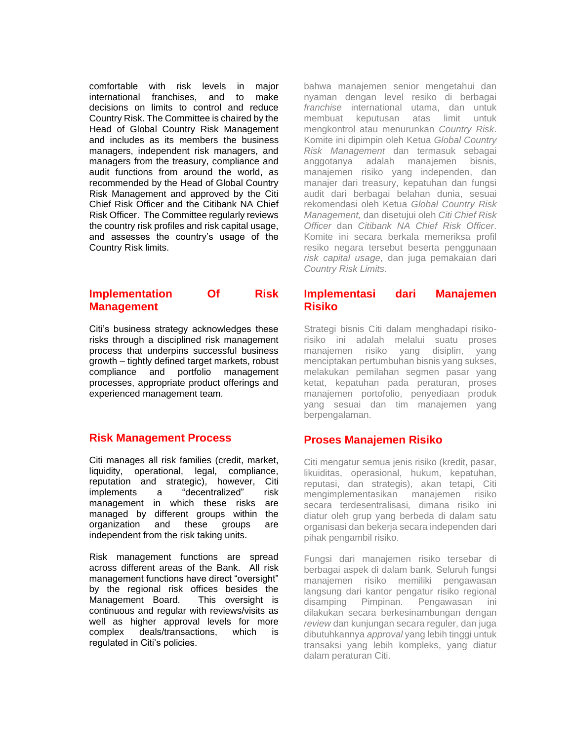comfortable with risk levels in major international franchises, and to make decisions on limits to control and reduce Country Risk. The Committee is chaired by the Head of Global Country Risk Management and includes as its members the business managers, independent risk managers, and managers from the treasury, compliance and audit functions from around the world, as recommended by the Head of Global Country Risk Management and approved by the Citi Chief Risk Officer and the Citibank NA Chief Risk Officer. The Committee regularly reviews the country risk profiles and risk capital usage, and assesses the country's usage of the Country Risk limits.

#### **Implementation Of Risk Management**

Citi's business strategy acknowledges these risks through a disciplined risk management process that underpins successful business growth – tightly defined target markets, robust compliance and portfolio management processes, appropriate product offerings and experienced management team.

## **Risk Management Process**

Citi manages all risk families (credit, market, liquidity, operational, legal, compliance, reputation and strategic), however, Citi implements a "decentralized" risk management in which these risks are managed by different groups within the organization and these groups are independent from the risk taking units.

Risk management functions are spread across different areas of the Bank. All risk management functions have direct "oversight" by the regional risk offices besides the Management Board. This oversight is continuous and regular with reviews/visits as well as higher approval levels for more complex deals/transactions, which is regulated in Citi's policies.

bahwa manajemen senior mengetahui dan nyaman dengan level resiko di berbagai *franchise* international utama, dan untuk membuat keputusan atas limit untuk mengkontrol atau menurunkan *Country Risk*. Komite ini dipimpin oleh Ketua *Global Country Risk Management* dan termasuk sebagai anggotanya adalah manajemen bisnis, manajemen risiko yang independen, dan manajer dari treasury, kepatuhan dan fungsi audit dari berbagai belahan dunia, sesuai rekomendasi oleh Ketua *Global Country Risk Management,* dan disetujui oleh *Citi Chief Risk Officer* dan *Citibank NA Chief Risk Officer*. Komite ini secara berkala memeriksa profil resiko negara tersebut beserta penggunaan *risk capital usage*, dan juga pemakaian dari *Country Risk Limits*.

#### **Implementasi dari Manajemen Risiko**

Strategi bisnis Citi dalam menghadapi risikorisiko ini adalah melalui suatu proses manajemen risiko yang disiplin, yang menciptakan pertumbuhan bisnis yang sukses, melakukan pemilahan segmen pasar yang ketat, kepatuhan pada peraturan, proses manajemen portofolio, penyediaan produk yang sesuai dan tim manajemen yang berpengalaman.

# **Proses Manajemen Risiko**

Citi mengatur semua jenis risiko (kredit, pasar, likuiditas, operasional, hukum, kepatuhan, reputasi, dan strategis), akan tetapi, Citi mengimplementasikan manajemen risiko secara terdesentralisasi*,* dimana risiko ini diatur oleh grup yang berbeda di dalam satu organisasi dan bekerja secara independen dari pihak pengambil risiko.

Fungsi dari manajemen risiko tersebar di berbagai aspek di dalam bank. Seluruh fungsi manajemen risiko memiliki pengawasan langsung dari kantor pengatur risiko regional disamping Pimpinan. Pengawasan ini dilakukan secara berkesinambungan dengan *review* dan kunjungan secara reguler, dan juga dibutuhkannya *approval* yang lebih tinggi untuk transaksi yang lebih kompleks, yang diatur dalam peraturan Citi.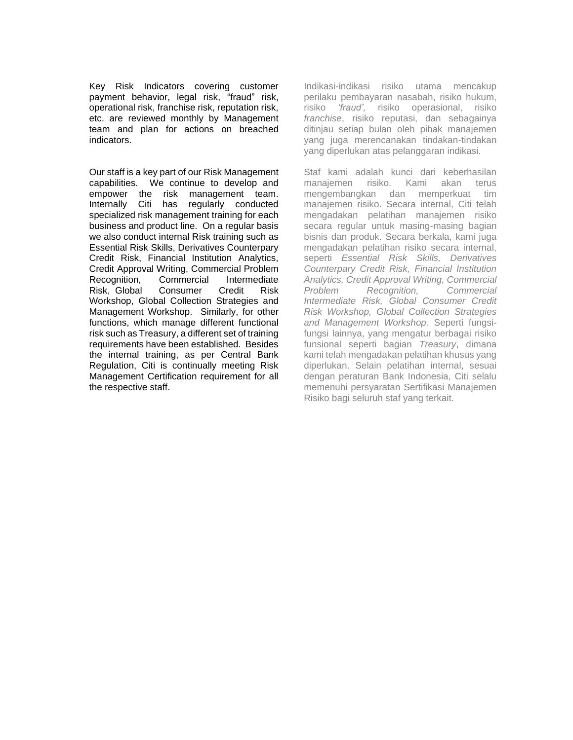Key Risk Indicators covering customer payment behavior, legal risk, "fraud" risk, operational risk, franchise risk, reputation risk, etc. are reviewed monthly by Management team and plan for actions on breached indicators.

Our staff is a key part of our Risk Management capabilities. We continue to develop and empower the risk management team. Internally Citi has regularly conducted specialized risk management training for each business and product line. On a regular basis we also conduct internal Risk training such as Essential Risk Skills, Derivatives Counterpary Credit Risk, Financial Institution Analytics, Credit Approval Writing, Commercial Problem Recognition, Commercial Intermediate Risk, Global Consumer Credit Risk Workshop, Global Collection Strategies and Management Workshop. Similarly, for other functions, which manage different functional risk such as Treasury, a different set of training requirements have been established. Besides the internal training, as per Central Bank Regulation, Citi is continually meeting Risk Management Certification requirement for all the respective staff.

Indikasi-indikasi risiko utama mencakup perilaku pembayaran nasabah, risiko hukum, risiko *'fraud',* risiko operasional, risiko *franchise*, risiko reputasi, dan sebagainya ditinjau setiap bulan oleh pihak manajemen yang juga merencanakan tindakan-tindakan yang diperlukan atas pelanggaran indikasi.

Staf kami adalah kunci dari keberhasilan manajemen risiko. Kami akan terus mengembangkan dan memperkuat tim manajemen risiko. Secara internal, Citi telah mengadakan pelatihan manajemen risiko secara regular untuk masing-masing bagian bisnis dan produk. Secara berkala, kami juga mengadakan pelatihan risiko secara internal, seperti *Essential Risk Skills, Derivatives Counterpary Credit Risk, Financial Institution Analytics, Credit Approval Writing, Commercial Problem Recognition, Commercial Intermediate Risk, Global Consumer Credit Risk Workshop, Global Collection Strategies and Management Workshop.* Seperti fungsifungsi lainnya, yang mengatur berbagai risiko funsional seperti bagian *Treasury*, dimana kami telah mengadakan pelatihan khusus yang diperlukan. Selain pelatihan internal, sesuai dengan peraturan Bank Indonesia, Citi selalu memenuhi persyaratan Sertifikasi Manajemen Risiko bagi seluruh staf yang terkait.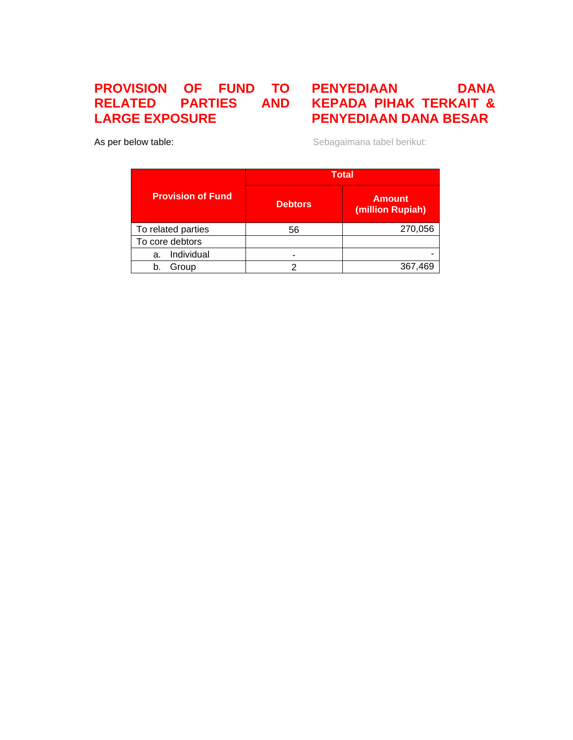# **PROVISION OF FUND TO RELATED LARGE EXPOSURE**

# **PENYEDIAAN DANA KEPADA PIHAK TERKAIT & PENYEDIAAN DANA BESAR**

As per below table:

Sebagaimana tabel berikut:

|                          | <b>Total</b>   |                                   |  |  |
|--------------------------|----------------|-----------------------------------|--|--|
| <b>Provision of Fund</b> | <b>Debtors</b> | <b>Amount</b><br>(million Rupiah) |  |  |
| To related parties       | 56             | 270,056                           |  |  |
| To core debtors          |                |                                   |  |  |
| Individual<br>a.         |                |                                   |  |  |
| Group<br>b               |                | 367,469                           |  |  |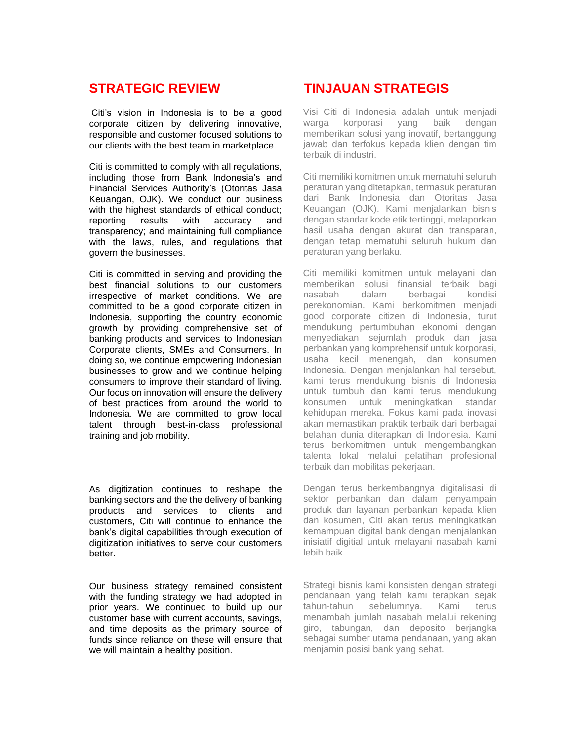# **STRATEGIC REVIEW**

Citi's vision in Indonesia is to be a good corporate citizen by delivering innovative, responsible and customer focused solutions to our clients with the best team in marketplace.

Citi is committed to comply with all regulations, including those from Bank Indonesia's and Financial Services Authority's (Otoritas Jasa Keuangan, OJK). We conduct our business with the highest standards of ethical conduct: reporting results with accuracy and transparency; and maintaining full compliance with the laws, rules, and regulations that govern the businesses.

Citi is committed in serving and providing the best financial solutions to our customers irrespective of market conditions. We are committed to be a good corporate citizen in Indonesia, supporting the country economic growth by providing comprehensive set of banking products and services to Indonesian Corporate clients, SMEs and Consumers. In doing so, we continue empowering Indonesian businesses to grow and we continue helping consumers to improve their standard of living. Our focus on innovation will ensure the delivery of best practices from around the world to Indonesia. We are committed to grow local talent through best-in-class professional training and job mobility.

As digitization continues to reshape the banking sectors and the the delivery of banking products and services to clients and customers, Citi will continue to enhance the bank's digital capabilities through execution of digitization initiatives to serve cour customers better.

Our business strategy remained consistent with the funding strategy we had adopted in prior years. We continued to build up our customer base with current accounts, savings, and time deposits as the primary source of funds since reliance on these will ensure that we will maintain a healthy position.

# **TINJAUAN STRATEGIS**

Visi Citi di Indonesia adalah untuk menjadi warga korporasi yang baik dengan memberikan solusi yang inovatif, bertanggung jawab dan terfokus kepada klien dengan tim terbaik di industri.

Citi memiliki komitmen untuk mematuhi seluruh peraturan yang ditetapkan, termasuk peraturan dari Bank Indonesia dan Otoritas Jasa Keuangan (OJK). Kami menjalankan bisnis dengan standar kode etik tertinggi, melaporkan hasil usaha dengan akurat dan transparan, dengan tetap mematuhi seluruh hukum dan peraturan yang berlaku.

Citi memiliki komitmen untuk melayani dan memberikan solusi finansial terbaik bagi nasabah dalam berbagai kondisi perekonomian. Kami berkomitmen menjadi good corporate citizen di Indonesia, turut mendukung pertumbuhan ekonomi dengan menyediakan sejumlah produk dan jasa perbankan yang komprehensif untuk korporasi, usaha kecil menengah, dan konsumen Indonesia. Dengan menjalankan hal tersebut, kami terus mendukung bisnis di Indonesia untuk tumbuh dan kami terus mendukung konsumen untuk meningkatkan standar kehidupan mereka. Fokus kami pada inovasi akan memastikan praktik terbaik dari berbagai belahan dunia diterapkan di Indonesia. Kami terus berkomitmen untuk mengembangkan talenta lokal melalui pelatihan profesional terbaik dan mobilitas pekerjaan.

Dengan terus berkembangnya digitalisasi di sektor perbankan dan dalam penyampain produk dan layanan perbankan kepada klien dan kosumen, Citi akan terus meningkatkan kemampuan digital bank dengan menjalankan inisiatif digitial untuk melayani nasabah kami lebih baik.

Strategi bisnis kami konsisten dengan strategi pendanaan yang telah kami terapkan sejak tahun-tahun sebelumnya. Kami terus menambah jumlah nasabah melalui rekening giro, tabungan, dan deposito berjangka sebagai sumber utama pendanaan, yang akan menjamin posisi bank yang sehat.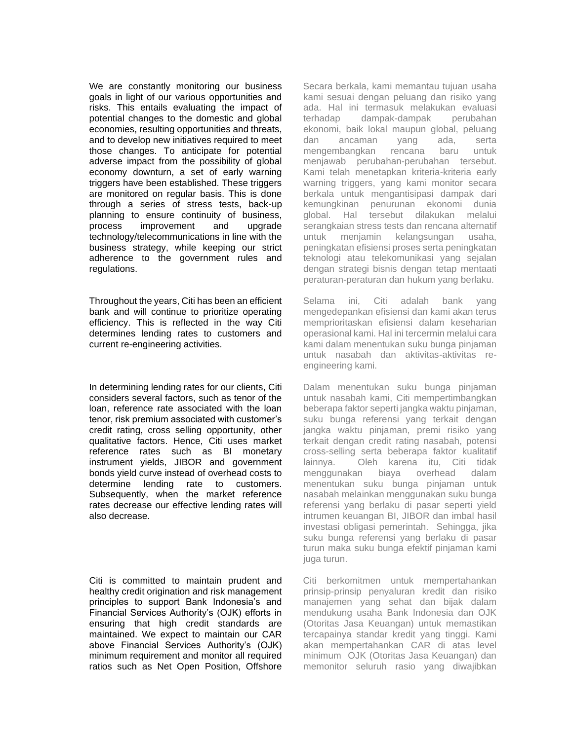We are constantly monitoring our business goals in light of our various opportunities and risks. This entails evaluating the impact of potential changes to the domestic and global economies, resulting opportunities and threats, and to develop new initiatives required to meet those changes. To anticipate for potential adverse impact from the possibility of global economy downturn, a set of early warning triggers have been established. These triggers are monitored on regular basis. This is done through a series of stress tests, back-up planning to ensure continuity of business, process improvement and upgrade technology/telecommunications in line with the business strategy, while keeping our strict adherence to the government rules and regulations.

Throughout the years, Citi has been an efficient bank and will continue to prioritize operating efficiency. This is reflected in the way Citi determines lending rates to customers and current re-engineering activities.

In determining lending rates for our clients, Citi considers several factors, such as tenor of the loan, reference rate associated with the loan tenor, risk premium associated with customer's credit rating, cross selling opportunity, other qualitative factors. Hence, Citi uses market reference rates such as BI monetary instrument yields, JIBOR and government bonds yield curve instead of overhead costs to determine lending rate to customers. Subsequently, when the market reference rates decrease our effective lending rates will also decrease.

Citi is committed to maintain prudent and healthy credit origination and risk management principles to support Bank Indonesia's and Financial Services Authority's (OJK) efforts in ensuring that high credit standards are maintained. We expect to maintain our CAR above Financial Services Authority's (OJK) minimum requirement and monitor all required ratios such as Net Open Position, Offshore Secara berkala, kami memantau tujuan usaha kami sesuai dengan peluang dan risiko yang ada. Hal ini termasuk melakukan evaluasi terhadap dampak-dampak perubahan ekonomi, baik lokal maupun global, peluang dan ancaman yang ada, serta mengembangkan rencana baru untuk menjawab perubahan-perubahan tersebut. Kami telah menetapkan kriteria-kriteria early warning triggers, yang kami monitor secara berkala untuk mengantisipasi dampak dari kemungkinan penurunan ekonomi dunia global. Hal tersebut dilakukan melalui serangkaian stress tests dan rencana alternatif untuk menjamin kelangsungan usaha, peningkatan efisiensi proses serta peningkatan teknologi atau telekomunikasi yang sejalan dengan strategi bisnis dengan tetap mentaati peraturan-peraturan dan hukum yang berlaku.

Selama ini, Citi adalah bank yang mengedepankan efisiensi dan kami akan terus memprioritaskan efisiensi dalam keseharian operasional kami. Hal ini tercermin melalui cara kami dalam menentukan suku bunga pinjaman untuk nasabah dan aktivitas-aktivitas reengineering kami.

Dalam menentukan suku bunga pinjaman untuk nasabah kami, Citi mempertimbangkan beberapa faktor seperti jangka waktu pinjaman, suku bunga referensi yang terkait dengan jangka waktu pinjaman, premi risiko yang terkait dengan credit rating nasabah, potensi cross-selling serta beberapa faktor kualitatif lainnya. Oleh karena itu, Citi tidak menggunakan biaya overhead dalam menentukan suku bunga pinjaman untuk nasabah melainkan menggunakan suku bunga referensi yang berlaku di pasar seperti yield intrumen keuangan BI, JIBOR dan imbal hasil investasi obligasi pemerintah. Sehingga, jika suku bunga referensi yang berlaku di pasar turun maka suku bunga efektif pinjaman kami juga turun.

Citi berkomitmen untuk mempertahankan prinsip-prinsip penyaluran kredit dan risiko manajemen yang sehat dan bijak dalam mendukung usaha Bank Indonesia dan OJK (Otoritas Jasa Keuangan) untuk memastikan tercapainya standar kredit yang tinggi. Kami akan mempertahankan CAR di atas level minimum OJK (Otoritas Jasa Keuangan) dan memonitor seluruh rasio yang diwajibkan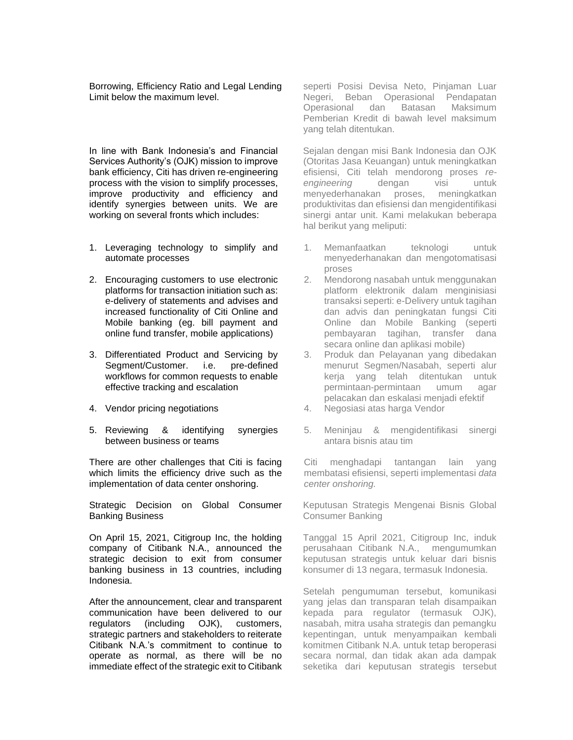Borrowing, Efficiency Ratio and Legal Lending Limit below the maximum level.

In line with Bank Indonesia's and Financial Services Authority's (OJK) mission to improve bank efficiency, Citi has driven re-engineering process with the vision to simplify processes, improve productivity and efficiency and identify synergies between units. We are working on several fronts which includes:

- 1. Leveraging technology to simplify and automate processes
- 2. Encouraging customers to use electronic platforms for transaction initiation such as: e-delivery of statements and advises and increased functionality of Citi Online and Mobile banking (eg. bill payment and online fund transfer, mobile applications)
- 3. Differentiated Product and Servicing by Segment/Customer. i.e. pre-defined workflows for common requests to enable effective tracking and escalation
- 4. Vendor pricing negotiations
- 5. Reviewing & identifying synergies between business or teams

There are other challenges that Citi is facing which limits the efficiency drive such as the implementation of data center onshoring.

Strategic Decision on Global Consumer Banking Business

On April 15, 2021, Citigroup Inc, the holding company of Citibank N.A., announced the strategic decision to exit from consumer banking business in 13 countries, including Indonesia.

After the announcement, clear and transparent communication have been delivered to our regulators (including OJK), customers, strategic partners and stakeholders to reiterate Citibank N.A.'s commitment to continue to operate as normal, as there will be no immediate effect of the strategic exit to Citibank seperti Posisi Devisa Neto, Pinjaman Luar Negeri, Beban Operasional Pendapatan Operasional dan Batasan Maksimum Pemberian Kredit di bawah level maksimum yang telah ditentukan.

Sejalan dengan misi Bank Indonesia dan OJK (Otoritas Jasa Keuangan) untuk meningkatkan efisiensi, Citi telah mendorong proses *reengineering* dengan visi untuk menyederhanakan proses, meningkatkan produktivitas dan efisiensi dan mengidentifikasi sinergi antar unit. Kami melakukan beberapa hal berikut yang meliputi:

- 1. Memanfaatkan teknologi untuk menyederhanakan dan mengotomatisasi proses
- 2. Mendorong nasabah untuk menggunakan platform elektronik dalam menginisiasi transaksi seperti: e-Delivery untuk tagihan dan advis dan peningkatan fungsi Citi Online dan Mobile Banking (seperti pembayaran tagihan, transfer dana secara online dan aplikasi mobile)
- 3. Produk dan Pelayanan yang dibedakan menurut Segmen/Nasabah, seperti alur kerja yang telah ditentukan untuk permintaan-permintaan umum agar pelacakan dan eskalasi menjadi efektif
- 4. Negosiasi atas harga Vendor
- 5. Meninjau & mengidentifikasi sinergi antara bisnis atau tim

Citi menghadapi tantangan lain yang membatasi efisiensi, seperti implementasi *data center onshoring.*

Keputusan Strategis Mengenai Bisnis Global Consumer Banking

Tanggal 15 April 2021, Citigroup Inc, induk perusahaan Citibank N.A., mengumumkan keputusan strategis untuk keluar dari bisnis konsumer di 13 negara, termasuk Indonesia.

Setelah pengumuman tersebut, komunikasi yang jelas dan transparan telah disampaikan kepada para regulator (termasuk OJK), nasabah, mitra usaha strategis dan pemangku kepentingan, untuk menyampaikan kembali komitmen Citibank N.A. untuk tetap beroperasi secara normal, dan tidak akan ada dampak seketika dari keputusan strategis tersebut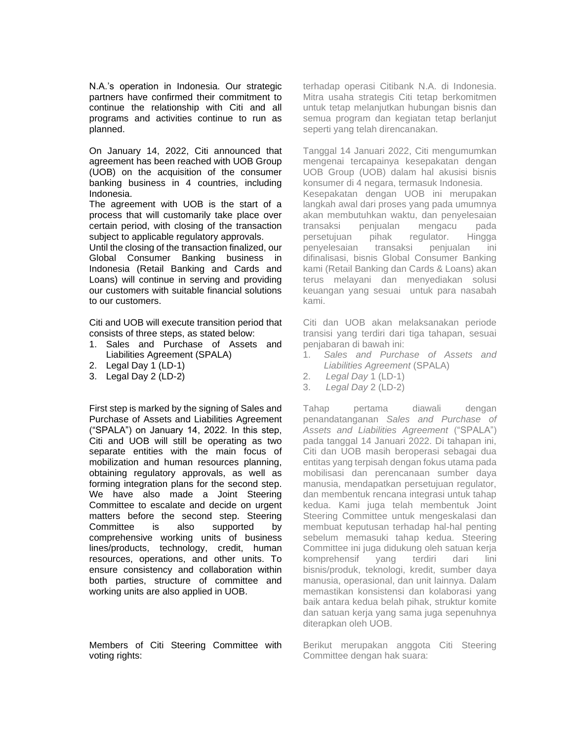N.A.'s operation in Indonesia. Our strategic partners have confirmed their commitment to continue the relationship with Citi and all programs and activities continue to run as planned.

On January 14, 2022, Citi announced that agreement has been reached with UOB Group (UOB) on the acquisition of the consumer banking business in 4 countries, including Indonesia.

The agreement with UOB is the start of a process that will customarily take place over certain period, with closing of the transaction subject to applicable regulatory approvals.

Until the closing of the transaction finalized, our Global Consumer Banking business in Indonesia (Retail Banking and Cards and Loans) will continue in serving and providing our customers with suitable financial solutions to our customers.

Citi and UOB will execute transition period that consists of three steps, as stated below:

- 1. Sales and Purchase of Assets and Liabilities Agreement (SPALA)
- 2. Legal Day 1 (LD-1)
- 3. Legal Day 2 (LD-2)

First step is marked by the signing of Sales and Purchase of Assets and Liabilities Agreement ("SPALA") on January 14, 2022. In this step, Citi and UOB will still be operating as two separate entities with the main focus of mobilization and human resources planning, obtaining regulatory approvals, as well as forming integration plans for the second step. We have also made a Joint Steering Committee to escalate and decide on urgent matters before the second step. Steering Committee is also supported by comprehensive working units of business lines/products, technology, credit, human resources, operations, and other units. To ensure consistency and collaboration within both parties, structure of committee and working units are also applied in UOB.

Members of Citi Steering Committee with voting rights:

terhadap operasi Citibank N.A. di Indonesia. Mitra usaha strategis Citi tetap berkomitmen untuk tetap melanjutkan hubungan bisnis dan semua program dan kegiatan tetap berlanjut seperti yang telah direncanakan.

Tanggal 14 Januari 2022, Citi mengumumkan mengenai tercapainya kesepakatan dengan UOB Group (UOB) dalam hal akusisi bisnis konsumer di 4 negara, termasuk Indonesia. Kesepakatan dengan UOB ini merupakan langkah awal dari proses yang pada umumnya akan membutuhkan waktu, dan penyelesaian transaksi penjualan mengacu pada persetujuan pihak regulator. Hingga penyelesaian transaksi penjualan ini difinalisasi, bisnis Global Consumer Banking kami (Retail Banking dan Cards & Loans) akan terus melayani dan menyediakan solusi keuangan yang sesuai untuk para nasabah kami.

Citi dan UOB akan melaksanakan periode transisi yang terdiri dari tiga tahapan, sesuai penjabaran di bawah ini:

- 1. *Sales and Purchase of Assets and Liabilities Agreement* (SPALA)
- 2. *Legal Day* 1 (LD-1)
- 3. *Legal Day* 2 (LD-2)

Tahap pertama diawali dengan penandatanganan *Sales and Purchase of Assets and Liabilities Agreement* ("SPALA") pada tanggal 14 Januari 2022. Di tahapan ini, Citi dan UOB masih beroperasi sebagai dua entitas yang terpisah dengan fokus utama pada mobilisasi dan perencanaan sumber daya manusia, mendapatkan persetujuan regulator, dan membentuk rencana integrasi untuk tahap kedua. Kami juga telah membentuk Joint Steering Committee untuk mengeskalasi dan membuat keputusan terhadap hal-hal penting sebelum memasuki tahap kedua. Steering Committee ini juga didukung oleh satuan kerja komprehensif yang terdiri dari lini bisnis/produk, teknologi, kredit, sumber daya manusia, operasional, dan unit lainnya. Dalam memastikan konsistensi dan kolaborasi yang baik antara kedua belah pihak, struktur komite dan satuan kerja yang sama juga sepenuhnya diterapkan oleh UOB.

Berikut merupakan anggota Citi Steering Committee dengan hak suara: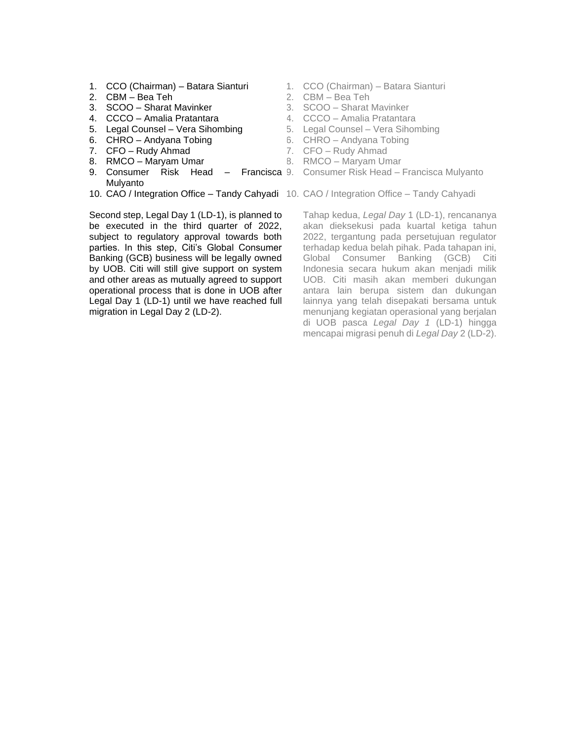- 1. CCO (Chairman) Batara Sianturi
- 2. CBM Bea Teh
- 3. SCOO Sharat Mavinker
- 4. CCCO Amalia Pratantara
- 5. Legal Counsel Vera Sihombing
- 6. CHRO Andyana Tobing
- 7. CFO Rudy Ahmad
- 8. RMCO Maryam Umar
- 9. Consumer Risk Head Francisca 9. Consumer Risk Head Francisca Mulyanto Mulyanto
- 10. CAO / Integration Office Tandy Cahyadi 10. CAO / Integration Office Tandy Cahyadi

Second step, Legal Day 1 (LD-1), is planned to be executed in the third quarter of 2022, subject to regulatory approval towards both parties. In this step, Citi's Global Consumer Banking (GCB) business will be legally owned by UOB. Citi will still give support on system and other areas as mutually agreed to support operational process that is done in UOB after Legal Day 1 (LD-1) until we have reached full migration in Legal Day 2 (LD-2).

- 1. CCO (Chairman) Batara Sianturi
- 2. CBM Bea Teh
- 3. SCOO Sharat Mavinker
- 4. CCCO Amalia Pratantara
- 5. Legal Counsel Vera Sihombing
- 6. CHRO Andyana Tobing
- 7. CFO Rudy Ahmad
- 8. RMCO Maryam Umar
- 
- 

Tahap kedua, *Legal Day* 1 (LD-1), rencananya akan dieksekusi pada kuartal ketiga tahun 2022, tergantung pada persetujuan regulator terhadap kedua belah pihak. Pada tahapan ini, Global Consumer Banking (GCB) Citi Indonesia secara hukum akan menjadi milik UOB. Citi masih akan memberi dukungan antara lain berupa sistem dan dukungan lainnya yang telah disepakati bersama untuk menunjang kegiatan operasional yang berjalan di UOB pasca *Legal Day 1* (LD-1) hingga mencapai migrasi penuh di *Legal Day* 2 (LD-2).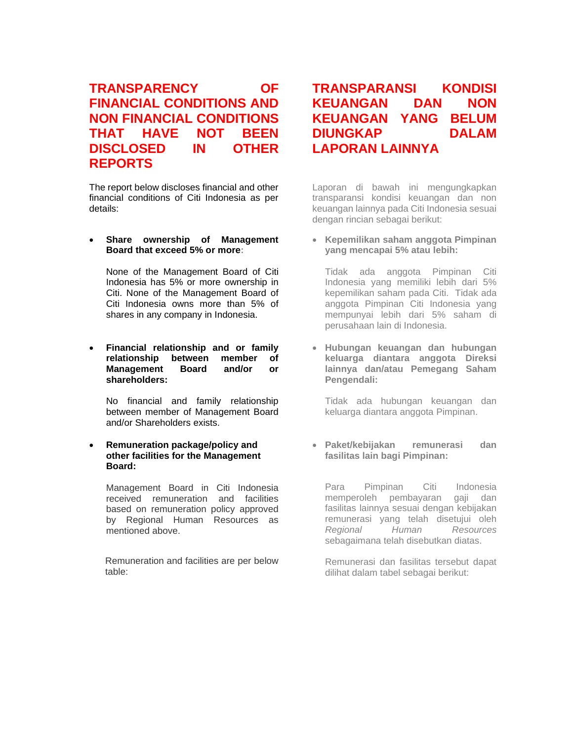# **TRANSPARENCY OF FINANCIAL CONDITIONS AND NON FINANCIAL CONDITIONS THAT HAVE NOT BEEN DISCLOSED IN OTHER REPORTS**

The report below discloses financial and other financial conditions of Citi Indonesia as per details:

#### • **Share ownership of Management Board that exceed 5% or more:**

None of the Management Board of Citi Indonesia has 5% or more ownership in Citi. None of the Management Board of Citi Indonesia owns more than 5% of shares in any company in Indonesia.

#### • **Financial relationship and or family relationship between member of Management Board and/or or shareholders:**

No financial and family relationship between member of Management Board and/or Shareholders exists.

#### • **Remuneration package/policy and other facilities for the Management Board:**

Management Board in Citi Indonesia received remuneration and facilities based on remuneration policy approved by Regional Human Resources as mentioned above.

Remuneration and facilities are per below table:

# **TRANSPARANSI KONDISI KEUANGAN DAN NON KEUANGAN YANG BELUM DIUNGKAP DALAM LAPORAN LAINNYA**

Laporan di bawah ini mengungkapkan transparansi kondisi keuangan dan non keuangan lainnya pada Citi Indonesia sesuai dengan rincian sebagai berikut:

• **Kepemilikan saham anggota Pimpinan yang mencapai 5% atau lebih:**

Tidak ada anggota Pimpinan Citi Indonesia yang memiliki lebih dari 5% kepemilikan saham pada Citi. Tidak ada anggota Pimpinan Citi Indonesia yang mempunyai lebih dari 5% saham di perusahaan lain di Indonesia.

• **Hubungan keuangan dan hubungan keluarga diantara anggota Direksi lainnya dan/atau Pemegang Saham Pengendali:**

Tidak ada hubungan keuangan dan keluarga diantara anggota Pimpinan.

• **Paket/kebijakan remunerasi dan fasilitas lain bagi Pimpinan:**

Para Pimpinan Citi Indonesia memperoleh pembayaran gaji dan fasilitas lainnya sesuai dengan kebijakan remunerasi yang telah disetujui oleh *Regional Human Resources* sebagaimana telah disebutkan diatas.

Remunerasi dan fasilitas tersebut dapat dilihat dalam tabel sebagai berikut: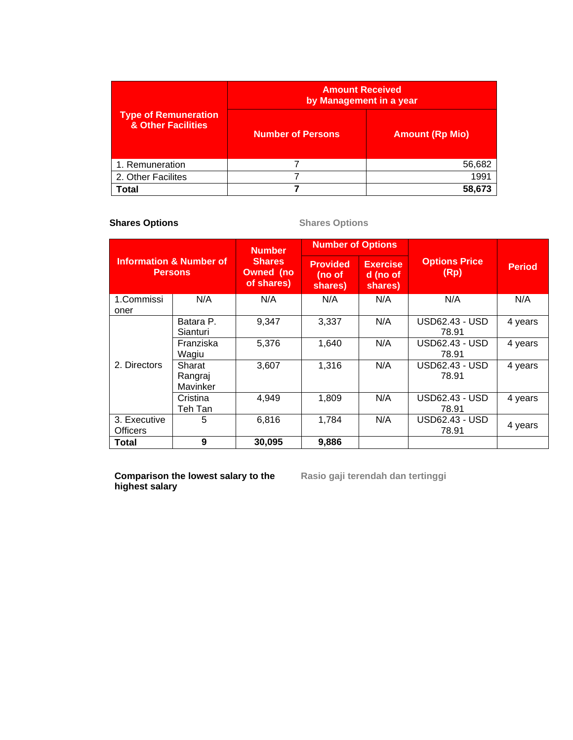|                                                   | <b>Amount Received</b><br>by Management in a year |                        |  |  |
|---------------------------------------------------|---------------------------------------------------|------------------------|--|--|
| <b>Type of Remuneration</b><br>& Other Facilities | <b>Number of Persons</b>                          | <b>Amount (Rp Mio)</b> |  |  |
| 1. Remuneration                                   |                                                   | 56,682                 |  |  |
| 2. Other Facilites                                |                                                   | 1991                   |  |  |
| Total                                             |                                                   |                        |  |  |

# **Shares Options** Shares Options

| <b>Information &amp; Number of</b><br><b>Persons</b> |                               | <b>Number</b>                                   | <b>Number of Options</b>             |                                        |                                |               |
|------------------------------------------------------|-------------------------------|-------------------------------------------------|--------------------------------------|----------------------------------------|--------------------------------|---------------|
|                                                      |                               | <b>Shares</b><br><b>Owned</b> (no<br>of shares) | <b>Provided</b><br>(no of<br>shares) | <b>Exercise</b><br>d (no of<br>shares) | <b>Options Price</b><br>(Rp)   | <b>Period</b> |
| 1.Commissi<br>oner                                   | N/A                           | N/A                                             | N/A                                  | N/A                                    | N/A                            | N/A           |
| 2. Directors                                         | Batara P.<br>Sianturi         | 9,347                                           | 3,337                                | N/A                                    | <b>USD62.43 - USD</b><br>78.91 | 4 years       |
|                                                      | Franziska<br>Wagiu            | 5,376                                           | 1,640                                | N/A                                    | USD62.43 - USD<br>78.91        | 4 years       |
|                                                      | Sharat<br>Rangraj<br>Mavinker | 3,607                                           | 1,316                                | N/A                                    | USD62.43 - USD<br>78.91        | 4 years       |
|                                                      | Cristina<br>Teh Tan           | 4.949                                           | 1,809                                | N/A                                    | USD62.43 - USD<br>78.91        | 4 years       |
| 3. Executive<br>Officers                             | 5                             | 6,816                                           | 1,784                                | N/A                                    | USD62.43 - USD<br>78.91        | 4 years       |
| Total                                                | 9                             | 30,095                                          | 9,886                                |                                        |                                |               |

**Comparison the lowest salary to the highest salary**

**Rasio gaji terendah dan tertinggi**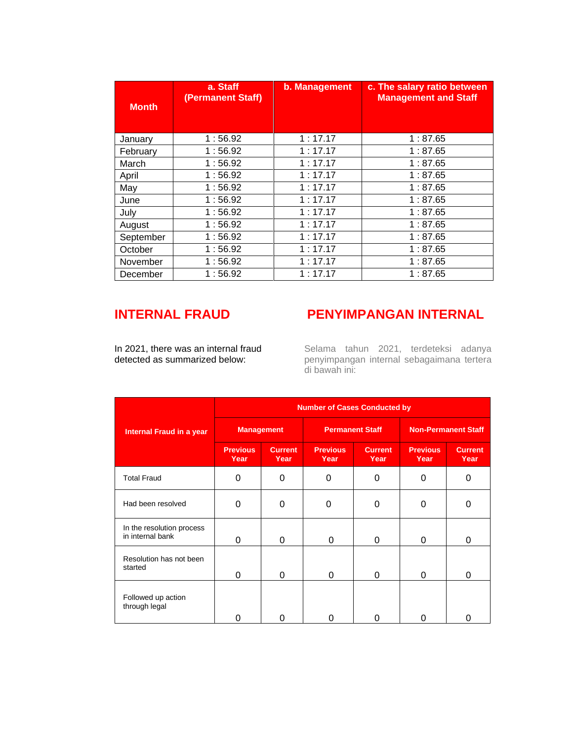| <b>Month</b> | a. Staff<br>(Permanent Staff) | b. Management | c. The salary ratio between<br><b>Management and Staff</b> |
|--------------|-------------------------------|---------------|------------------------------------------------------------|
| January      | 1:56.92                       | 1:17.17       | 1:87.65                                                    |
| February     | 1:56.92                       | 1:17.17       | 1:87.65                                                    |
| March        | 1:56.92                       | 1:17.17       | 1:87.65                                                    |
| April        | 1:56.92                       | 1:17.17       | 1:87.65                                                    |
| May          | 1:56.92                       | 1:17.17       | 1:87.65                                                    |
| June         | 1:56.92                       | 1:17.17       | 1:87.65                                                    |
| July         | 1:56.92                       | 1:17.17       | 1:87.65                                                    |
| August       | 1:56.92                       | 1:17.17       | 1:87.65                                                    |
| September    | 1:56.92                       | 1:17.17       | 1:87.65                                                    |
| October      | 1:56.92                       | 1:17.17       | 1:87.65                                                    |
| November     | 1:56.92                       | 1:17.17       | 1:87.65                                                    |
| December     | 1:56.92                       | 1:17.17       | 1:87.65                                                    |

# **INTERNAL FRAUD**

# **PENYIMPANGAN INTERNAL**

In 2021, there was an internal fraud detected as summarized below:

Selama tahun 2021, terdeteksi adanya penyimpangan internal sebagaimana tertera di bawah ini:

|                                               | <b>Number of Cases Conducted by</b> |                        |                         |                        |                            |                        |  |
|-----------------------------------------------|-------------------------------------|------------------------|-------------------------|------------------------|----------------------------|------------------------|--|
| <b>Internal Fraud in a year</b>               | <b>Management</b>                   |                        | <b>Permanent Staff</b>  |                        | <b>Non-Permanent Staff</b> |                        |  |
|                                               | <b>Previous</b><br>Year             | <b>Current</b><br>Year | <b>Previous</b><br>Year | <b>Current</b><br>Year | <b>Previous</b><br>Year    | <b>Current</b><br>Year |  |
| <b>Total Fraud</b>                            | 0                                   | 0                      | 0                       | 0                      | $\Omega$                   | 0                      |  |
| Had been resolved                             | $\Omega$                            | 0                      | $\Omega$                | 0                      | 0                          | ი                      |  |
| In the resolution process<br>in internal bank | 0                                   | 0                      | $\Omega$                | 0                      | $\Omega$                   | $\Omega$               |  |
| Resolution has not been<br>started            | 0                                   | 0                      | 0                       | 0                      | $\Omega$                   | $\Omega$               |  |
| Followed up action<br>through legal           | U                                   | O                      |                         | O                      | 0                          | 0                      |  |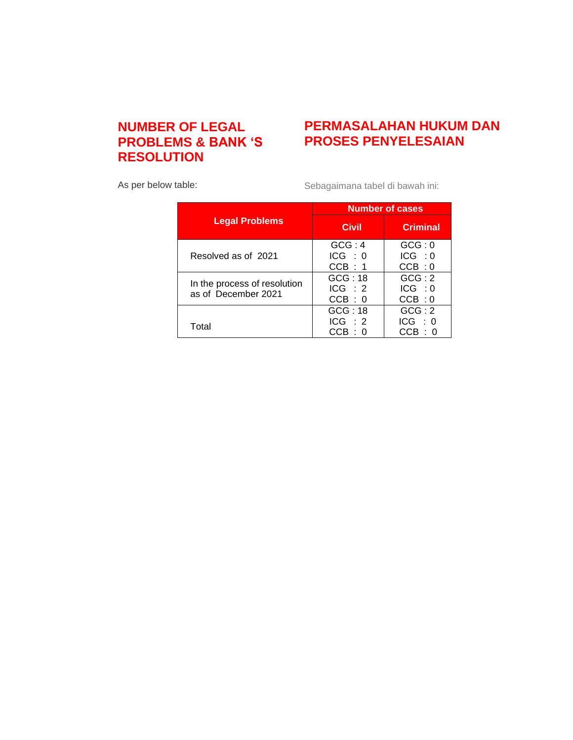# **NUMBER OF LEGAL PROBLEMS & BANK 'S RESOLUTION**

# **PERMASALAHAN HUKUM DAN PROSES PENYELESAIAN**

As per below table:

Sebagaimana tabel di bawah ini:

|                                                     | <b>Number of cases</b> |                 |  |  |
|-----------------------------------------------------|------------------------|-----------------|--|--|
| <b>Legal Problems</b>                               | <b>Civil</b>           | <b>Criminal</b> |  |  |
|                                                     | GCG:4                  | GCG:0           |  |  |
| Resolved as of 2021                                 | ICG : 0                | ICG : 0         |  |  |
|                                                     | CCB : 1                | CCB:0           |  |  |
|                                                     | GCG:18                 | GCG:2           |  |  |
| In the process of resolution<br>as of December 2021 | ICG : 2                | ICG : 0         |  |  |
|                                                     | CCB:0                  | CCB:0           |  |  |
|                                                     | GCG:18                 | GCG:2           |  |  |
| Total                                               | ICG : 2                | ICG : 0         |  |  |
|                                                     | CCB:0                  | CCB : 0         |  |  |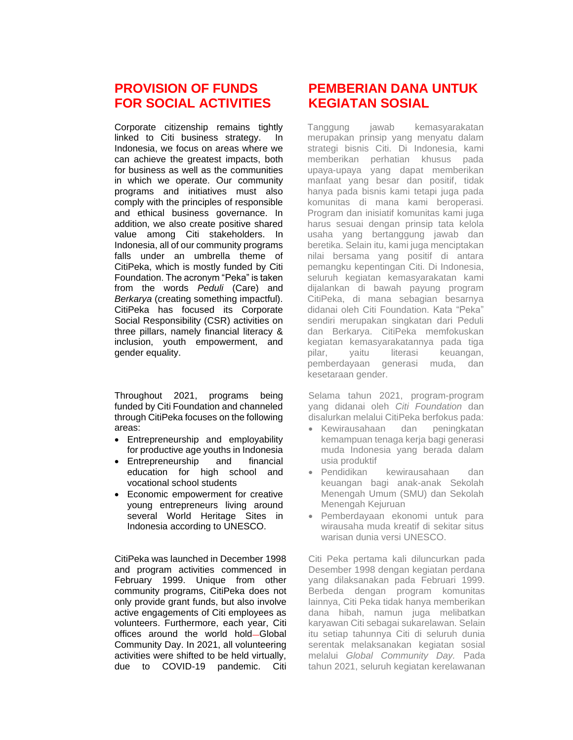# **PROVISION OF FUNDS FOR SOCIAL ACTIVITIES**

Corporate citizenship remains tightly linked to Citi business strategy. In Indonesia, we focus on areas where we can achieve the greatest impacts, both for business as well as the communities in which we operate. Our community programs and initiatives must also comply with the principles of responsible and ethical business governance. In addition, we also create positive shared value among Citi stakeholders. In Indonesia, all of our community programs falls under an umbrella theme of CitiPeka, which is mostly funded by Citi Foundation. The acronym "Peka" is taken from the words *Peduli* (Care) and *Berkarya* (creating something impactful). CitiPeka has focused its Corporate Social Responsibility (CSR) activities on three pillars, namely financial literacy & inclusion, youth empowerment, and gender equality.

Throughout 2021, programs being funded by Citi Foundation and channeled through CitiPeka focuses on the following areas:

- Entrepreneurship and employability for productive age youths in Indonesia
- Entrepreneurship and financial education for high school and vocational school students
- Economic empowerment for creative young entrepreneurs living around several World Heritage Sites in Indonesia according to UNESCO.

CitiPeka was launched in December 1998 and program activities commenced in February 1999. Unique from other community programs, CitiPeka does not only provide grant funds, but also involve active engagements of Citi employees as volunteers. Furthermore, each year, Citi offices around the world hold-Global Community Day. In 2021, all volunteering activities were shifted to be held virtually, due to COVID-19 pandemic. Citi

# **PEMBERIAN DANA UNTUK KEGIATAN SOSIAL**

Tanggung jawab kemasyarakatan merupakan prinsip yang menyatu dalam strategi bisnis Citi. Di Indonesia, kami memberikan perhatian khusus pada upaya-upaya yang dapat memberikan manfaat yang besar dan positif, tidak hanya pada bisnis kami tetapi juga pada komunitas di mana kami beroperasi. Program dan inisiatif komunitas kami juga harus sesuai dengan prinsip tata kelola usaha yang bertanggung jawab dan beretika. Selain itu, kami juga menciptakan nilai bersama yang positif di antara pemangku kepentingan Citi. Di Indonesia, seluruh kegiatan kemasyarakatan kami dijalankan di bawah payung program CitiPeka, di mana sebagian besarnya didanai oleh Citi Foundation. Kata "Peka" sendiri merupakan singkatan dari Peduli dan Berkarya. CitiPeka memfokuskan kegiatan kemasyarakatannya pada tiga pilar, yaitu literasi keuangan, pemberdayaan generasi muda, dan kesetaraan gender.

Selama tahun 2021, program-program yang didanai oleh *Citi Foundation* dan disalurkan melalui CitiPeka berfokus pada:

- Kewirausahaan dan peningkatan kemampuan tenaga kerja bagi generasi muda Indonesia yang berada dalam usia produktif
- Pendidikan kewirausahaan dan keuangan bagi anak-anak Sekolah Menengah Umum (SMU) dan Sekolah Menengah Kejuruan
- Pemberdayaan ekonomi untuk para wirausaha muda kreatif di sekitar situs warisan dunia versi UNESCO.

Citi Peka pertama kali diluncurkan pada Desember 1998 dengan kegiatan perdana yang dilaksanakan pada Februari 1999. Berbeda dengan program komunitas lainnya, Citi Peka tidak hanya memberikan dana hibah, namun juga melibatkan karyawan Citi sebagai sukarelawan. Selain itu setiap tahunnya Citi di seluruh dunia serentak melaksanakan kegiatan sosial melalui *Global Community Day.* Pada tahun 2021, seluruh kegiatan kerelawanan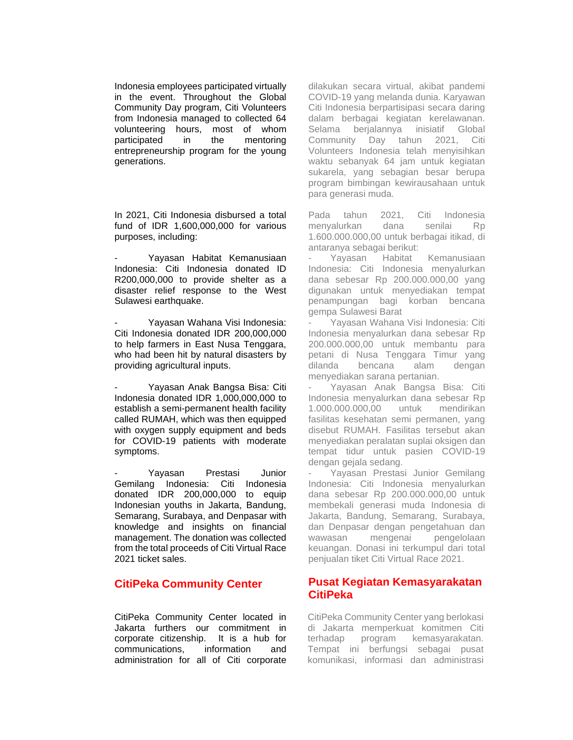Indonesia employees participated virtually in the event. Throughout the Global Community Day program, Citi Volunteers from Indonesia managed to collected 64 volunteering hours, most of whom participated in the mentoring entrepreneurship program for the young generations.

In 2021, Citi Indonesia disbursed a total fund of IDR 1,600,000,000 for various purposes, including:

- Yayasan Habitat Kemanusiaan Indonesia: Citi Indonesia donated ID R200,000,000 to provide shelter as a disaster relief response to the West Sulawesi earthquake.

Yayasan Wahana Visi Indonesia: Citi Indonesia donated IDR 200,000,000 to help farmers in East Nusa Tenggara, who had been hit by natural disasters by providing agricultural inputs.

- Yayasan Anak Bangsa Bisa: Citi Indonesia donated IDR 1,000,000,000 to establish a semi-permanent health facility called RUMAH, which was then equipped with oxygen supply equipment and beds for COVID-19 patients with moderate symptoms.

Yayasan Prestasi Junior Gemilang Indonesia: Citi Indonesia donated IDR 200,000,000 to equip Indonesian youths in Jakarta, Bandung, Semarang, Surabaya, and Denpasar with knowledge and insights on financial management. The donation was collected from the total proceeds of Citi Virtual Race 2021 ticket sales.

# **CitiPeka Community Center**

CitiPeka Community Center located in Jakarta furthers our commitment in corporate citizenship. It is a hub for communications, information and administration for all of Citi corporate

dilakukan secara virtual, akibat pandemi COVID-19 yang melanda dunia. Karyawan Citi Indonesia berpartisipasi secara daring dalam berbagai kegiatan kerelawanan. Selama berjalannya inisiatif Global Community Day tahun 2021, Citi Volunteers Indonesia telah menyisihkan waktu sebanyak 64 jam untuk kegiatan sukarela, yang sebagian besar berupa program bimbingan kewirausahaan untuk para generasi muda.

Pada tahun 2021, Citi Indonesia menyalurkan dana senilai Rp 1.600.000.000,00 untuk berbagai itikad, di antaranya sebagai berikut:

Yayasan Habitat Kemanusiaan Indonesia: Citi Indonesia menyalurkan dana sebesar Rp 200.000.000,00 yang digunakan untuk menyediakan tempat penampungan bagi korban bencana gempa Sulawesi Barat

Yayasan Wahana Visi Indonesia: Citi Indonesia menyalurkan dana sebesar Rp 200.000.000,00 untuk membantu para petani di Nusa Tenggara Timur yang dilanda bencana alam dengan menyediakan sarana pertanian.

- Yayasan Anak Bangsa Bisa: Citi Indonesia menyalurkan dana sebesar Rp 1.000.000.000,00 untuk mendirikan fasilitas kesehatan semi permanen, yang disebut RUMAH. Fasilitas tersebut akan menyediakan peralatan suplai oksigen dan tempat tidur untuk pasien COVID-19 dengan gejala sedang.

Yayasan Prestasi Junior Gemilang Indonesia: Citi Indonesia menyalurkan dana sebesar Rp 200.000.000,00 untuk membekali generasi muda Indonesia di Jakarta, Bandung, Semarang, Surabaya, dan Denpasar dengan pengetahuan dan wawasan mengenai pengelolaan keuangan. Donasi ini terkumpul dari total penjualan tiket Citi Virtual Race 2021.

## **Pusat Kegiatan Kemasyarakatan CitiPeka**

CitiPeka Community Center yang berlokasi di Jakarta memperkuat komitmen Citi terhadap program kemasyarakatan. Tempat ini berfungsi sebagai pusat komunikasi, informasi dan administrasi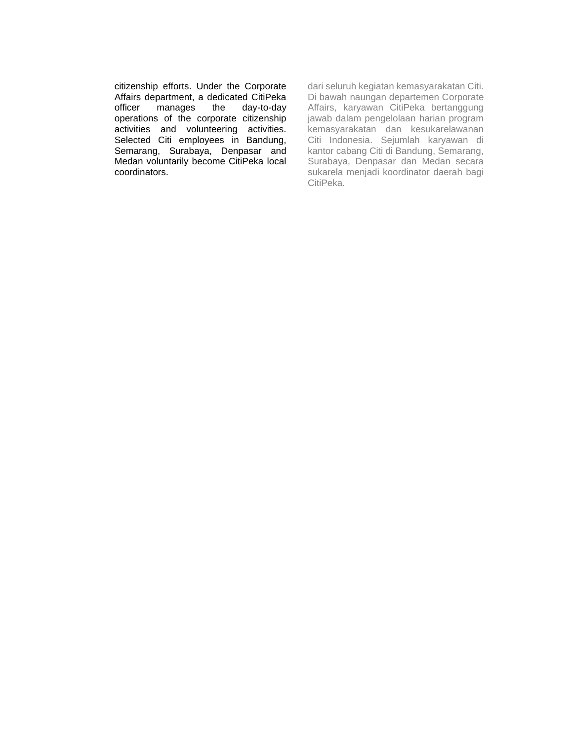citizenship efforts. Under the Corporate Affairs department, a dedicated CitiPeka officer manages the day-to-day operations of the corporate citizenship activities and volunteering activities. Selected Citi employees in Bandung, Semarang, Surabaya, Denpasar and Medan voluntarily become CitiPeka local coordinators.

dari seluruh kegiatan kemasyarakatan Citi. Di bawah naungan departemen Corporate Affairs, karyawan CitiPeka bertanggung jawab dalam pengelolaan harian program kemasyarakatan dan kesukarelawanan Citi Indonesia. Sejumlah karyawan di kantor cabang Citi di Bandung, Semarang, Surabaya, Denpasar dan Medan secara sukarela menjadi koordinator daerah bagi CitiPeka.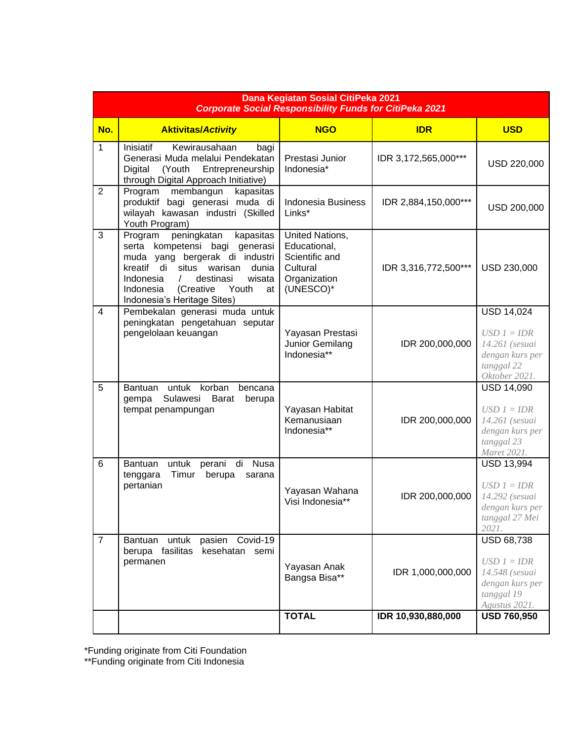| Dana Kegiatan Sosial CitiPeka 2021<br><b>Corporate Social Responsibility Funds for CitiPeka 2021</b> |                                                                                                                                                                                                                                                                           |                                                                                            |                      |                                                                                                        |  |  |
|------------------------------------------------------------------------------------------------------|---------------------------------------------------------------------------------------------------------------------------------------------------------------------------------------------------------------------------------------------------------------------------|--------------------------------------------------------------------------------------------|----------------------|--------------------------------------------------------------------------------------------------------|--|--|
| No.                                                                                                  | <b>Aktivitas/Activity</b>                                                                                                                                                                                                                                                 | <b>NGO</b>                                                                                 | <b>IDR</b>           | <b>USD</b>                                                                                             |  |  |
| $\mathbf{1}$                                                                                         | Inisiatif<br>Kewirausahaan<br>bagi<br>Generasi Muda melalui Pendekatan<br>Digital<br>(Youth<br>Entrepreneurship<br>through Digital Approach Initiative)                                                                                                                   | Prestasi Junior<br>Indonesia*                                                              | IDR 3,172,565,000*** | USD 220,000                                                                                            |  |  |
| $\overline{2}$                                                                                       | Program membangun<br>kapasitas<br>produktif bagi generasi muda di<br>wilayah kawasan industri (Skilled<br>Youth Program)                                                                                                                                                  | <b>Indonesia Business</b><br>Links*                                                        | IDR 2,884,150,000*** | USD 200,000                                                                                            |  |  |
| 3                                                                                                    | peningkatan<br>kapasitas<br>Program<br>serta kompetensi bagi generasi<br>muda yang bergerak di industri<br>kreatif di<br>situs warisan<br>dunia<br>Indonesia<br>destinasi<br>wisata<br>$\sqrt{2}$<br>(Creative<br>Youth<br>Indonesia<br>at<br>Indonesia's Heritage Sites) | United Nations,<br>Educational,<br>Scientific and<br>Cultural<br>Organization<br>(UNESCO)* | IDR 3,316,772,500*** | USD 230,000                                                                                            |  |  |
| $\overline{4}$                                                                                       | Pembekalan generasi muda untuk<br>peningkatan pengetahuan seputar<br>pengelolaan keuangan                                                                                                                                                                                 | Yayasan Prestasi<br>Junior Gemilang<br>Indonesia**                                         | IDR 200,000,000      | <b>USD 14,024</b><br>$USD 1 = IDR$<br>14.261 (sesuai<br>dengan kurs per<br>tanggal 22<br>Oktober 2021. |  |  |
| 5                                                                                                    | untuk korban<br>Bantuan<br>bencana<br>Sulawesi<br><b>Barat</b><br>berupa<br>gempa<br>tempat penampungan                                                                                                                                                                   | Yayasan Habitat<br>Kemanusiaan<br>Indonesia**                                              | IDR 200,000,000      | <b>USD 14,090</b><br>$USD 1 = IDR$<br>14.261 (sesuai<br>dengan kurs per<br>tanggal 23<br>Maret 2021.   |  |  |
| 6                                                                                                    | untuk<br>Nusa<br>Bantuan<br>perani<br>di<br>Timur<br>berupa<br>tenggara<br>sarana<br>pertanian                                                                                                                                                                            | Yayasan Wahana<br>Visi Indonesia**                                                         | IDR 200,000,000      | USD 13,994<br>$USD 1 = DDR$<br>14.292 (sesuai<br>dengan kurs per<br>tanggal 27 Mei<br>2021.            |  |  |
| $\overline{7}$                                                                                       | pasien Covid-19<br>untuk<br>Bantuan<br>berupa fasilitas<br>kesehatan semi<br>permanen                                                                                                                                                                                     | Yayasan Anak<br>Bangsa Bisa**                                                              | IDR 1,000,000,000    | <b>USD 68,738</b><br>$USD 1 = IDR$<br>14.548 (sesuai<br>dengan kurs per<br>tanggal 19<br>Agustus 2021. |  |  |
|                                                                                                      |                                                                                                                                                                                                                                                                           | <b>TOTAL</b>                                                                               | IDR 10,930,880,000   | <b>USD 760,950</b>                                                                                     |  |  |

\*Funding originate from Citi Foundation

\*\*Funding originate from Citi Indonesia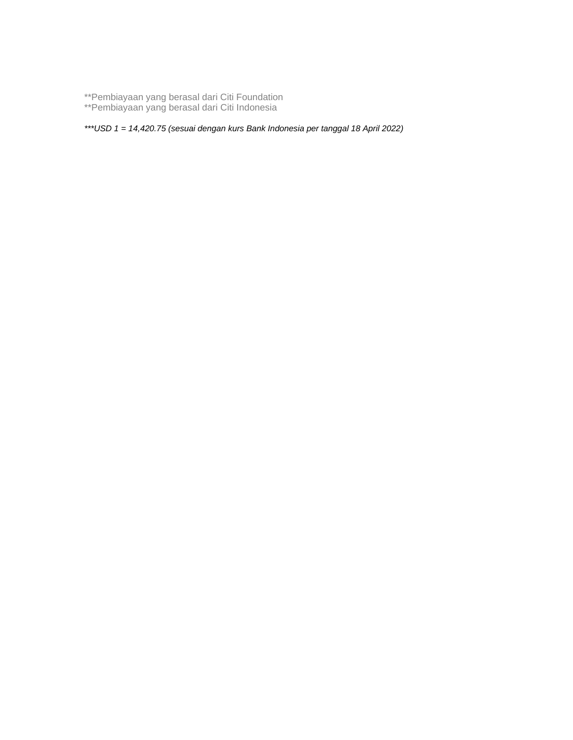\*\*Pembiayaan yang berasal dari Citi Foundation

\*\*Pembiayaan yang berasal dari Citi Indonesia

*\*\*\*USD 1 = 14,420.75 (sesuai dengan kurs Bank Indonesia per tanggal 18 April 2022)*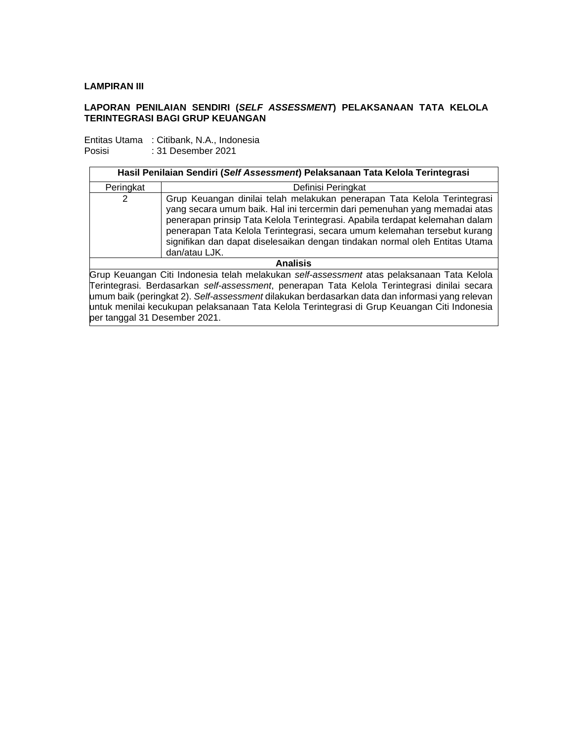## **LAMPIRAN III**

## **LAPORAN PENILAIAN SENDIRI (***SELF ASSESSMENT***) PELAKSANAAN TATA KELOLA TERINTEGRASI BAGI GRUP KEUANGAN**

Entitas Utama : Citibank, N.A., Indonesia Posisi : 31 Desember 2021

| Hasil Penilaian Sendiri (Self Assessment) Pelaksanaan Tata Kelola Terintegrasi              |                                                                                                                                                                                                                                                                                                                                                                                                                    |  |  |
|---------------------------------------------------------------------------------------------|--------------------------------------------------------------------------------------------------------------------------------------------------------------------------------------------------------------------------------------------------------------------------------------------------------------------------------------------------------------------------------------------------------------------|--|--|
| Peringkat                                                                                   | Definisi Peringkat                                                                                                                                                                                                                                                                                                                                                                                                 |  |  |
| 2                                                                                           | Grup Keuangan dinilai telah melakukan penerapan Tata Kelola Terintegrasi<br>yang secara umum baik. Hal ini tercermin dari pemenuhan yang memadai atas<br>penerapan prinsip Tata Kelola Terintegrasi. Apabila terdapat kelemahan dalam<br>penerapan Tata Kelola Terintegrasi, secara umum kelemahan tersebut kurang<br>signifikan dan dapat diselesaikan dengan tindakan normal oleh Entitas Utama<br>dan/atau LJK. |  |  |
| <b>Analisis</b>                                                                             |                                                                                                                                                                                                                                                                                                                                                                                                                    |  |  |
| Dain Keisensen Oiki kedangaia telah melakukan peli sesesampat atas pelaksangan Teta Kelala- |                                                                                                                                                                                                                                                                                                                                                                                                                    |  |  |

Grup Keuangan Citi Indonesia telah melakukan *self-assessment* atas pelaksanaan Tata Kelola Terintegrasi. Berdasarkan *self-assessment*, penerapan Tata Kelola Terintegrasi dinilai secara umum baik (peringkat 2). *Self-assessment* dilakukan berdasarkan data dan informasi yang relevan untuk menilai kecukupan pelaksanaan Tata Kelola Terintegrasi di Grup Keuangan Citi Indonesia per tanggal 31 Desember 2021.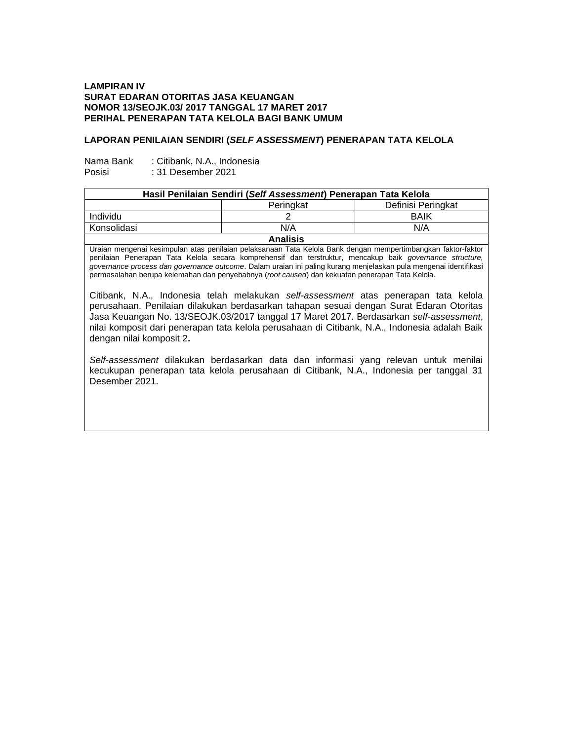## **LAMPIRAN IV SURAT EDARAN OTORITAS JASA KEUANGAN NOMOR 13/SEOJK.03/ 2017 TANGGAL 17 MARET 2017 PERIHAL PENERAPAN TATA KELOLA BAGI BANK UMUM**

## **LAPORAN PENILAIAN SENDIRI (***SELF ASSESSMENT***) PENERAPAN TATA KELOLA**

| Nama Bank | : Citibank, N.A., Indonesia |
|-----------|-----------------------------|
| Posisi    | : 31 Desember 2021          |

| Hasil Penilaian Sendiri (Self Assessment) Penerapan Tata Kelola |           |                    |  |  |
|-----------------------------------------------------------------|-----------|--------------------|--|--|
|                                                                 | Peringkat | Definisi Peringkat |  |  |
| <b>Individu</b>                                                 |           | <b>BAIK</b>        |  |  |
| Konsolidasi                                                     | N/A       | N/A                |  |  |
| <b>Analisis</b>                                                 |           |                    |  |  |

Uraian mengenai kesimpulan atas penilaian pelaksanaan Tata Kelola Bank dengan mempertimbangkan faktor-faktor penilaian Penerapan Tata Kelola secara komprehensif dan terstruktur, mencakup baik *governance structure, governance process dan governance outcome*. Dalam uraian ini paling kurang menjelaskan pula mengenai identifikasi permasalahan berupa kelemahan dan penyebabnya (*root caused*) dan kekuatan penerapan Tata Kelola.

Citibank, N.A., Indonesia telah melakukan *self-assessment* atas penerapan tata kelola perusahaan. Penilaian dilakukan berdasarkan tahapan sesuai dengan Surat Edaran Otoritas Jasa Keuangan No. 13/SEOJK.03/2017 tanggal 17 Maret 2017. Berdasarkan *self-assessment*, nilai komposit dari penerapan tata kelola perusahaan di Citibank, N.A., Indonesia adalah Baik dengan nilai komposit 2**.** 

*Self-assessment* dilakukan berdasarkan data dan informasi yang relevan untuk menilai kecukupan penerapan tata kelola perusahaan di Citibank, N.A., Indonesia per tanggal 31 Desember 2021.